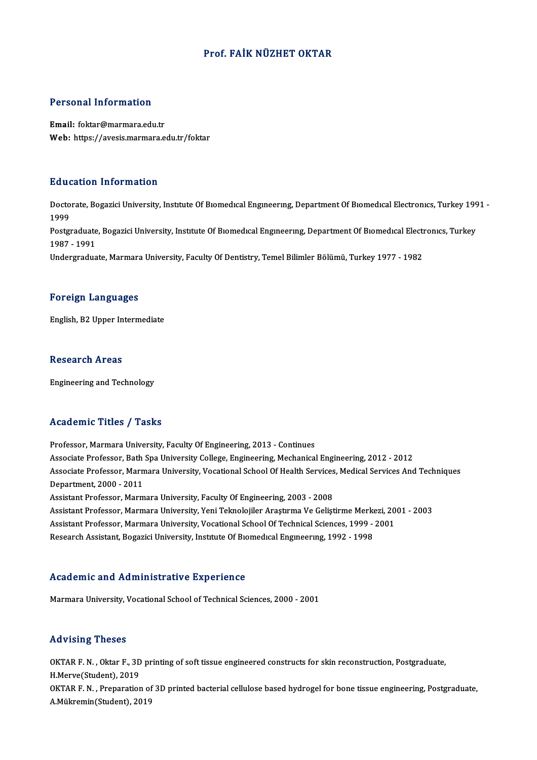### Prof. FAİK NÜZHET OKTAR

#### Personal Information

Email: foktar@marmara.edu.tr Web: https://avesis.marmara.edu.tr/foktar

#### Education Information

**Education Information**<br>Doctorate, Bogazici University, Institute Of Bıomedıcal Engineering, Department Of Biomedical Electronics, Turkey 1991 -<br>1999 Baar<br>Docto<br>1999<br><sup>Bosto</sup> Doctorate, Bogazici University, Institute Of Biomedical Engineering, Department Of Biomedical Electronics, Turkey 199<br>1999<br>Postgraduate, Bogazici University, Institute Of Biomedical Engineering, Department Of Biomedical El 1999<br>Postgraduate<br>1987 - 1991<br>Undergradua Postgraduate, Bogazici University, Institute Of Biomedical Engineering, Department Of Biomedical Electi<br>1987 - 1991<br>Undergraduate, Marmara University, Faculty Of Dentistry, Temel Bilimler Bölümü, Turkey 1977 - 1982 Undergraduate, Marmara University, Faculty Of Dentistry, Temel Bilimler Bölümü, Turkey 1977 - 1982<br>Foreign Languages

English,B2Upper Intermediate

#### **Research Areas**

Engineering and Technology

#### Academic Titles / Tasks

Professor, Marmara University, Faculty Of Engineering, 2013 - Continues Associate Article 7 Yubate<br>Professor, Marmara University, Faculty Of Engineering, 2013 - Continues<br>Associate Professor, Bath Spa University College, Engineering, Mechanical Engineering, 2012 - 2012<br>Associate Professor, Mar Associate Professor, Marmara University, Vocational School Of Health Services, Medical Services And Techniques<br>Department, 2000 - 2011 Associate Professor, Bath<br>Associate Professor, Marn<br>Department, 2000 - 2011<br>Assistant Professor, Marm Assistant Professor, Marmara University, Faculty Of Engineering, 2003 - 2008 Department, 2000 - 2011<br>Assistant Professor, Marmara University, Faculty Of Engineering, 2003 - 2008<br>Assistant Professor, Marmara University, Yeni Teknolojiler Araştırma Ve Geliştirme Merkezi, 2001 - 2003<br>Assistant Profess Assistant Professor, Marmara University, Faculty Of Engineering, 2003 - 2008<br>Assistant Professor, Marmara University, Yeni Teknolojiler Araştırma Ve Geliştirme Merkezi, 20<br>Assistant Professor, Marmara University, Vocationa Assistant Professor, Marmara University, Vocational School Of Technical Sciences, 1999 - 2001<br>Research Assistant, Bogazici University, Institute Of Biomedical Engineering, 1992 - 1998

#### Academic and Administrative Experience

Marmara University, Vocational School of Technical Sciences, 2000 - 2001

#### Advising Theses

Advising Theses<br>OKTAR F. N. , Oktar F., 3D printing of soft tissue engineered constructs for skin reconstruction, Postgraduate,<br>H Maryo(Student), 2019 H.Merve(Student), 2019<br>H.Merve(Student), 2019<br>OKTAR E.M., Proporction H.Merve(Student), 2019<br>OKTAR F. N. , Preparation of 3D printed bacterial cellulose based hydrogel for bone tissue engineering, Postgraduate,

A.Mükremin(Student),2019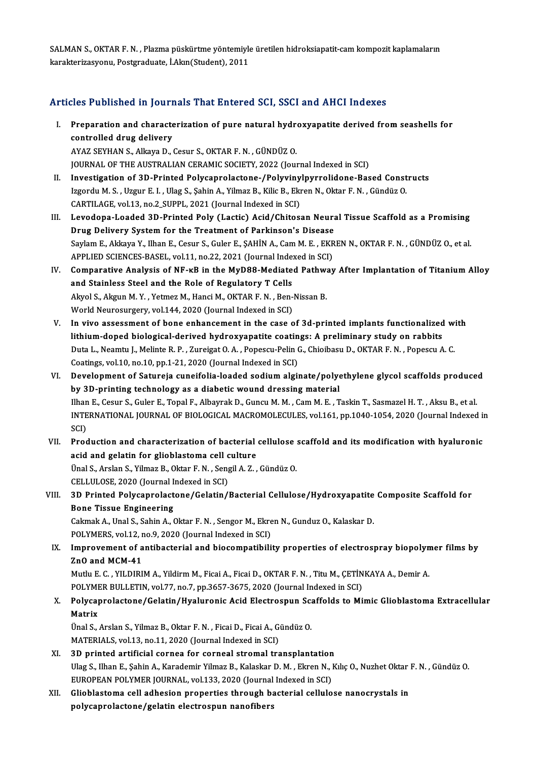SALMAN S., OKTAR F.N., Plazma püskürtme yöntemiyle üretilen hidroksiapatit-cam kompozit kaplamaların karakterizasyonu,Postgraduate, İ.Akın(Student),2011

### Articles Published in Journals That Entered SCI, SSCI and AHCI Indexes

- rticles Published in Journals That Entered SCI, SSCI and AHCI Indexes<br>I. Preparation and characterization of pure natural hydroxyapatite derived from seashells for<br>controlled drug delivery Excore absolute in your<br>Preparation and characte<br>controlled drug delivery<br>AVAZ SEVHAN S Allrave D Preparation and characterization of pure natural hydr<mark>.</mark><br>controlled drug delivery<br>AYAZ SEYHAN S., Alkaya D., Cesur S., OKTAR F. N. , GÜNDÜZ O.<br>JOUPMAL OF THE AUSTRALIAN CERAMIC SOCIETY, 2022 (Jou controlled drug delivery<br>AYAZ SEYHAN S., Alkaya D., Cesur S., OKTAR F. N. , GÜNDÜZ O.<br>JOURNAL OF THE AUSTRALIAN CERAMIC SOCIETY, 2022 (Journal Indexed in SCI)
- II. Investigation of 3D-Printed Polycaprolactone-/Polyvinylpyrrolidone-Based Constructs JOURNAL OF THE AUSTRALIAN CERAMIC SOCIETY, 2022 (Journal Indexed in SCI)<br>Investigation of 3D-Printed Polycaprolactone-/Polyvinylpyrrolidone-Based Const<br>Izgordu M. S. , Uzgur E. I. , Ulag S., Şahin A., Yilmaz B., Kilic B., Investigation of 3D-Printed Polycaprolactone-/Polyviny<br>Izgordu M. S., Uzgur E. I., Ulag S., Şahin A., Yilmaz B., Kilic B., Eki<br>CARTILAGE, vol.13, no.2\_SUPPL, 2021 (Journal Indexed in SCI)<br>Lavedana Laadad 3D Brinted Boly (L Izgordu M. S., Uzgur E. I., Ulag S., Şahin A., Yilmaz B., Kilic B., Ekren N., Oktar F. N., Gündüz O.<br>CARTILAGE, vol.13, no.2\_SUPPL, 2021 (Journal Indexed in SCI)<br>III. Levodopa-Loaded 3D-Printed Poly (Lactic) Acid/Chitosan
- CARTILAGE, vol.13, no.2\_SUPPL, 2021 (Journal Indexed in SCI)<br>Levodopa-Loaded 3D-Printed Poly (Lactic) Acid/Chitosan Neura<br>Drug Delivery System for the Treatment of Parkinson's Disease<br>Saylam E. Akkaya Y. Uban E. Cesur S. G Saylam E., Akkaya Y., Ilhan E., Cesur S., Guler E., ŞAHİN A., Cam M. E. , EKREN N., OKTAR F. N. , GÜNDÜZ O., et al.<br>APPLIED SCIENCES-BASEL, vol.11, no.22, 2021 (Journal Indexed in SCI) Drug Delivery System for the Treatment of Parkinson's Disease Saylam E., Akkaya Y., Ilhan E., Cesur S., Guler E., ŞAHİN A., Cam M. E., EKREN N., OKTAR F. N., GÜNDÜZ O., et al.<br>APPLIED SCIENCES-BASEL, vol.11, no.22, 2021 (Journal Indexed in SCI)<br>IV. Comparative Analysis of NF-kB in th
- APPLIED SCIENCES-BASEL, vol.11, no.22, 2021 (Journal Index<br>Comparative Analysis of NF-kB in the MyD88-Mediate<br>and Stainless Steel and the Role of Regulatory T Cells<br>Alwel S. Alwun M. V. Vetmer M. Hangi M. OKTAB E N. Ban Comparative Analysis of NF-kB in the MyD88-Mediated Pathward Stainless Steel and the Role of Regulatory T Cells<br>Akyol S., Akgun M.Y. , Yetmez M., Hanci M., OKTAR F. N. , Ben-Nissan B.<br>World Neurosurgery vol 144, 2020 (Jeur and Stainless Steel and the Role of Regulatory T Cells<br>Akyol S., Akgun M.Y., Yetmez M., Hanci M., OKTAR F.N., Ben-Nissan B.<br>World Neurosurgery, vol.144, 2020 (Journal Indexed in SCI) Akyol S., Akgun M. Y., Yetmez M., Hanci M., OKTAR F. N., Ben-Nissan B.<br>World Neurosurgery, vol.144, 2020 (Journal Indexed in SCI)<br>V. In vivo assessment of bone enhancement in the case of 3d-printed implants functionalized
- World Neurosurgery, vol.144, 2020 (Journal Indexed in SCI)<br>I<mark>n vivo assessment of bone enhancement in the case of 3d-printed implants functionalized</mark><br>lithium-doped biological-derived hydroxyapatite coatings: A preliminary In vivo assessment of bone enhancement in the case of 3d-printed implants functionalized wi<br>lithium-doped biological-derived hydroxyapatite coatings: A preliminary study on rabbits<br>Duta L., Neamtu J., Melinte R. P. , Zurei lithium-doped biological-derived hydroxyapatite coatin<br>Duta L., Neamtu J., Melinte R. P. , Zureigat O. A. , Popescu-Pelin (<br>Coatings, vol.10, no.10, pp.1-21, 2020 (Journal Indexed in SCI)<br>Dovelopment of Setureia cuneifelia Duta L., Neamtu J., Melinte R. P. , Zureigat O. A. , Popescu-Pelin G., Chioibasu D., OKTAR F. N. , Popescu A. C.<br>Coatings, vol.10, no.10, pp.1-21, 2020 (Journal Indexed in SCI)<br>VI. Development of Satureja cuneifolia-loaded
- Coatings, vol.10, no.10, pp.1-21, 2020 (Journal Indexed in SCI)<br>Development of Satureja cuneifolia-loaded sodium alginate/polye<br>by 3D-printing technology as a diabetic wound dressing material<br><sup>Ilhan E.</sup> Cesur S. Cular E. T Development of Satureja cuneifolia-loaded sodium alginate/polyethylene glycol scaffolds produce<br>by 3D-printing technology as a diabetic wound dressing material<br>Ilhan E., Cesur S., Guler E., Topal F., Albayrak D., Guncu M. by 3D-printing technology as a diabetic wound dressing material<br>Ilhan E., Cesur S., Guler E., Topal F., Albayrak D., Guncu M. M. , Cam M. E. , Taskin T., Sasmazel H. T. , Aksu B., et al.<br>INTERNATIONAL JOURNAL OF BIOLOGICAL Ilhan<br>INTE<br>SCI)<br>Prod INTERNATIONAL JOURNAL OF BIOLOGICAL MACROMOLECULES, vol.161, pp.1040-1054, 2020 (Journal Indexed is<br>SCI)<br>VII. Production and characterization of bacterial cellulose scaffold and its modification with hyaluronic<br>acid and se
- SCI)<br>Production and characterization of bacterial<br>acid and gelatin for glioblastoma cell culture<br><sup>Thol S. Arelan S. Vilmaz B. Oktor E. N. Songil A. Z.</sup> Production and characterization of bacterial cellulose<br>acid and gelatin for glioblastoma cell culture<br>Ünal S., Arslan S., Yilmaz B., Oktar F. N. , Sengil A. Z. , Gündüz O.<br>CELLULOSE 2020 (Journal Indexed in SCD. acid and gelatin for glioblastoma cell culture<br>Ünal S., Arslan S., Yilmaz B., Oktar F. N. , Sengil A. Z. , Gündüz O.<br>CELLULOSE, 2020 (Journal Indexed in SCI) Ünal S., Arslan S., Yilmaz B., Oktar F. N. , Sengil A. Z. , Gündüz O.<br>CELLULOSE, 2020 (Journal Indexed in SCI)<br>VIII. 3D Printed Polycaprolactone/Gelatin/Bacterial Cellulose/Hydroxyapatite Composite Scaffold for<br>Pene Tissue
- CELLULOSE, 2020 (Journal I<br>3D Printed Polycaprolact<br>Bone Tissue Engineering 3D Printed Polycaprolactone/Gelatin/Bacterial Cellulose/Hydroxyapatite<br>Bone Tissue Engineering<br>Cakmak A., Unal S., Sahin A., Oktar F. N. , Sengor M., Ekren N., Gunduz O., Kalaskar D.<br>POLYMEPS vol 12, no.9, 2020 (Journal In

Bone Tissue Engineering<br>Cakmak A., Unal S., Sahin A., Oktar F. N. , Sengor M., Ekren N., Gunduz O., Kalaskar D.<br>POLYMERS, vol.12, no.9, 2020 (Journal Indexed in SCI)

Cakmak A., Unal S., Sahin A., Oktar F. N. , Sengor M., Ekren N., Gunduz O., Kalaskar D.<br>POLYMERS, vol.12, no.9, 2020 (Journal Indexed in SCI)<br>IX. Improvement of antibacterial and biocompatibility properties of electrospray POLYMERS, vol.12, r<br>Improvement of a<br>ZnO and MCM-41<br>Muth E.C. VII DIPI Improvement of antibacterial and biocompatibility properties of electrospray biopolyn<br>ZnO and MCM-41<br>Mutlu E. C. , YILDIRIM A., Yildirm M., Ficai A., Ficai D., OKTAR F. N. , Titu M., ÇETİNKAYA A., Demir A.<br>POLYMER RULLETIN ZnO and MCM-41<br>Mutlu E. C. , YILDIRIM A., Yildirm M., Ficai A., Ficai D., OKTAR F. N. , Titu M., ÇETİNKAYA A., Demir A.

POLYMER BULLETIN, vol.77, no.7, pp.3657-3675, 2020 (Journal Indexed in SCI)

X. Polycaprolactone/Gelatin/Hyaluronic Acid Electrospun Scaffolds to Mimic Glioblastoma Extracellular<br>Matrix Polycaprolactone/Gelatin/Hyaluronic Acid Electrospun Sc:<br>Matrix<br>Ünal S., Arslan S., Yilmaz B., Oktar F. N. , Ficai D., Ficai A., Gündüz O.<br>MATERIAL S. vol.13. no.11.2020 (Journal Indoved in SCD.

Matrix<br>Ünal S., Arslan S., Yilmaz B., Oktar F. N. , Ficai D., Ficai A., G.<br>MATERIALS, vol.13, no.11, 2020 (Journal Indexed in SCI)<br>2D. printed entificial sornea for sorneal stromal tre

- MATERIALS, vol.13, no.11, 2020 (Journal Indexed in SCI)<br>XI. 3D printed artificial cornea for corneal stromal transplantation Ulag S., Ilhan E., Şahin A., Karademir Yilmaz B., Kalaskar D. M., Ekren N., Kılıç O., Nuzhet Oktar F. N., Gündüz O. 3D printed artificial cornea for corneal stromal transplantation<br>Ulag S., Ilhan E., Şahin A., Karademir Yilmaz B., Kalaskar D. M. , Ekren N., I<br>EUROPEAN POLYMER JOURNAL, vol.133, 2020 (Journal Indexed in SCI)<br>Clicklostome
- XII. Glioblastoma cell adhesion properties through bacterial cellulose nanocrystals in polycaprolactone/gelatin electrospun nanofibers EUROPEAN POLYMER JOURNAL, vol.133, 2020 (Journal<br>Glioblastoma cell adhesion properties through ba<br>polycaprolactone/gelatin electrospun nanofibers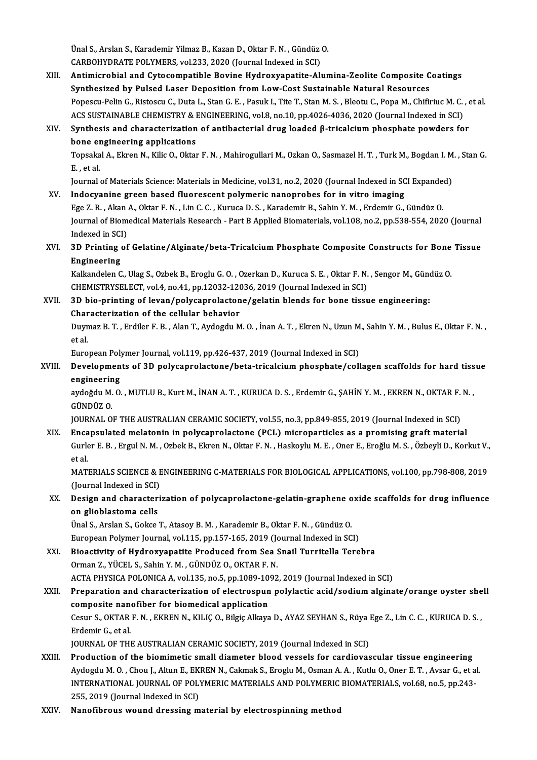Ünal S., Arslan S., Karademir Yilmaz B., Kazan D., Oktar F. N. , Gündüz O.<br>CARROUVPRATE POLYMERS. val 222, 2020 (Journal Indoved in SCD. Ünal S., Arslan S., Karademir Yilmaz B., Kazan D., Oktar F. N. , Gündüz<br>CARBOHYDRATE POLYMERS, vol.233, 2020 (Journal Indexed in SCI)<br>Antimianabial and Gytagamnatible Boyine Hydnowyanatite Al

CARBOHYDRATE POLYMERS, vol.233, 2020 (Journal Indexed in SCI)<br>XIII. Antimicrobial and Cytocompatible Bovine Hydroxyapatite-Alumina-Zeolite Composite Coatings Synthesized by Pulsed Laser Deposition fromLow-Cost Sustainable Natural Resources Antimicrobial and Cytocompatible Bovine Hydroxyapatite-Alumina-Zeolite Composite Coatings<br>Synthesized by Pulsed Laser Deposition from Low-Cost Sustainable Natural Resources<br>Popescu-Pelin G., Ristoscu C., Duta L., Stan G. E Synthesized by Pulsed Laser Deposition from Low-Cost Sustainable Natural Resources<br>Popescu-Pelin G., Ristoscu C., Duta L., Stan G. E. , Pasuk I., Tite T., Stan M. S. , Bleotu C., Popa M., Chifiriuc M. C.<br>ACS SUSTAINABLE CH Popescu-Pelin G., Ristoscu C., Duta L., Stan G. E. , Pasuk I., Tite T., Stan M. S. , Bleotu C., Popa M., Chifiriuc M. C. , e<br>ACS SUSTAINABLE CHEMISTRY & ENGINEERING, vol.8, no.10, pp.4026-4036, 2020 (Journal Indexed in SC

### ACS SUSTAINABLE CHEMISTRY & ENGINEERING, vol.8, no.10, pp.4026-4036, 2020 (Journal Indexed in SCI)<br>XIV. Synthesis and characterization of antibacterial drug loaded  $\beta$ -tricalcium phosphate powders for<br>bone engineering ap Synthesis and characterization of antibacterial drug loaded β-tricalcium phosphate powders for<br>bone engineering applications<br>Topsakal A., Ekren N., Kilic O., Oktar F. N. , Mahirogullari M., Ozkan O., Sasmazel H. T. , Turk **bone er<br>Topsaka<br>E., et al.**

Topsakal A., Ekren N., Kilic O., Oktar F. N. , Mahirogullari M., Ozkan O., Sasmazel H. T. , Turk M., Bogdan I. M<br>E. , et al.<br>Journal of Materials Science: Materials in Medicine, vol.31, no.2, 2020 (Journal Indexed in SCI E E. , et al.<br>Journal of Materials Science: Materials in Medicine, vol.31, no.2, 2020 (Journal Indexed in SCI Expanded)<br>XV. Indocyanine green based fluorescent polymeric nanoprobes for in vitro imaging

Ege Z.R. ,AkanA.,Oktar F.N. ,LinC.C. ,KurucaD.S. ,KarademirB.,SahinY.M. ,ErdemirG.,GündüzO. Indocyanine green based fluorescent polymeric nanoprobes for in vitro imaging<br>Ege Z. R. , Akan A., Oktar F. N. , Lin C. C. , Kuruca D. S. , Karademir B., Sahin Y. M. , Erdemir G., Gündüz O<br>Journal of Biomedical Materials R Ege Z. R. , Akan<br>Journal of Biom<br>Indexed in SCI)<br>2D Printing of Journal of Biomedical Materials Research - Part B Applied Biomaterials, vol.108, no.2, pp.538-554, 2020 (Journal<br>Indexed in SCI)<br>XVI. 3D Printing of Gelatine/Alginate/beta-Tricalcium Phosphate Composite Constructs for Bone

# Indexed in SC<br>**3D Printing (**<br>Engineering<br>Kalkandelen G 3D Printing of Gelatine/Alginate/beta-Tricalcium Phosphate Composite Constructs for Bone<br>Engineering<br>Kalkandelen C., Ulag S., Ozbek B., Eroglu G. O. , Ozerkan D., Kuruca S. E. , Oktar F. N. , Sengor M., Gündüz O<br>CHEMISTRYS

Engineering<br>Kalkandelen C., Ulag S., Ozbek B., Eroglu G. O. , Ozerkan D., Kuruca S. E. , Oktar F. N. , Sengor M., Gündüz O<br>CHEMISTRYSELECT, vol.4, no.41, pp.12032-12036, 2019 (Journal Indexed in SCI) Kalkandelen C., Ulag S., Ozbek B., Eroglu G. O., Ozerkan D., Kuruca S. E., Oktar F. N., Sengor M., Güne<br>CHEMISTRYSELECT, vol.4, no.41, pp.12032-12036, 2019 (Journal Indexed in SCI)<br>XVII. 3D bio-printing of levan/polycaprol

CHEMISTRYSELECT, vol.4, no.41, pp.12032-120<br>3D bio-printing of levan/polycaprolacton<br>Characterization of the cellular behavior<br>Duymag B.T., Erdilor E.B., Alan T. Aydogdu M 3D bio-printing of levan/polycaprolactone/gelatin blends for bone tissue engineering:<br>Characterization of the cellular behavior<br>Duymaz B.T. , Erdiler F.B. , Alan T., Aydogdu M. O. , İnan A.T. , Ekren N., Uzun M., Sahin Y. Characterization of the cellular behavior<br>Duymaz B. T., Erdiler F. B., Alan T., Aydogdu M<br>et al. Duymaz B. T. , Erdiler F. B. , Alan T., Aydogdu M. O. , İnan A. T. , Ekren N., Uzun M<br>et al.<br>European Polymer Journal, vol.119, pp.426-437, 2019 (Journal Indexed in SCI)<br>Developments of 3D polygaprolastone (bata trisolsium

European Polymer Journal, vol.119, pp.426-437, 2019 (Journal Indexed in SCI)

### XVIII. Developments of 3D polycaprolactone/beta-tricalcium phosphate/collagen scaffolds for hard tissue<br>engineering Developments of 3D polycaprolactone/beta-tricalcium phosphate/collagen scaffolds for hard tiss<br>engineering<br>aydoğdu M. O. , MUTLU B., Kurt M., İNAN A. T. , KURUCA D. S. , Erdemir G., ŞAHİN Y. M. , EKREN N., OKTAR F. N.<br>CÜND

e<mark>ngineerin</mark><br>aydoğdu M.<br>GÜNDÜZ O.<br>IOUPNAL O aydoğdu M. O. , MUTLU B., Kurt M., İNAN A. T. , KURUCA D. S. , Erdemir G., ŞAHİN Y. M. , EKREN N., OKTAR F.<br>GÜNDÜZ O.<br>JOURNAL OF THE AUSTRALIAN CERAMIC SOCIETY, vol.55, no.3, pp.849-855, 2019 (Journal Indexed in SCI)<br>Encap

GÜNDÜZ O.<br>JOURNAL OF THE AUSTRALIAN CERAMIC SOCIETY, vol.55, no.3, pp.849-855, 2019 (Journal Indexed in SCI)<br>XIX. Encapsulated melatonin in polycaprolactone (PCL) microparticles as a promising graft material<br>Curka E.B. Erg JOURNAL OF THE AUSTRALIAN CERAMIC SOCIETY, vol.55, no.3, pp.849-855, 2019 (Journal Indexed in SCI)<br><mark>Encapsulated melatonin in polycaprolactone (PCL) microparticles as a promising graft material</mark><br>Gurler E. B. , Ergul N. M. Encapsulated melatonin in polycaprolactone (PCL) microparticles as a promising graft material<br>Gurler E. B. , Ergul N. M. , Ozbek B., Ekren N., Oktar F. N. , Haskoylu M. E. , Oner E., Eroğlu M. S. , Özbeyli D., Korkut V.,<br>e Gurler E. B. , Ergul N. M. , Ozbek B., Ekren N., Oktar F. N. , Haskoylu M. E. , Oner E., Eroğlu M. S. , Özbeyli D., Korkut V.,<br>et al.<br>MATERIALS SCIENCE & ENGINEERING C-MATERIALS FOR BIOLOGICAL APPLICATIONS, vol.100, pp.798

et al.<br>MATERIALS SCIENCE & E<br>(Journal Indexed in SCI)<br>Dosign and chanactari MATERIALS SCIENCE & ENGINEERING C-MATERIALS FOR BIOLOGICAL APPLICATIONS, vol.100, pp.798-808, 2019<br>(Journal Indexed in SCI)<br>XX. Design and characterization of polycaprolactone-gelatin-graphene oxide scaffolds for drug infl

# (Journal Indexed in SCI)<br>Design and character<br>on glioblastoma cells<br><sup>Thol S</sup>. Arskn S. Cokse Design and characterization of polycaprolactone-gelatin-graphene o<br>on glioblastoma cells<br>Ünal S., Arslan S., Gokce T., Atasoy B.M. , Karademir B., Oktar F. N. , Gündüz O.<br>European Polymer Journal vol 115, nn 157, 165, 2019

on glioblastoma cells<br>Ünal S., Arslan S., Gokce T., Atasoy B. M. , Karademir B., Oktar F. N. , Gündüz O.<br>European Polymer Journal, vol.115, pp.157-165, 2019 (Journal Indexed in SCI)<br>Bioastivity of Hydroxyanatite Brodused f Ünal S., Arslan S., Gokce T., Atasoy B. M. , Karademir B., Oktar F. N. , Gündüz O.<br>European Polymer Journal, vol.115, pp.157-165, 2019 (Journal Indexed in SCI)<br>XXI. Bioactivity of Hydroxyapatite Produced from Sea Snail Tur

European Polymer Journal, vol.115, pp.157-165, 2019 (Journal Bioactivity of Hydroxyapatite Produced from Sea 9<br>Orman Z., YÜCEL S., Sahin Y. M. , GÜNDÜZ O., OKTAR F. N.<br>ACTA PHYSICA POLONICA A. vol.135, no 5, nn 1099, 1093 Bioactivity of Hydroxyapatite Produced from Sea Snail Turritella Terebra<br>Orman Z., YÜCEL S., Sahin Y. M. , GÜNDÜZ O., OKTAR F. N.<br>ACTA PHYSICA POLONICA A, vol.135, no.5, pp.1089-1092, 2019 (Journal Indexed in SCI)<br>Preparat

## Orman Z., YÜCEL S., Sahin Y. M. , GÜNDÜZ O., OKTAR F. N.<br>ACTA PHYSICA POLONICA A, vol.135, no.5, pp.1089-1092, 2019 (Journal Indexed in SCI)<br>XXII. Preparation and characterization of electrospun polylactic acid/sodium algi ACTA PHYSICA POLONICA A, vol.135, no.5, pp.1089-10<br>Preparation and characterization of electrospun<br>composite nanofiber for biomedical application<br>Cesur S. OKTAB E.N., EKBEN N. KU ICO, Bilgie Alkaya Preparation and characterization of electrospun polylactic acid/sodium alginate/orange oyster she<br>composite nanofiber for biomedical application<br>Cesur S., OKTAR F. N. , EKREN N., KILIÇ O., Bilgiç Alkaya D., AYAZ SEYHAN S.,

**composite nane**<br>Cesur S., OKTAR<br>Erdemir G., et al.<br>JOUPMAL OF THI Cesur S., OKTAR F. N. , EKREN N., KILIÇ O., Bilgiç Alkaya D., AYAZ SEYHAN S., Rüya l<br>Erdemir G., et al.<br>JOURNAL OF THE AUSTRALIAN CERAMIC SOCIETY, 2019 (Journal Indexed in SCI)<br>Production of the biomimatic small diameter b Erdemir G., et al.<br>JOURNAL OF THE AUSTRALIAN CERAMIC SOCIETY, 2019 (Journal Indexed in SCI)<br>XXIII. Production of the biomimetic small diameter blood vessels for cardiovascular tissue engineering

- JOURNAL OF THE AUSTRALIAN CERAMIC SOCIETY, 2019 (Journal Indexed in SCI)<br>Production of the biomimetic small diameter blood vessels for cardiovascular tissue engineering<br>Aydogdu M. O. , Chou J., Altun E., EKREN N., Cakmak S Production of the biomimetic small diameter blood vessels for cardiovascular tissue engineering<br>Aydogdu M. O. , Chou J., Altun E., EKREN N., Cakmak S., Eroglu M., Osman A. A. , Kutlu O., Oner E. T. , Avsar G., et al<br>INTERN Aydogdu M. O. , Chou J., Altun E., EK.<br>INTERNATIONAL JOURNAL OF POL<br>255, 2019 (Journal Indexed in SCI)<br>Nanofihnous wound dressing m INTERNATIONAL JOURNAL OF POLYMERIC MATERIALS AND POLYMERIC BIOMATERIALS, vol.68, no.5, pp.243-<br>255, 2019 (Journal Indexed in SCI)<br>XXIV. Nanofibrous wound dressing material by electrospinning method
-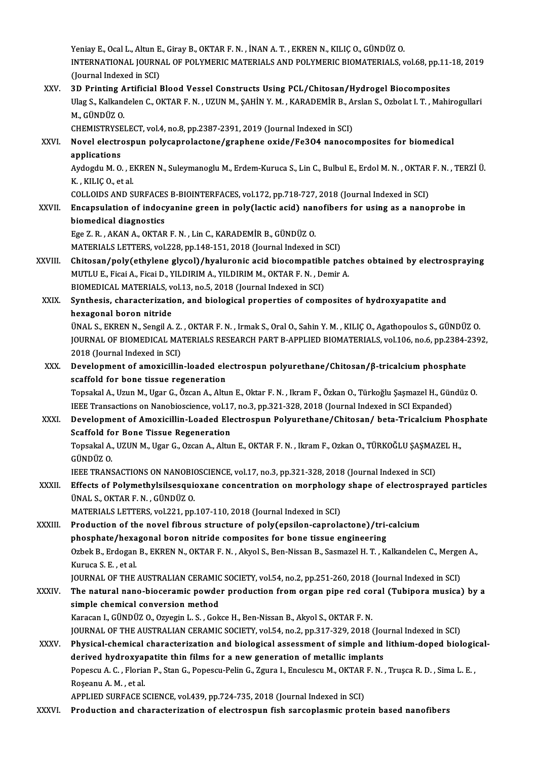Yeniay E., Ocal L., Altun E., Giray B., OKTAR F. N. , İNAN A. T. , EKREN N., KILIÇ O., GÜNDÜZ O.<br>INTERNATIONAL JOURNAL OE POLYMERIC MATERIALS AND POLYMERIC PIOMATERIALS . Yeniay E., Ocal L., Altun E., Giray B., OKTAR F. N. , İNAN A. T. , EKREN N., KILIÇ O., GÜNDÜZ O.<br>INTERNATIONAL JOURNAL OF POLYMERIC MATERIALS AND POLYMERIC BIOMATERIALS, vol.68, pp.11-18, 2019<br>(Jaunnal Indoved in SCI) Yeniay E., Ocal L., Altun E<br>INTERNATIONAL JOURN.<br>(Journal Indexed in SCI)<br>2D Printing Artificial I INTERNATIONAL JOURNAL OF POLYMERIC MATERIALS AND POLYMERIC BIOMATERIALS, vol.68, pp.11-<br>(Journal Indexed in SCI)<br>XXV. 3D Printing Artificial Blood Vessel Constructs Using PCL/Chitosan/Hydrogel Biocomposites<br>Illag S. Kalkan

## (Journal Indexed in SCI)<br>3D Printing Artificial Blood Vessel Constructs Using PCL/Chitosan/Hydrogel Biocomposites<br>Ulag S., Kalkandelen C., OKTAR F. N. , UZUN M., ŞAHİN Y. M. , KARADEMİR B., Arslan S., Ozbolat I. T. , Mahir 3D Printing Artificial Blood Vessel Constructs Using PCL/Chitosan/Hydrogel Biocomposites<br>Ulag S., Kalkandelen C., OKTAR F. N. , UZUN M., ŞAHİN Y. M. , KARADEMİR B., Arslan S., Ozbolat I. T. , Mahi<br>M., GÜNDÜZ O. Ulag S., Kalkandelen C., OKTAR F. N. , UZUN M., ŞAHİN Y. M. , KARADEMİR B., A:<br>M., GÜNDÜZ O.<br>CHEMISTRYSELECT, vol.4, no.8, pp.2387-2391, 2019 (Journal Indexed in SCI)<br>Novel electrospun polycannalastane (srapbane exide (5e3

CHEMISTRYSELECT, vol.4, no.8, pp.2387-2391, 2019 (Journal Indexed in SCI)

### XXVI. Novel electrospun polycaprolactone/graphene oxide/Fe3O4 nanocomposites for biomedical Novel electrospun polycaprolactone/graphene oxide/Fe3O4 nanocomposites for biomedical<br>applications<br>Aydogdu M. O. , EKREN N., Suleymanoglu M., Erdem-Kuruca S., Lin C., Bulbul E., Erdol M. N. , OKTAR F. N. , TERZİ Ü.<br>K. KU K

applications<br>Aydogdu M. O. , E.<br>K. , KILIÇ O., et al.<br>COLLOIDS AND S. Aydogdu M. O. , EKREN N., Suleymanoglu M., Erdem-Kuruca S., Lin C., Bulbul E., Erdol M. N. , OKTAR<br>K. , KILIÇ O., et al.<br>COLLOIDS AND SURFACES B-BIOINTERFACES, vol.172, pp.718-727, 2018 (Journal Indexed in SCI)<br>Enconculati

## K., KILIÇ 0., et al.<br>COLLOIDS AND SURFACES B-BIOINTERFACES, vol.172, pp.718-727, 2018 (Journal Indexed in SCI)<br>XXVII. Encapsulation of indocyanine green in poly(lactic acid) nanofibers for using as a nanoprobe in biomedical diagnostics

Ege Z.R. ,AKANA.,OKTARF.N. ,LinC.,KARADEMİRB.,GÜNDÜZO.

MATERIALS LETTERS, vol.228, pp.148-151, 2018 (Journal Indexed in SCI)

Ege Z. R. , AKAN A., OKTAR F. N. , Lin C., KARADEMIR B., GÜNDÜZ O.<br>MATERIALS LETTERS, vol.228, pp.148-151, 2018 (Journal Indexed in SCI)<br>XXVIII. Chitosan/poly(ethylene glycol)/hyaluronic acid biocompatible patches obtained MATERIALS LETTERS, vol.228, pp.148-151, 2018 (Journal Indexed in SCI)<br>Chitosan/poly(ethylene glycol)/hyaluronic acid biocompatible patc<br>MUTLU E., Ficai A., Ficai D., YILDIRIM A., YILDIRIM M., OKTAR F. N. , Demir A.<br>PIOMEDI Chitosan/poly(ethylene glycol)/hyaluronic acid biocompatible<br>MUTLU E., Ficai A., Ficai D., YILDIRIM A., YILDIRIM M., OKTAR F. N. , De<br>BIOMEDICAL MATERIALS, vol.13, no.5, 2018 (Journal Indexed in SCI)<br>Synthesia, characteriz MUTLU E., Ficai A., Ficai D., YILDIRIM A., YILDIRIM M., OKTAR F. N. , Demir A.<br>BIOMEDICAL MATERIALS, vol.13, no.5, 2018 (Journal Indexed in SCI)<br>XXIX. Synthesis, characterization, and biological properties of composites of

**BIOMEDICAL MATERIALS, v<br>Synthesis, characterization<br>hexagonal boron nitride<br>ÜNALS EEPENN SODELA** 

ÜNAL S.,EKRENN.,SengilA.Z. ,OKTARF.N. , IrmakS.,OralO.,SahinY.M. ,KILIÇO.,Agathopoulos S.,GÜNDÜZO. hexagonal boron nitride<br>ÜNAL S., EKREN N., Sengil A. Z. , OKTAR F. N. , Irmak S., Oral O., Sahin Y. M. , KILIÇ O., Agathopoulos S., GÜNDÜZ O.<br>JOURNAL OF BIOMEDICAL MATERIALS RESEARCH PART B-APPLIED BIOMATERIALS, vol.106, n UNAL S., EKREN N., Sengil A. Z.<br>JOURNAL OF BIOMEDICAL MA<br>2018 (Journal Indexed in SCI)<br>Dovelopment of amovisillin JOURNAL OF BIOMEDICAL MATERIALS RESEARCH PART B-APPLIED BIOMATERIALS, vol.106, no.6, pp.2384-2<br>2018 (Journal Indexed in SCI)<br>XXX. Development of amoxicillin-loaded electrospun polyurethane/Chitosan/β-tricalcium phosphate<br>

# 2018 (Journal Indexed in SCI)<br>Development of amoxicillin-loaded electrospun polyurethane/Chitosan/β-tricalcium phosphate<br>scaffold for bone tissue regeneration

TopsakalA.,UzunM.,UgarG.,ÖzcanA.,AltunE.,Oktar F.N. , IkramF.,ÖzkanO.,Türkoğlu ŞaşmazelH.,GündüzO. IEEE Transactions on Nanobioscience, vol.17, no.3, pp.321-328, 2018 (Journal Indexed in SCI Expanded) Topsakal A., Uzun M., Ugar G., Özcan A., Altun E., Oktar F. N. , Ikram F., Özkan O., Türkoğlu Şaşmazel H., Gündüz O.<br>IEEE Transactions on Nanobioscience, vol.17, no.3, pp.321-328, 2018 (Journal Indexed in SCI Expanded)<br>XXX

# IEEE Transactions on Nanobioscience, vol.17<br>Development of Amoxicillin-Loaded Ele<br>Scaffold for Bone Tissue Regeneration<br>Tensakal A. UZUN M. User G. Ozsan A. Altu Development of Amoxicillin-Loaded Electrospun Polyurethane/Chitosan/ beta-Tricalcium Pho:<br>Scaffold for Bone Tissue Regeneration<br>Topsakal A., UZUN M., Ugar G., Ozcan A., Altun E., OKTAR F. N. , Ikram F., Ozkan O., TÜRKOĞLU

Scaffold for Bone Tissue Regeneration<br>Topsakal A., UZUN M., Ugar G., Ozcan A., Altun E., OKTAR F. N. , Ikram F., Ozkan O., TÜRKOĞLU ŞAŞMAZEL H.,<br>GÜNDÜZ O.

IEEE TRANSACTIONS ON NANOBIOSCIENCE, vol.17, no.3, pp.321-328, 2018 (Journal Indexed in SCI)

## XXXI . Effects of Polymethylsilsesquioxane concentration onmorphology shape of electrosprayed particles ÜNAL S., OKTAR F. N. , GÜNDÜZ O.<br>MATERIALS LETTERS, vol.221, pp.107-110, 2018 (Journal Indexed in SCI) Effects of Polymethylsilsesquioxane concentration on morphology<br>ÜNAL S., OKTAR F. N. , GÜNDÜZ O.<br>MATERIALS LETTERS, vol.221, pp.107-110, 2018 (Journal Indexed in SCI)<br>Production of the novel fibrous structure of poly(epsil

UNAL S., OKTAR F. N. , GUNDUZ O.<br>MATERIALS LETTERS, vol.221, pp.107-110, 2018 (Journal Indexed in SCI)<br>XXXIII. Production of the novel fibrous structure of poly(epsilon-caprolactone)/tri-calcium<br>nhesphate (beyegonal beren MATERIALS LETTERS, vol.221, pp.107-110, 2018 (Journal Indexed in SCI)<br>Production of the novel fibrous structure of poly(epsilon-caprolactone)/tri-<br>phosphate/hexagonal boron nitride composites for bone tissue engineering<br>Or Ozbek B., Erdogan B., EKREN N., OKTAR F. N. , Akyol S., Ben-Nissan B., Sasmazel H. T. , Kalkandelen C., Mergen A.,<br>Kuruca S. E. , et al. phosphate/hexagonal boron nitride composites for bone tissue engineering Ozbek B., Erdogan B., EKREN N., OKTAR F. N. , Akyol S., Ben-Nissan B., Sasmazel H. T. , Kalkandelen C., Merge<br>Kuruca S. E. , et al.<br>JOURNAL OF THE AUSTRALIAN CERAMIC SOCIETY, vol.54, no.2, pp.251-260, 2018 (Journal Indexed

Kuruca S. E. , et al.<br>JOURNAL OF THE AUSTRALIAN CERAMIC SOCIETY, vol.54, no.2, pp.251-260, 2018 (Journal Indexed in SCI)<br>XXXIV. The natural nano-bioceramic powder production from organ pipe red coral (Tubipora musica) JOURNAL OF THE AUSTRALIAN CERAMIC<br>The natural nano-bioceramic powde<br>simple chemical conversion method<br>Karasan L CÜNDÜZ O Orvegin L S - Cok The natural nano-bioceramic powder production from organ pipe red coral (Tubipora musica) by a<br>simple chemical conversion method<br>Karacan I., GÜNDÜZ O., Ozyegin L. S. , Gokce H., Ben-Nissan B., Akyol S., OKTAR F. N. simple chemical conversion method<br>Karacan I., GÜNDÜZ O., Ozyegin L. S. , Gokce H., Ben-Nissan B., Akyol S., OKTAR F. N.<br>JOURNAL OF THE AUSTRALIAN CERAMIC SOCIETY, vol.54, no.2, pp.317-329, 2018 (Journal Indexed in SCI)<br>Phy

### XXXV. Physical-chemical characterization and biological assessment of simple and lithium-doped biological-JOURNAL OF THE AUSTRALIAN CERAMIC SOCIETY, vol.54, no.2, pp.317-329, 2018 (Journal of Simple and<br>Physical-chemical characterization and biological assessment of simple and<br>derived hydroxyapatite thin films for a new genera Physical-chemical characterization and biological assessment of simple and lithium-doped biologic<br>derived hydroxyapatite thin films for a new generation of metallic implants<br>Popescu A.C. , Florian P., Stan G., Popescu-Peli derived hydroxya<br>Popescu A. C. , Floria<br>Roșeanu A. M. , et al.<br>APPLEED SUPEACE S Popescu A. C. , Florian P., Stan G., Popescu-Pelin G., Zgura I., Enculescu M., OKTAR<br>Roşeanu A. M. , et al.<br>APPLIED SURFACE SCIENCE, vol.439, pp.724-735, 2018 (Journal Indexed in SCI)<br>Production and characterization of ale

Roșeanu A. M. , et al.<br>APPLIED SURFACE SCIENCE, vol.439, pp.724-735, 2018 (Journal Indexed in SCI)<br>XXXVI. Production and characterization of electrospun fish sarcoplasmic protein based nanofibers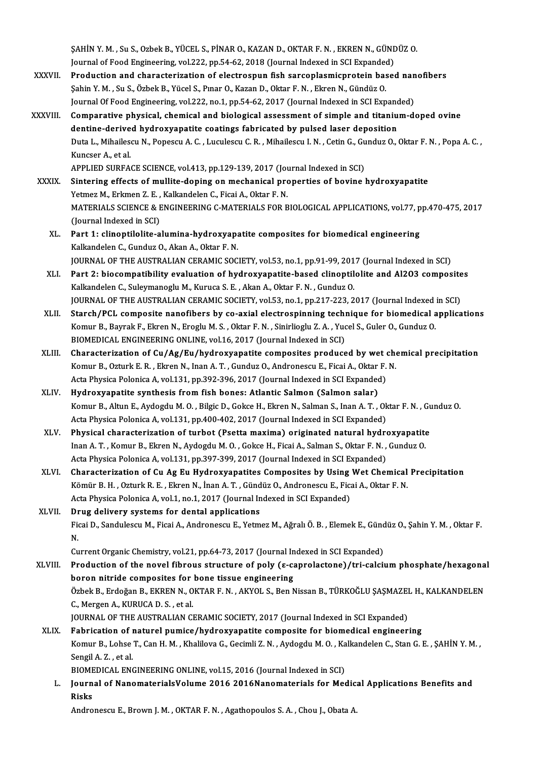ŞAHİNY.M. ,Su S.,OzbekB.,YÜCEL S.,PİNARO.,KAZAND.,OKTARF.N. ,EKRENN.,GÜNDÜZO. SAHİN Y. M. , Su S., Ozbek B., YÜCEL S., PİNAR O., KAZAN D., OKTAR F. N. , EKREN N., GÜNI<br>Journal of Food Engineering, vol.222, pp.54-62, 2018 (Journal Indexed in SCI Expanded)<br>Preduction and characterization of electrospu SAHİN Y. M. , Su S., Ozbek B., YÜCEL S., PİNAR O., KAZAN D., OKTAR F. N. , EKREN N., GÜNDÜZ O.<br>Journal of Food Engineering, vol.222, pp.54-62, 2018 (Journal Indexed in SCI Expanded)<br>XXXVII. Production and characterization

- Journal of Food Engineering, vol.222, pp.54-62, 2018 (Journal Indexed in SCI Expanded Production and characterization of electrospun fish sarcoplasmicprotein based in SCI Expanded Salin Y. M. , Su S., Özbek B., Yücel S., P Production and characterization of electrospun fish sarcoplasmicprotein based nan<br>Sahin Y. M. , Su S., Özbek B., Yücel S., Pınar O., Kazan D., Oktar F. N. , Ekren N., Gündüz O.<br>Journal Of Food Engineering, vol.222, no.1, p Sahin Y. M. , Su S., Özbek B., Yücel S., Pınar O., Kazan D., Oktar F. N. , Ekren N., Gündüz O.<br>Journal Of Food Engineering, vol.222, no.1, pp.54-62, 2017 (Journal Indexed in SCI Expanded)<br>XXXVIII. Comparative physical, Journal Of Food Engineering, vol.222, no.1, pp.54-62, 2017 (Journal Indexed in SCI Expanded)
- Duta L., Mihailescu N., Popescu A. C. , Luculescu C. R. , Mihailescu I. N. , Cetin G., Gunduz O., Oktar F. N. , Popa A. C. ,<br>Kuncser A.. et al. dentine-derived hydroxyapatite coatings fabricated by pulsed laser deposition Duta L., Mihailescu N., Popescu A. C. , Luculescu C. R. , Mihailescu I. N. , Cetin G., Gu<br>Kuncser A., et al.<br>APPLIED SURFACE SCIENCE, vol.413, pp.129-139, 2017 (Journal Indexed in SCI)<br>Sintering effects of mullite dening o

- XXXIX. Sintering effects of mullite-doping on mechanical properties of bovine hydroxyapatite<br>Yetmez M., Erkmen Z. E., Kalkandelen C., Ficai A., Oktar F. N. APPLIED SURFACE SCIENCE, vol.413, pp.129-139, 2017 (Journal Sintering effects of mullite-doping on mechanical proximency of Mattenal State F.N.<br>Yetmez M., Erkmen Z. E. , Kalkandelen C., Ficai A., Oktar F. N.<br>MATERIALS SCIE Sintering effects of mullite-doping on mechanical properties of bovine hydroxyapatite<br>Yetmez M., Erkmen Z. E. , Kalkandelen C., Ficai A., Oktar F. N.<br>MATERIALS SCIENCE & ENGINEERING C-MATERIALS FOR BIOLOGICAL APPLICATIONS, Yetmez M., Erkmen Z. E. ,<br>MATERIALS SCIENCE & E<br>(Journal Indexed in SCI)<br>Part 1: clinantilalite a XL. Part 1: clinoptilolite-alumina-hydroxyapatite composites for biomedical engineering
	- KalkandelenC.,GunduzO.,AkanA.,Oktar F.N. Part 1: clinoptilolite-alumina-hydroxyapatite composites for biomedical engineering<br>Kalkandelen C., Gunduz O., Akan A., Oktar F. N.<br>JOURNAL OF THE AUSTRALIAN CERAMIC SOCIETY, vol.53, no.1, pp.91-99, 2017 (Journal Indexed i
	- XLI. Part 2: biocompatibility evaluation of hydroxyapatite-based clinoptilolite and Al2O3 composites JOURNAL OF THE AUSTRALIAN CERAMIC SOCIETY, vol.53, no.1, pp.91-99, 201<br>Part 2: biocompatibility evaluation of hydroxyapatite-based clinoptil<br>Kalkandelen C., Suleymanoglu M., Kuruca S.E. , Akan A., Oktar F.N. , Gunduz O.<br>JO Part 2: biocompatibility evaluation of hydroxyapatite-based clinoptilolite and Al2O3 composite<br>Kalkandelen C., Suleymanoglu M., Kuruca S. E. , Akan A., Oktar F. N. , Gunduz O.<br>JOURNAL OF THE AUSTRALIAN CERAMIC SOCIETY, vol Kalkandelen C., Suleymanoglu M., Kuruca S. E. , Akan A., Oktar F. N. , Gunduz O.<br>JOURNAL OF THE AUSTRALIAN CERAMIC SOCIETY, vol.53, no.1, pp.217-223, 2017 (Journal Indexed in SCI)<br>XLII. Starch/PCL composite nanofibers by c
	- JOURNAL OF THE AUSTRALIAN CERAMIC SOCIETY, vol.53, no.1, pp.217-223, 2017 (Journal Indexed<br>Starch/PCL composite nanofibers by co-axial electrospinning technique for biomedical a<br>Komur B., Bayrak F., Ekren N., Eroglu M. S. Starch/PCL composite nanofibers by co-axial electrospinning technique for biomedical applications<br>Komur B., Bayrak F., Ekren N., Eroglu M. S. , Oktar F. N. , Sinirlioglu Z. A. , Yucel S., Guler O., Gunduz O.<br>BIOMEDICAL ENG Komur B., Bayrak F., Ekren N., Eroglu M. S. , Oktar F. N. , Sinirlioglu Z. A. , Yucel S., Guler O., Gunduz O.<br>BIOMEDICAL ENGINEERING ONLINE, vol.16, 2017 (Journal Indexed in SCI)<br>XLIII. Characterization of Cu/Ag/Eu/hydroxy
	- BIOMEDICAL ENGINEERING ONLINE, vol.16, 2017 (Journal Indexed in SCI)<br>Characterization of Cu/Ag/Eu/hydroxyapatite composites produced by wet chow<br>Komur B., Ozturk E. R. , Ekren N., Inan A. T. , Gunduz O., Andronescu E., Fic Characterization of Cu/Ag/Eu/hydroxyapatite composites produced by wet (<br>Komur B., Ozturk E. R. , Ekren N., Inan A. T. , Gunduz O., Andronescu E., Ficai A., Oktar F.<br>Acta Physica Polonica A, vol.131, pp.392-396, 2017 (Jour Komur B., Ozturk E. R. , Ekren N., Inan A. T. , Gunduz O., Andronescu E., Ficai A., Oktar F. N.<br>Acta Physica Polonica A, vol.131, pp.392-396, 2017 (Journal Indexed in SCI Expanded)<br>XLIV. Hydroxyapatite synthesis from f
	- KomurB.,AltunE.,AydogduM.O. ,BilgicD.,GokceH.,EkrenN.,SalmanS., InanA.T. ,Oktar F.N. ,GunduzO. Acta Physica Polonica A, vol.131, pp.400-402, 2017 (Journal Indexed in SCI Expanded) Komur B., Altun E., Aydogdu M. O. , Bilgic D., Gokce H., Ekren N., Salman S., Inan A. T. , Oktar F. N. , Gu<br>Acta Physica Polonica A, vol.131, pp.400-402, 2017 (Journal Indexed in SCI Expanded)<br>XLV. Physical characterizatio
	- Acta Physica Polonica A, vol.131, pp.400-402, 2017 (Journal Indexed in SCI Expanded)<br>Physical characterization of turbot (Psetta maxima) originated natural hydroxyapatite<br>Inan A. T. , Komur B., Ekren N., Aydogdu M. O. , Go Physical characterization of turbot (Psetta maxima) originated natural hydro<br>Inan A. T. , Komur B., Ekren N., Aydogdu M. O. , Gokce H., Ficai A., Salman S., Oktar F. N. ,<br>Acta Physica Polonica A, vol.131, pp.397-399, 2017 Inan A. T. , Komur B., Ekren N., Aydogdu M. O. , Gokce H., Ficai A., Salman S., Oktar F. N. , Gunduz O.<br>Acta Physica Polonica A, vol.131, pp.397-399, 2017 (Journal Indexed in SCI Expanded)<br>XLVI. Characterization of Cu Ag E
- Acta Physica Polonica A, vol.131, pp.397-399, 2017 (Journal Indexed in SCI Expanded)<br>Characterization of Cu Ag Eu Hydroxyapatites Composites by Using Wet Chemical<br>Kömür B. H. , Ozturk R. E. , Ekren N., İnan A. T. , Gündüz Characterization of Cu Ag Eu Hydroxyapatites Composites by Using<br>Kömür B. H. , Ozturk R. E. , Ekren N., İnan A. T. , Gündüz O., Andronescu E., Ficanded)<br>Acta Physica Polonica A, vol.1, no.1, 2017 (Journal Indexed in SCI Ex Kömür B. H. , Ozturk R. E. , Ekren N., İnan A. T. , Gündüz O., Andronescu E., Ficai A., Oktar F. N.<br>Acta Physica Polonica A, vol.1, no.1, 2017 (Journal Indexed in SCI Expanded)<br>XLVII. Drug delivery systems for dental a
- Acta Physica Polonica A, vol.1, no.1, 2017 (Journal Indexed in SCI Expanded)<br><mark>Drug delivery systems for dental applications</mark><br>Ficai D., Sandulescu M., Ficai A., Andronescu E., Yetmez M., Ağralı Ö. B. , Elemek E., Gündüz O., Dr<br>Fic<br>N. Ficai D., Sandulescu M., Ficai A., Andronescu E., Yetmez M., Ağralı Ö. B. , Elemek E., Günc<br>N.<br>Current Organic Chemistry, vol.21, pp.64-73, 2017 (Journal Indexed in SCI Expanded)<br>Production of the novel fibrous structure o N.<br>Current Organic Chemistry, vol.21, pp.64-73, 2017 (Journal Indexed in SCI Expanded)<br>XLVIII. Production of the novel fibrous structure of poly (ε-caprolactone)/tri-calcium phosphate/hexagonal

Current Organic Chemistry, vol.21, pp.64-73, 2017 (Journal In<br>Production of the novel fibrous structure of poly (ε-ca<br>boron nitride composites for bone tissue engineering<br>Örhel: P. Erdoğan B. EKPEN N. OKTAB E.N., AKYOLS, B Production of the novel fibrous structure of poly (ε-caprolactone)/tri-calcium phosphate/hexagona<br>boron nitride composites for bone tissue engineering<br>Özbek B., Erdoğan B., EKREN N., OKTAR F. N. , AKYOL S., Ben Nissan B., boron nitride composites for<br>Özbek B., Erdoğan B., EKREN N., O<br>C., Mergen A., KURUCA D. S. , et al.<br>JOUPNAL OF THE AUSTRALIAN C Özbek B., Erdoğan B., EKREN N., OKTAR F. N. , AKYOL S., Ben Nissan B., TÜRKOĞLU ŞAŞMAZEI<br>C., Mergen A., KURUCA D. S. , et al.<br>JOURNAL OF THE AUSTRALIAN CERAMIC SOCIETY, 2017 (Journal Indexed in SCI Expanded)<br>Febrisation of C., Mergen A., KURUCA D. S. , et al.<br>JOURNAL OF THE AUSTRALIAN CERAMIC SOCIETY, 2017 (Journal Indexed in SCI Expanded)<br>XLIX. Fabrication of naturel pumice/hydroxyapatite composite for biomedical engineering<br>Komur B. Johne

JOURNAL OF THE AUSTRALIAN CERAMIC SOCIETY, 2017 (Journal Indexed in SCI Expanded)<br>Fabrication of naturel pumice/hydroxyapatite composite for biomedical engineering<br>Komur B., Lohse T., Can H. M., Khalilova G., Gecimli Z. N. Fabri<mark>cation of 1</mark><br>Komur B., Lohse<br>Sengil A. Z. , et al.<br>PIOMEDICAL ENG Komur B., Lohse T., Can H. M. , Khalilova G., Gecimli Z. N. , Aydogdu M. O. , Ka<br>Sengil A. Z. , et al.<br>BIOMEDICAL ENGINEERING ONLINE, vol.15, 2016 (Journal Indexed in SCI)<br>Journal of NanomatarialaVolume 2016 2016Nanomatari

L. Journal of NanomaterialsVolume 2016 2016Nanomaterials for Medical Applications Benefits and BIOME<br>Journ<br>Risks<br>Andre

Andronescu E., Brown J. M., OKTAR F. N., Agathopoulos S. A., Chou J., Obata A.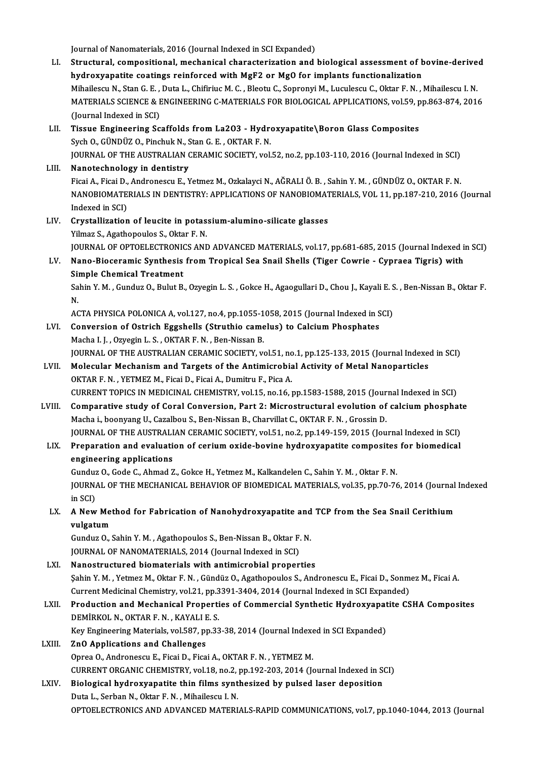Journal of Nanomaterials, 2016 (Journal Indexed in SCI Expanded)

- Journal of Nanomaterials, 2016 (Journal Indexed in SCI Expanded)<br>LI. Structural, compositional, mechanical characterization and biological assessment of bovine-derived<br>hydnowyanatite costings neinfoneed with MgE2 or MgO fo Journal of Nanomaterials, 2016 (Journal Indexed in SCI Expanded)<br>Structural, compositional, mechanical characterization and biological assessment of b<br>hydroxyapatite coatings reinforced with MgF2 or MgO for implants functi Structural, compositional, mechanical characterization and biological assessment of bovine-derive<br>hydroxyapatite coatings reinforced with MgF2 or Mg0 for implants functionalization<br>Mihailescu N., Stan G. E. , Duta L., Chif hydroxyapatite coatings reinforced with MgF2 or Mg0 for implants functionalization<br>Mihailescu N., Stan G. E. , Duta L., Chifiriuc M. C. , Bleotu C., Sopronyi M., Luculescu C., Oktar F. N. , Mihailescu I. N.<br>MATERIALS SCIEN Mihailescu N., Stan G. E. ,<br>MATERIALS SCIENCE & E<br>(Journal Indexed in SCI)<br>Tissue Engineering Sc MATERIALS SCIENCE & ENGINEERING C-MATERIALS FOR BIOLOGICAL APPLICATIONS, vol.59, p<br>(Journal Indexed in SCI)<br>LII. Tissue Engineering Scaffolds from La2O3 - Hydroxyapatite\Boron Glass Composites<br>Sych O. CÜNDÜZ O. Binchuk N.
- (Journal Indexed in SCI)<br>Tissue Engineering Scaffolds from La2O3 Hydro<br>Sych O., GÜNDÜZ O., Pinchuk N., Stan G. E. , OKTAR F. N.<br>JOUPNAL OF THE AUSTRALIAN CERAMIC SOCIETY vol Sych O., GÜNDÜZ O., Pinchuk N., Stan G. E. , OKTAR F. N.<br>JOURNAL OF THE AUSTRALIAN CERAMIC SOCIETY, vol.52, no.2, pp.103-110, 2016 (Journal Indexed in SCI)
- LIII. Nanotechnology in dentistry JOURNAL OF THE AUSTRALIAN CERAMIC SOCIETY, vol.52, no.2, pp.103-110, 2016 (Journal Indexed in SCI)<br><mark>Nanotechnology in dentistry</mark><br>Ficai A., Ficai D., Andronescu E., Yetmez M., Ozkalayci N., AĞRALI Ö. B. , Sahin Y. M. , GÜND NANOBIOMATERIALS IN DENTISTRY: APPLICATIONS OF NANOBIOMATERIALS, VOL 11, pp.187-210, 2016 (Journal Indexed in SCI) Ficai A., Ficai D.,<br>NANOBIOMATE<br>Indexed in SCI)<br>Crystallization NANOBIOMATERIALS IN DENTISTRY: APPLICATIONS OF NANOBIOMAT<br>Indexed in SCI)<br>LIV. Crystallization of leucite in potassium-alumino-silicate glasses<br>Vilmes S. Assthonoules S. Olter E. N.
- Indexed in SCI)<br>Crystallization of leucite in potas<br>Yilmaz S., Agathopoulos S., Oktar F. N.<br>JOUPMAL OF OPTOFLECTRONICS AND Yilmaz S., Agathopoulos S., Oktar F. N.<br>JOURNAL OF OPTOELECTRONICS AND ADVANCED MATERIALS, vol.17, pp.681-685, 2015 (Journal Indexed in SCI) Yilmaz S., Agathopoulos S., Oktar F. N.<br>JOURNAL OF OPTOELECTRONICS AND ADVANCED MATERIALS, vol.17, pp.681-685, 2015 (Journal Indexed in<br>LV. Nano-Bioceramic Synthesis from Tropical Sea Snail Shells (Tiger Cowrie - Cypra

# JOURNAL OF OPTOELECTRONIC<br>Nano-Bioceramic Synthesis<br>Simple Chemical Treatment<br>Sahin Y.M., Cunduz O. Bulut B Nano-Bioceramic Synthesis from Tropical Sea Snail Shells (Tiger Cowrie - Cypraea Tigris) with<br>Simple Chemical Treatment<br>Sahin Y. M. , Gunduz O., Bulut B., Ozyegin L. S. , Gokce H., Agaogullari D., Chou J., Kayali E. S. , B

Sil<br>Sa<br>N. Sahin Y. M. , Gunduz O., Bulut B., Ozyegin L. S. , Gokce H., Agaogullari D., Chou J., Kayali E. S.<br>N.<br>ACTA PHYSICA POLONICA A, vol.127, no.4, pp.1055-1058, 2015 (Journal Indexed in SCI)<br>Conversion of Ostrich Eggebolls (Str

N.<br>ACTA PHYSICA POLONICA A, vol.127, no.4, pp.1055-1058, 2015 (Journal Indexed in SCI)<br>LVI. Conversion of Ostrich Eggshells (Struthio camelus) to Calcium Phosphates

- Macha I. J., Ozyegin L. S., OKTAR F. N., Ben-Nissan B. Conversion of Ostrich Eggshells (Struthio camelus) to Calcium Phosphates<br>Macha I. J. , Ozyegin L. S. , OKTAR F. N. , Ben-Nissan B.<br>JOURNAL OF THE AUSTRALIAN CERAMIC SOCIETY, vol.51, no.1, pp.125-133, 2015 (Journal Indexed Macha I. J. , Ozyegin L. S. , OKTAR F. N. , Ben-Nissan B.<br>JOURNAL OF THE AUSTRALIAN CERAMIC SOCIETY, vol.51, no.1, pp.125-133, 2015 (Journal Indexeroly II.<br>LVII. Molecular Mechanism and Targets of the Antimicrobial Activit
- JOURNAL OF THE AUSTRALIAN CERAMIC SOCIETY, vol.51, no<br>Molecular Mechanism and Targets of the Antimicrobia<br>OKTAR F. N. , YETMEZ M., Ficai D., Ficai A., Dumitru F., Pica A.<br>CURRENT TORICS IN MEDICINAL CHEMISTRY vol.15, no.16 Molecular Mechanism and Targets of the Antimicrobial Activity of Metal Nanoparticles<br>OKTAR F. N. , YETMEZ M., Ficai D., Ficai A., Dumitru F., Pica A.<br>CURRENT TOPICS IN MEDICINAL CHEMISTRY, vol.15, no.16, pp.1583-1588, 2015

- OKTAR F. N. , YETMEZ M., Ficai D., Ficai A., Dumitru F., Pica A.<br>CURRENT TOPICS IN MEDICINAL CHEMISTRY, vol.15, no.16, pp.1583-1588, 2015 (Journal Indexed in SCI)<br>LVIII. Comparative study of Coral Conversion, Part 2: Micro Macha i., boonyang U., Cazalbou S., Ben-Nissan B., Charvillat C., OKTAR F. N., Grossin D. Comparative study of Coral Conversion, Part 2: Microstructural evolution of calcium phosphat<br>Macha i., boonyang U., Cazalbou S., Ben-Nissan B., Charvillat C., OKTAR F. N. , Grossin D.<br>JOURNAL OF THE AUSTRALIAN CERAMIC SOCI JOURNAL OF THE AUSTRALIAN CERAMIC SOCIETY, vol.51, no.2, pp.149-159, 2015 (Journal Indexed in SCI)
- LIX. Preparation and evaluation of cerium oxide-bovine hydroxyapatite composites for biomedical engineering applications Preparation and evaluation of cerium oxide-bovine hydroxyapatite composites<br>engineering applications<br>Gunduz O., Gode C., Ahmad Z., Gokce H., Yetmez M., Kalkandelen C., Sahin Y. M. , Oktar F. N.<br>JOUPMAL OF THE MECHANICAL PE

JOURNAL OF THE MECHANICAL BEHAVIOR OF BIOMEDICAL MATERIALS, vol.35, pp.70-76, 2014 (Journal Indexed<br>in SCI) Gunduz<br>JOURNA<br>in SCI)<br>A Now JOURNAL OF THE MECHANICAL BEHAVIOR OF BIOMEDICAL MATERIALS, vol.35, pp.70-76, 2014 (Journal<br>in SCI)<br>LX. A New Method for Fabrication of Nanohydroxyapatite and TCP from the Sea Snail Cerithium<br>welcotium

in SCI)<br>**A New Met**<br>vulgatum<br>Gunduz O S A New Method for Fabrication of Nanohydroxyapatite and<br>vulgatum<br>Gunduz O., Sahin Y. M. , Agathopoulos S., Ben-Nissan B., Oktar F. N.<br>JOUPNAL OE NANOMATERIALS 2014 (Journal Indexed in SCD

vulgatum<br>Gunduz O., Sahin Y. M. , Agathopoulos S., Ben-Nissan B., Oktar F.<br>JOURNAL OF NANOMATERIALS, 2014 (Journal Indexed in SCI)<br>Nanostrustured biomaterials with antimisrabial proner: Gunduz O., Sahin Y. M., Agathopoulos S., Ben-Nissan B., Oktar F. N.<br>JOURNAL OF NANOMATERIALS, 2014 (Journal Indexed in SCI)<br>LXI. Nanostructured biomaterials with antimicrobial properties<br>Sahin Y. M., Yotmar M. Oktar E. N.,

JOURNAL OF NANOMATERIALS, 2014 (Journal Indexed in SCI)<br><mark>Nanostructured biomaterials with antimicrobial properties</mark><br>Şahin Y. M. , Yetmez M., Oktar F. N. , Gündüz O., Agathopoulos S., Andronescu E., Ficai D., Sonmez M., Fic Nanostructured biomaterials with antimicrobial properties<br>Sahin Y. M. , Yetmez M., Oktar F. N. , Gündüz O., Agathopoulos S., Andronescu E., Ficai D., Sonm<br>Current Medicinal Chemistry, vol.21, pp.3391-3404, 2014 (Journal In Sahin Y. M. , Yetmez M., Oktar F. N. , Gündüz O., Agathopoulos S., Andronescu E., Ficai D., Sonmez M., Ficai A.<br>Current Medicinal Chemistry, vol.21, pp.3391-3404, 2014 (Journal Indexed in SCI Expanded)<br>LXII. Production and Current Medicinal Chemistry, vol.21, pp.3391-3404, 2014 (Journal Indexed in SCI Expanded)

# Production and Mechanical Properties of Commercial Synthetic Hydroxyapatite CSHA Composites<br>DEMİRKOL N., OKTAR F. N., KAYALI E. S.<br>Key Engineering Materials, vol.587, pp.33-38, 2014 (Journal Indexed in SCI Expanded)<br>ZnO Ap DEMIRKOL N., OKTAR F. N. , KAYALI E. S.<br>Key Engineering Materials, vol.587, pp.33-38, 2014 (Journal Indexe<br>LXIII. ZnO Applications and Challenges<br>Oprea O., Andronescu E., Ficai D., Ficai A., OKTAR F. N. , YETMEZ M.

Key Engineering Materials, vol.587, pp.33-38, 2014 (Journal Indexed in SCI Expanded)

ZnO Applications and Challenges<br>Oprea O., Andronescu E., Ficai D., Ficai A., OKTAR F. N. , YETMEZ M.<br>CURRENT ORGANIC CHEMISTRY, vol.18, no.2, pp.192-203, 2014 (Journal Indexed in SCI)<br>Biological bydrovyanatite thin films s

### Oprea O., Andronescu E., Ficai D., Ficai A., OKTAR F. N. , YETMEZ M.<br>CURRENT ORGANIC CHEMISTRY, vol.18, no.2, pp.192-203, 2014 (Journal Indexed in Status LXIV.<br>LXIV. Biological hydroxyapatite thin films synthesized by puls CURRENT ORGANIC CHEMISTRY, vol.18, no.2,<br>Biological hydroxyapatite thin films synt<br>Duta L., Serban N., Oktar F. N. , Mihailescu I. N.<br>OPTOELECTRONICS AND ADVANCED MATERL Biological hydroxyapatite thin films synthesized by pulsed laser deposition<br>Duta L., Serban N., Oktar F. N. , Mihailescu I. N.<br>OPTOELECTRONICS AND ADVANCED MATERIALS-RAPID COMMUNICATIONS, vol.7, pp.1040-1044, 2013 (Journal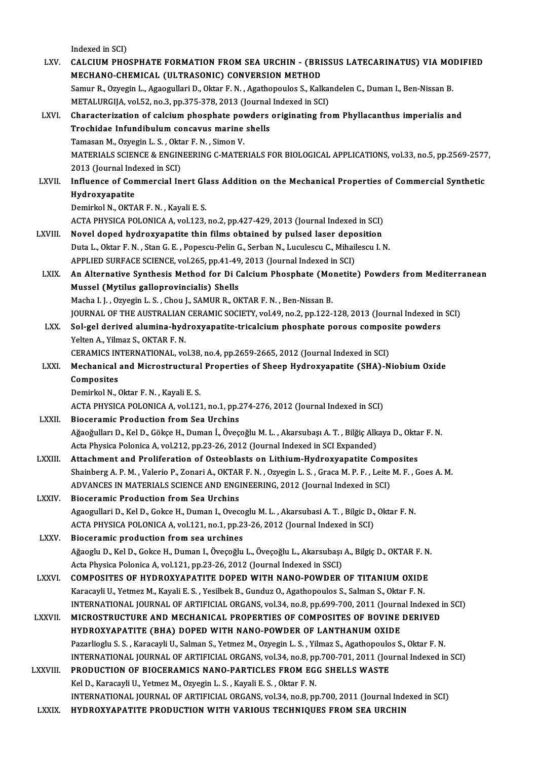|               | Indexed in SCI)                                                                                                                                                     |
|---------------|---------------------------------------------------------------------------------------------------------------------------------------------------------------------|
| LXV.          | CALCIUM PHOSPHATE FORMATION FROM SEA URCHIN - (BRISSUS LATECARINATUS) VIA MODIFIED                                                                                  |
|               | MECHANO-CHEMICAL (ULTRASONIC) CONVERSION METHOD                                                                                                                     |
|               | Samur R., Ozyegin L., Agaogullari D., Oktar F. N., Agathopoulos S., Kalkandelen C., Duman I., Ben-Nissan B.                                                         |
| LXVI.         | METALURGIJA, vol.52, no.3, pp.375-378, 2013 (Journal Indexed in SCI)<br>Characterization of calcium phosphate powders originating from Phyllacanthus imperialis and |
|               | Trochidae Infundibulum concavus marine shells                                                                                                                       |
|               | Tamasan M., Ozyegin L. S., Oktar F. N., Simon V.                                                                                                                    |
|               | MATERIALS SCIENCE & ENGINEERING C-MATERIALS FOR BIOLOGICAL APPLICATIONS, vol.33, no.5, pp.2569-2577,                                                                |
|               | 2013 (Journal Indexed in SCI)                                                                                                                                       |
| <b>LXVII</b>  | Influence of Commercial Inert Glass Addition on the Mechanical Properties of Commercial Synthetic                                                                   |
|               | Hydroxyapatite                                                                                                                                                      |
|               | Demirkol N., OKTAR F. N., Kayali E. S.                                                                                                                              |
|               | ACTA PHYSICA POLONICA A, vol.123, no.2, pp.427-429, 2013 (Journal Indexed in SCI)                                                                                   |
| LXVIII.       | Novel doped hydroxyapatite thin films obtained by pulsed laser deposition                                                                                           |
|               | Duta L., Oktar F. N., Stan G. E., Popescu-Pelin G., Serban N., Luculescu C., Mihailescu I. N.                                                                       |
|               | APPLIED SURFACE SCIENCE, vol.265, pp.41-49, 2013 (Journal Indexed in SCI)                                                                                           |
| <b>LXIX</b>   | An Alternative Synthesis Method for Di Calcium Phosphate (Monetite) Powders from Mediterranean                                                                      |
|               | Mussel (Mytilus galloprovincialis) Shells                                                                                                                           |
|               | Macha I. J., Ozyegin L. S., Chou J., SAMUR R., OKTAR F. N., Ben-Nissan B.                                                                                           |
|               | JOURNAL OF THE AUSTRALIAN CERAMIC SOCIETY, vol.49, no.2, pp.122-128, 2013 (Journal Indexed in SCI)                                                                  |
| LXX.          | Sol-gel derived alumina-hydroxyapatite-tricalcium phosphate porous composite powders                                                                                |
|               | Yelten A., Yilmaz S., OKTAR F. N.                                                                                                                                   |
|               | CERAMICS INTERNATIONAL, vol.38, no.4, pp.2659-2665, 2012 (Journal Indexed in SCI)                                                                                   |
| <b>LXXI</b>   | Mechanical and Microstructural Properties of Sheep Hydroxyapatite (SHA)-Niobium Oxide<br>Composites                                                                 |
|               | Demirkol N., Oktar F. N., Kayali E. S.                                                                                                                              |
|               | ACTA PHYSICA POLONICA A, vol.121, no.1, pp.274-276, 2012 (Journal Indexed in SCI)                                                                                   |
| <b>LXXII</b>  | <b>Bioceramic Production from Sea Urchins</b>                                                                                                                       |
|               | Ağaoğulları D., Kel D., Gökçe H., Duman İ., Öveçoğlu M. L. , Akarsubaşı A. T. , Bilğiç Alkaya D., Oktar F. N.                                                       |
|               | Acta Physica Polonica A, vol.212, pp.23-26, 2012 (Journal Indexed in SCI Expanded)                                                                                  |
| LXXIII.       | Attachment and Proliferation of Osteoblasts on Lithium-Hydroxyapatite Composites                                                                                    |
|               | Shainberg A. P. M., Valerio P., Zonari A., OKTAR F. N., Ozyegin L. S., Graca M. P. F., Leite M. F., Goes A. M.                                                      |
|               | ADVANCES IN MATERIALS SCIENCE AND ENGINEERING, 2012 (Journal Indexed in SCI)                                                                                        |
| <b>LXXIV</b>  | <b>Bioceramic Production from Sea Urchins</b>                                                                                                                       |
|               | Agaogullari D., Kel D., Gokce H., Duman I., Ovecoglu M. L., Akarsubasi A. T., Bilgic D., Oktar F. N.                                                                |
|               | ACTA PHYSICA POLONICA A, vol.121, no.1, pp.23-26, 2012 (Journal Indexed in SCI)                                                                                     |
| <b>LXXV</b>   | Bioceramic production from sea urchines                                                                                                                             |
|               | Ağaoglu D., Kel D., Gokce H., Duman I., Öveçoğlu L., Öveçoğlu L., Akarsubaşı A., Bilgiç D., OKTAR F. N.                                                             |
|               | Acta Physica Polonica A, vol.121, pp.23-26, 2012 (Journal Indexed in SSCI)                                                                                          |
| <b>LXXVI</b>  | COMPOSITES OF HYDROXYAPATITE DOPED WITH NANO-POWDER OF TITANIUM OXIDE                                                                                               |
|               | Karacayli U., Yetmez M., Kayali E. S., Yesilbek B., Gunduz O., Agathopoulos S., Salman S., Oktar F. N.                                                              |
|               | INTERNATIONAL JOURNAL OF ARTIFICIAL ORGANS, vol.34, no.8, pp.699-700, 2011 (Journal Indexed in SCI)                                                                 |
| <b>LXXVII</b> | MICROSTRUCTURE AND MECHANICAL PROPERTIES OF COMPOSITES OF BOVINE DERIVED<br>HYDROXYAPATITE (BHA) DOPED WITH NANO-POWDER OF LANTHANUM OXIDE                          |
|               | Pazarlioglu S. S., Karacayli U., Salman S., Yetmez M., Ozyegin L. S., Yilmaz S., Agathopoulos S., Oktar F. N.                                                       |
|               | INTERNATIONAL JOURNAL OF ARTIFICIAL ORGANS, vol.34, no.8, pp.700-701, 2011 (Journal Indexed in SCI)                                                                 |
| LXXVIII.      | PRODUCTION OF BIOCERAMICS NANO-PARTICLES FROM EGG SHELLS WASTE                                                                                                      |
|               | Kel D., Karacayli U., Yetmez M., Ozyegin L. S., Kayali E. S., Oktar F. N.                                                                                           |
|               | INTERNATIONAL JOURNAL OF ARTIFICIAL ORGANS, vol.34, no.8, pp.700, 2011 (Journal Indexed in SCI)                                                                     |
| LXXIX.        | HYDROXYAPATITE PRODUCTION WITH VARIOUS TECHNIQUES FROM SEA URCHIN                                                                                                   |
|               |                                                                                                                                                                     |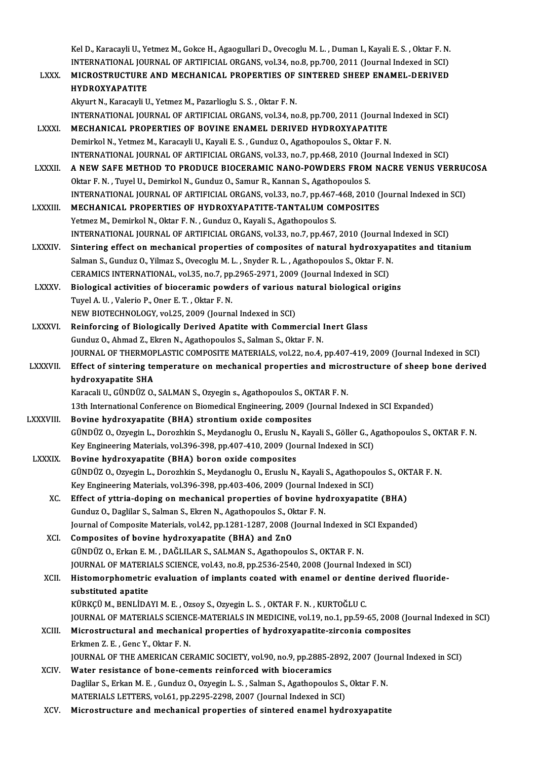Kel D., Karacayli U., Yetmez M., Gokce H., Agaogullari D., Ovecoglu M. L. , Duman I., Kayali E. S. , Oktar F. N<br>INTERNATIONAL JOURNAL OF ARTIFICIAL ORGANS, vol.24, no.9, np.700, 2011 (Journal Indoved in SCD) Kel D., Karacayli U., Yetmez M., Gokce H., Agaogullari D., Ovecoglu M. L. , Duman I., Kayali E. S. , Oktar F. N<br>INTERNATIONAL JOURNAL OF ARTIFICIAL ORGANS, vol.34, no.8, pp.700, 2011 (Journal Indexed in SCI)<br>MICROSTRUGTURE Kel D., Karacayli U., Yetmez M., Gokce H., Agaogullari D., Ovecoglu M. L. , Duman I., Kayali E. S. , Oktar F. N.<br>INTERNATIONAL JOURNAL OF ARTIFICIAL ORGANS, vol.34, no.8, pp.700, 2011 (Journal Indexed in SCI)<br>LXXX. MICROST

INTERNATIONAL JOURNAL OF ARTIFICIAL ORGANS, vol.34, no.8, pp.700, 2011 (Journal Indexed in SCI)<br>MICROSTRUCTURE AND MECHANICAL PROPERTIES OF SINTERED SHEEP ENAMEL-DERIVED<br>HYDROXYAPATITE<br>Akyurt N., Karacayli U., Yetmez M., P MICROSTRUCTURE AND MECHANICAL PROPERTIES OF SINTERED SHEEP ENAMEL-DERIVED HYDROXYAPATITE<br>Akyurt N., Karacayli U., Yetmez M., Pazarlioglu S. S. , Oktar F. N.<br>INTERNATIONAL JOURNAL OF ARTIFICIAL ORGANS, vol.34, no.8, pp.700, 2011 (Journal Indexed in SCI)<br>MECHANICAL PROPERTIES OF POVINE ENAMEL DERI Akyurt N., Karacayli U., Yetmez M., Pazarlioglu S. S., Oktar F. N.<br>INTERNATIONAL JOURNAL OF ARTIFICIAL ORGANS, vol.34, no.8, pp.700, 2011 (Journal<br>LXXXI. MECHANICAL PROPERTIES OF BOVINE ENAMEL DERIVED HYDROXYAPATITE INTERNATIONAL JOURNAL OF ARTIFICIAL ORGANS, vol.34, no.8, pp.700, 2011 (Journal<br>MECHANICAL PROPERTIES OF BOVINE ENAMEL DERIVED HYDROXYAPATITE<br>Demirkol N., Yetmez M., Karacayli U., Kayali E. S. , Gunduz O., Agathopoulos S., MECHANICAL PROPERTIES OF BOVINE ENAMEL DERIVED HYDROXYAPATITE<br>Demirkol N., Yetmez M., Karacayli U., Kayali E. S. , Gunduz O., Agathopoulos S., Oktar F. N.<br>INTERNATIONAL JOURNAL OF ARTIFICIAL ORGANS, vol.33, no.7, pp.468, 2 Demirkol N., Yetmez M., Karacayli U., Kayali E. S. , Gunduz O., Agathopoulos S., Oktar F. N.<br>INTERNATIONAL JOURNAL OF ARTIFICIAL ORGANS, vol.33, no.7, pp.468, 2010 (Journal Indexed in SCI)<br>LXXXII. A NEW SAFE METHOD TO PROD INTERNATIONAL JOURNAL OF ARTIFICIAL ORGANS, vol.33, no.7, pp.468, 2010 (Jo<br>A NEW SAFE METHOD TO PRODUCE BIOCERAMIC NANO-POWDERS FROM<br>Oktar F. N., Tuyel U., Demirkol N., Gunduz O., Samur R., Kannan S., Agathopoulos S.<br>INTER A NEW SAFE METHOD TO PRODUCE BIOCERAMIC NANO-POWDERS FROM NACRE VENUS VERRUO<br>Oktar F. N. , Tuyel U., Demirkol N., Gunduz O., Samur R., Kannan S., Agathopoulos S.<br>INTERNATIONAL JOURNAL OF ARTIFICIAL ORGANS, vol.33, no.7, pp Oktar F. N. , Tuyel U., Demirkol N., Gunduz O., Samur R., Kannan S., Agathopoulos S.<br>INTERNATIONAL JOURNAL OF ARTIFICIAL ORGANS, vol.33, no.7, pp.467-468, 2010 (Journal Indexed in SCI)<br>LXXXIII. MECHANICAL PROPERTIES OF HYD Yetmez M., Demirkol N., Oktar F. N., Gunduz O., Kayali S., Agathopoulos S. MECHANICAL PROPERTIES OF HYDROXYAPATITE-TANTALUM COMPOSITES<br>Yetmez M., Demirkol N., Oktar F. N. , Gunduz O., Kayali S., Agathopoulos S.<br>INTERNATIONAL JOURNAL OF ARTIFICIAL ORGANS, vol.33, no.7, pp.467, 2010 (Journal Indexe Yetmez M., Demirkol N., Oktar F. N. , Gunduz O., Kayali S., Agathopoulos S.<br>INTERNATIONAL JOURNAL OF ARTIFICIAL ORGANS, vol.33, no.7, pp.467, 2010 (Journal Indexed in SCI)<br>LXXXIV. Sintering effect on mechanical properties INTERNATIONAL JOURNAL OF ARTIFICIAL ORGANS, vol.33, no.7, pp.467, 2010 (Journal l<br>Sintering effect on mechanical properties of composites of natural hydroxyap<br>Salman S., Gunduz O., Yilmaz S., Ovecoglu M. L. , Snyder R. L. Sintering effect on mechanical properties of composites of natural hydroxyapatites and titanium<br>Salman S., Gunduz O., Yilmaz S., Ovecoglu M. L. , Snyder R. L. , Agathopoulos S., Oktar F. N.<br>CERAMICS INTERNATIONAL, vol.35, Salman S., Gunduz O., Yilmaz S., Ovecoglu M. L., Snyder R. L., Agathopoulos S., Oktar F. N.<br>CERAMICS INTERNATIONAL, vol.35, no.7, pp.2965-2971, 2009 (Journal Indexed in SCI)<br>LXXXV. Biological activities of bioceramic powde CERAMICS INTERNATIONAL, vol.35, no.7, pp<br>Biological activities of bioceramic power<br>Tuyel A. U. , Valerio P., Oner E. T. , Oktar F. N.<br>NEW PIOTECUNOLOCY vol.35, 2000 (Journe Biological activities of bioceramic powders of various<br>Tuyel A. U. , Valerio P., Oner E. T. , Oktar F. N.<br>NEW BIOTECHNOLOGY, vol.25, 2009 (Journal Indexed in SCI)<br>Beinforging of Biologically Derived Apatite with Comm Tuyel A. U. , Valerio P., Oner E. T. , Oktar F. N.<br>NEW BIOTECHNOLOGY, vol.25, 2009 (Journal Indexed in SCI)<br>LXXXVI. Reinforcing of Biologically Derived Apatite with Commercial Inert Glass Gunduz O., Ahmad Z., Ekren N., Agathopoulos S., Salman S., Oktar F. N. Reinforcing of Biologically Derived Apatite with Commercial Inert Glass<br>Gunduz O., Ahmad Z., Ekren N., Agathopoulos S., Salman S., Oktar F. N.<br>JOURNAL OF THERMOPLASTIC COMPOSITE MATERIALS, vol.22, no.4, pp.407-419, 2009 (J Gunduz O., Ahmad Z., Ekren N., Agathopoulos S., Salman S., Oktar F. N.<br>JOURNAL OF THERMOPLASTIC COMPOSITE MATERIALS, vol.22, no.4, pp.407-419, 2009 (Journal Indexed in SCI)<br>LXXXVII. Effect of sintering temperature on mecha **JOURNAL OF THERMOP**<br>Effect of sintering te<br>hydroxyapatite SHA<br>Karasali II, CÜNDÜZ O Effect of sintering temperature on mechanical properties and microstructure of sheep bone derived<br>hydroxyapatite SHA<br>Karacali U., GÜNDÜZ O., SALMAN S., Ozyegin s., Agathopoulos S., OKTAR F. N. 13th International Conference on Biomedical Engineering, 2009 (Journal Indexed in SCI Expanded) LXXXVIII. Bovine hydroxyapatite (BHA) strontium oxide composites 13th International Conference on Biomedical Engineering, 2009 (Journal Indexed in SCI Expanded)<br>Bovine hydroxyapatite (BHA) strontium oxide composites<br>GÜNDÜZ O., Ozyegin L., Dorozhkin S., Meydanoglu O., Eruslu N., Kayali S Bovine hydroxyapatite (BHA) strontium oxide composites<br>GÜNDÜZ O., Ozyegin L., Dorozhkin S., Meydanoglu O., Eruslu N., Kayali S., Göller G., A<br>Key Engineering Materials, vol.396-398, pp.407-410, 2009 (Journal Indexed in SCI GÜNDÜZ O., Ozyegin L., Dorozhkin S., Meydanoglu O., Eruslu N.<br>Key Engineering Materials, vol.396-398, pp.407-410, 2009 (Journal LXXXIX. Bovine hydroxyapatite (BHA) boron oxide composites Key Engineering Materials, vol.396-398, pp.407-410, 2009 (Journal Indexed in SCI)<br>Bovine hydroxyapatite (BHA) boron oxide composites<br>GÜNDÜZ O., Ozyegin L., Dorozhkin S., Meydanoglu O., Eruslu N., Kayali S., Agathopoulos S. Bovine hydroxyapatite (BHA) boron oxide composites<br>GÜNDÜZ O., Ozyegin L., Dorozhkin S., Meydanoglu O., Eruslu N., Kayali S., Agathopou<br>Key Engineering Materials, vol.396-398, pp.403-406, 2009 (Journal Indexed in SCI)<br>Effec GÜNDÜZ O., Ozyegin L., Dorozhkin S., Meydanoglu O., Eruslu N., Kayali S., Agathopoulos S., OK<br>Key Engineering Materials, vol.396-398, pp.403-406, 2009 (Journal Indexed in SCI)<br>XC. Effect of yttria-doping on mechanical prop Key Engineering Materials, vol.396-398, pp.403-406, 2009 (Journal Indept)<br>Effect of yttria-doping on mechanical properties of bovine hydenduz O., Daglilar S., Salman S., Ekren N., Agathopoulos S., Oktar F. N. Effect of yttria-doping on mechanical properties of bovine hydroxyapatite (BHA)<br>Gunduz O., Daglilar S., Salman S., Ekren N., Agathopoulos S., Oktar F. N.<br>Journal of Composite Materials, vol.42, pp.1281-1287, 2008 (Journal Gunduz O., Daglilar S., Salman S., Ekren N., Agathopoulos S., Oktar F. N.<br>Journal of Composite Materials, vol.42, pp.1281-1287, 2008 (Journal Indexed in SCI Expanded)<br>XCI. Composites of bovine hydroxyapatite (BHA) and ZnO Journal of Composite Materials, vol.42, pp.1281-1287, 2008 (Journal Indexed in<br>Composites of bovine hydroxyapatite (BHA) and ZnO<br>GÜNDÜZ O., Erkan E. M. , DAĞLILAR S., SALMAN S., Agathopoulos S., OKTAR F. N.<br>JOURNAL OE MATE Composites of bovine hydroxyapatite (BHA) and ZnO<br>GÜNDÜZ O., Erkan E. M. , DAĞLILAR S., SALMAN S., Agathopoulos S., OKTAR F. N.<br>JOURNAL OF MATERIALS SCIENCE, vol.43, no.8, pp.2536-2540, 2008 (Journal Indexed in SCI)<br>Histom GÜNDÜZ 0., Erkan E. M. , DAĞLILAR S., SALMAN S., Agathopoulos S., OKTAR F. N.<br>JOURNAL OF MATERIALS SCIENCE, vol.43, no.8, pp.2536-2540, 2008 (Journal Indexed in SCI)<br>XCII. Histomorphometric evaluation of implants coated wi **JOURNAL OF MATERL<br>Histomorphometric<br>substituted apatite<br>KÜPKCÜ M. PENLIDA** Histomorphometric evaluation of implants coated with enamel or dentin<br>substituted apatite<br>KÜRKÇÜ M., BENLİDAYI M. E. , Ozsoy S., Ozyegin L. S. , OKTAR F. N. , KURTOĞLU C.<br>JOUPNAL OF MATERIALS SCIENCE MATERIALS IN MEDICINE substituted apatite<br>KÜRKÇÜ M., BENLİDAYI M. E. , Ozsoy S., Ozyegin L. S. , OKTAR F. N. , KURTOĞLU C.<br>JOURNAL OF MATERIALS SCIENCE-MATERIALS IN MEDICINE, vol.19, no.1, pp.59-65, 2008 (Journal Indexed in SCI)<br>Misrostrustural KÜRKÇÜ M., BENLİDAYI M. E. , Ozsoy S., Ozyegin L. S. , OKTAR F. N. , KURTOĞLU C.<br>JOURNAL OF MATERIALS SCIENCE-MATERIALS IN MEDICINE, vol.19, no.1, pp.59-65, 2008 (Jo<br>XCIII. Microstructural and mechanical properties of hydr **JOURNAL OF MATERIALS SCIENC<br>Microstructural and mechani<br>Erkmen Z. E. , Genc Y., Oktar F. N.**<br>JOURNAL OF THE AMERICAN CEL Microstructural and mechanical properties of hydroxyapatite-zirconia composites<br>Erkmen Z. E. , Genc Y., Oktar F. N.<br>JOURNAL OF THE AMERICAN CERAMIC SOCIETY, vol.90, no.9, pp.2885-2892, 2007 (Journal Indexed in SCI)<br>Water r Erkmen Z. E., Genc Y., Oktar F. N.<br>JOURNAL OF THE AMERICAN CERAMIC SOCIETY, vol.90, no.9, pp.2885-2<br>XCIV. Water resistance of bone-cements reinforced with bioceramics<br>Deciller S. Erken M. E., Cundur O. Owesin J. S. Selmen JOURNAL OF THE AMERICAN CERAMIC SOCIETY, vol.90, no.9, pp.2885-2892, 2007 (Jou<br>Water resistance of bone-cements reinforced with bioceramics<br>Daglilar S., Erkan M. E. , Gunduz O., Ozyegin L. S. , Salman S., Agathopoulos S., XCIV. Water resistance of bone-cements reinforced with bioceramics<br>Daglilar S., Erkan M. E., Gunduz O., Ozyegin L. S., Salman S., Agathopoulos S., Oktar F. N.<br>MATERIALS LETTERS, vol.61, pp.2295-2298, 2007 (Journal Indexed XCV. Microstructure andmechanical properties of sintered enamel hydroxyapatite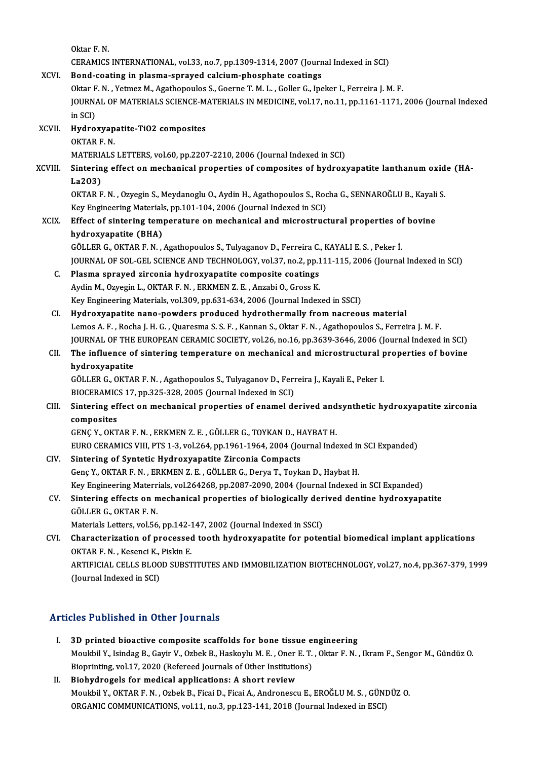Oktar F.N. Oktar F. N.<br>CERAMICS INTERNATIONAL, vol.33, no.7, pp.1309-1314, 2007 (Journal Indexed in SCI)<br>Bond coating in pleame ennaved selsium phoephate sectings Oktar F. N.<br>CERAMICS INTERNATIONAL, vol.33, no.7, pp.1309-1314, 2007 (Journ<br>XCVI. Bond-coating in plasma-sprayed calcium-phosphate coatings<br>Oktar E. N. Vetmer M. Assthanoules S. George T. M. L. Geller G. Inc CERAMICS INTERNATIONAL, vol.33, no.7, pp.1309-1314, 2007 (Journal Indexed in SCI)<br>Bond-coating in plasma-sprayed calcium-phosphate coatings<br>Oktar F. N., Yetmez M., Agathopoulos S., Goerne T. M. L., Goller G., Ipeker I., Fe Bond-coating in plasma-sprayed calcium-phosphate coatings<br>Oktar F. N. , Yetmez M., Agathopoulos S., Goerne T. M. L. , Goller G., Ipeker I., Ferreira J. M. F.<br>JOURNAL OF MATERIALS SCIENCE-MATERIALS IN MEDICINE, vol.17, no.1 Oktar F<br>JOURNA<br>in SCI)<br>Hydro JOURNAL OF MATERIALS SCIENCE-M.<br>in SCI)<br>XCVII. Hydroxyapatite-TiO2 composites<br>OVTAP E N in SCI)<br><mark>Hydroxyap</mark><br>OKTAR F. N.<br>MATERIALS OKTAR F. N.<br>MATERIALS LETTERS, vol.60, pp.2207-2210, 2006 (Journal Indexed in SCI) OKTAR F. N.<br>MATERIALS LETTERS, vol.60, pp.2207-2210, 2006 (Journal Indexed in SCI)<br>XCVIII. Sintering effect on mechanical properties of composites of hydroxyapatite lanthanum oxide (HA-MATERIA<br>Sinterin<br>La2O3)<br>OKTAR E Sintering effect on mechanical properties of composites of hydroxyapatite lanthanum oxid<br>La2O3)<br>OKTAR F. N. , Ozyegin S., Meydanoglu O., Aydin H., Agathopoulos S., Rocha G., SENNAROĞLU B., Kayali S.<br>Kay Engineering Materia La2O3)<br>OKTAR F. N. , Ozyegin S., Meydanoglu O., Aydin H., Agathopoulos S., Rocha G., SENNAROĞLU B., Kayali S.<br>Key Engineering Materials, pp.101-104, 2006 (Journal Indexed in SCI) OKTAR F. N. , Ozyegin S., Meydanoglu O., Aydin H., Agathopoulos S., Rocha G., SENNAROĞLU B., Kayali<br>Key Engineering Materials, pp.101-104, 2006 (Journal Indexed in SCI)<br>XCIX. Effect of sintering temperature on mechanical a Key Engineering Material:<br>Effect of sintering tem<br>hydroxyapatite (BHA)<br>CÖLLER C. OKTAR E.N. Effect of sintering temperature on mechanical and microstructural properties of<br>hydroxyapatite (BHA)<br>GÖLLER G., OKTAR F. N. , Agathopoulos S., Tulyaganov D., Ferreira C., KAYALI E. S. , Peker İ.<br>JOUPNAL OF SOL CEL SCIENCE hydroxyapatite (BHA)<br>GÖLLER G., OKTAR F. N. , Agathopoulos S., Tulyaganov D., Ferreira C., KAYALI E. S. , Peker İ.<br>JOURNAL OF SOL-GEL SCIENCE AND TECHNOLOGY, vol.37, no.2, pp.111-115, 2006 (Journal Indexed in SCI)<br>Plasma a GÖLLER G., OKTAR F. N. , Agathopoulos S., Tulyaganov D., Ferreira C., KAYALI E. S. , Peker İ.<br>JOURNAL OF SOL-GEL SCIENCE AND TECHNOLOGY, vol.37, no.2, pp.111-115, 2006 (Journal<br>C. Plasma sprayed zirconia hydroxyapatite com JOURNAL OF SOL-GEL SCIENCE AND TECHNOLOGY, vol.37, no.2, pp.1<br>Plasma sprayed zirconia hydroxyapatite composite coatings<br>Aydin M., Ozyegin L., OKTAR F. N. , ERKMEN Z. E. , Anzabi O., Gross K.<br>Kay Engineering Materials vol.3 Key Engineering Materials, vol.309, pp.631-634, 2006 (Journal Indexed in SSCI) CI. Hydroxyapatite nano-powders produced hydrothermally from nacreous material Lemos A.F., Rocha J.H.G., Quaresma S.S.F., Kannan S., Oktar F.N., Agathopoulos S., Ferreira J.M.F. Hydroxyapatite nano-powders produced hydrothermally from nacreous material<br>Lemos A. F. , Rocha J. H. G. , Quaresma S. S. F. , Kannan S., Oktar F. N. , Agathopoulos S., Ferreira J. M. F.<br>JOURNAL OF THE EUROPEAN CERAMIC SOCI Lemos A. F. , Rocha J. H. G. , Quaresma S. S. F. , Kannan S., Oktar F. N. , Agathopoulos S., Ferreira J. M. F.<br>JOURNAL OF THE EUROPEAN CERAMIC SOCIETY, vol.26, no.16, pp.3639-3646, 2006 (Journal Indexed in SCI)<br>CII. The in **JOURNAL OF THE<br>The influence of**<br>hydroxyapatite<br>CÖULER C. OYTA CII. The influence of sintering temperature on mechanical and microstructural properties of bovine<br>hydroxyapatite GÖLLER G., OKTAR F. N., Agathopoulos S., Tulyaganov D., Ferreira J., Kayali E., Peker I. GÖLLER G., OKTAR F. N. , Agathopoulos S., Tulyaganov D., Ferreira J., Kayali E., Peker I.<br>BIOCERAMICS 17, pp.325-328, 2005 (Journal Indexed in SCI)<br>CIII. Sintering effect on mechanical properties of enamel derived andsynth BIOCERAMICS 17, pp.325-328, 2005 (Journal Indexed in SCI)<br>Sintering effect on mechanical properties of enamel derived and<br>composites<br>GENÇ Y., OKTAR F. N., ERKMEN Z. E., GÖLLER G., TOYKAN D., HAYBAT H. Sintering effect on mechanical properties of enamel derived and<br>composites<br>GENÇ Y., OKTAR F. N. , ERKMEN Z. E. , GÖLLER G., TOYKAN D., HAYBAT H.<br>EURO CERAMICS VIII. PTS 1-2, Vol 264, pp.1961-1964, 2004 (Journal Inde EURO CERAMICS VIII, PTS 1-3, vol.264, pp.1961-1964, 2004 (Journal Indexed in SCI Expanded) CIV. Sintering of Syntetic Hydroxyapatite Zirconia Compacts GençY.,OKTARF.N. ,ERKMENZ.E. ,GÖLLERG.,DeryaT.,ToykanD.,HaybatH. Key Engineering Materrials, vol.264268, pp.2087-2090, 2004 (Journal Indexed in SCI Expanded) Genç Y., OKTAR F. N. , ERKMEN Z. E. , GÖLLER G., Derya T., Toykan D., Haybat H.<br>Key Engineering Materrials, vol.264268, pp.2087-2090, 2004 (Journal Indexed in SCI Expanded)<br>CV. Sintering effects on mechanical properties of Key Engineering Materr<br>Sintering effects on n<br>GÖLLER G., OKTAR F. N.<br>Materials Letters vol 56 Sintering effects on mechanical properties of biologically der<br>GÖLLER G., OKTAR F. N.<br>Materials Letters, vol.56, pp.142-147, 2002 (Journal Indexed in SSCI)<br>Characterization of processed tooth hydroxyanatite for poter GÖLLER G., OKTAR F. N.<br>Materials Letters, vol.56, pp.142-147, 2002 (Journal Indexed in SSCI)<br>CVI. Characterization of processed tooth hydroxyapatite for potential biomedical implant applications<br>OKTAR F. N. Kesensi K. Bisk Materials Letters, vol.56, pp.142-1<br>Characterization of processed<br>OKTAR F. N. , Kesenci K., Piskin E.<br>APTIEICIAL CELLS PLOOD SUPST Characterization of processed tooth hydroxyapatite for potential biomedical implant applications<br>OKTAR F. N. , Kesenci K., Piskin E.<br>ARTIFICIAL CELLS BLOOD SUBSTITUTES AND IMMOBILIZATION BIOTECHNOLOGY, vol.27, no.4, pp.367 OKTAR F. N. , Kesenci K., Piskin E.<br>ARTIFICIAL CELLS BLOOD SUBSTITUTES AND IMMOBILIZATION BIOTECHNOLOGY, vol.27, no.4, pp.367-379, 1999<br>(Journal Indexed in SCI)

### Articles Published in Other Journals

- I. 3D printed bioactive composite scaffolds for bone tissue engineering Moukbil Y., Isindag III och har journalis<br>3D printed bioactive composite scaffolds for bone tissue engineering<br>Moukbil Y., Isindag B., Gayir V., Ozbek B., Haskoylu M. E. , Oner E. T. , Oktar F. N. , Ikram F., Sengor M., Gü 3D printed bioactive composite scaffolds for bone tissue e<br>Moukbil Y., Isindag B., Gayir V., Ozbek B., Haskoylu M. E. , Oner E. T.<br>Bioprinting, vol.17, 2020 (Refereed Journals of Other Institutions) Bioprinting, vol.17, 2020 (Refereed Journals of Other Institutions)<br>II. Biohydrogels for medical applications: A short review
- Bioprinting, vol.17, 2020 (Refereed Journals of Other Institutions)<br>Biohydrogels for medical applications: A short review<br>Moukbil Y., OKTAR F. N. , Ozbek B., Ficai D., Ficai A., Andronescu E., EROĞLU M. S. , GÜNDÜZ O.<br>ORGA Biohydrogels for medical applications: A short review<br>Moukbil Y., OKTAR F. N. , Ozbek B., Ficai D., Ficai A., Andronescu E., EROĞLU M. S. , GÜNI<br>ORGANIC COMMUNICATIONS, vol.11, no.3, pp.123-141, 2018 (Journal Indexed in ES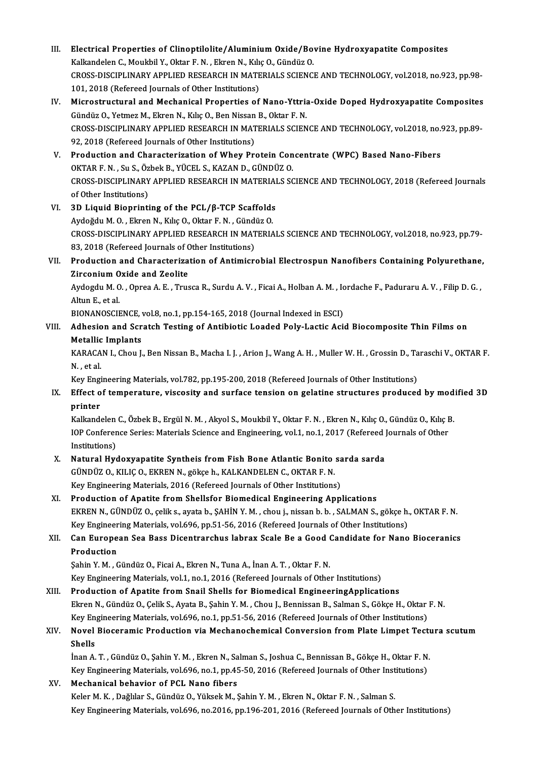III. Electrical Properties of Clinoptilolite/Aluminium Oxide/Bovine Hydroxyapatite Composites<br>Kalispdelen G. Moukbil V. Oktar E.N., Elman N. Kike O. Gündüz O. Electrical Properties of Clinoptilolite/Aluminium Oxide/Bo<br>Kalkandelen C., Moukbil Y., Oktar F. N. , Ekren N., Kılıç O., Gündüz O.<br>CPOSS DISCIPLINARY APRLIED RESEARCH IN MATERIALS SCIENC CROSS-DISCIPLINARY APPLIED RESEARCH IN MATERIALS SCIENCE AND TECHNOLOGY, vol.2018, no.923, pp.98-<br>101, 2018 (Refereed Journals of Other Institutions) Kalkandelen C., Moukbil Y., Oktar F. N., Ekren N., Kılıç O., Gündüz O. CROSS-DISCIPLINARY APPLIED RESEARCH IN MATERIALS SCIENCE AND TECHNOLOGY, vol.2018, no.923, pp.98-<br>101, 2018 (Refereed Journals of Other Institutions)<br>IV. Microstructural and Mechanical Properties of Nano-Yttria-Oxide Doped 101, 2018 (Refereed Journals of Other Institutions)<br>Microstructural and Mechanical Properties of Nano-Yttria<br>Gündüz O., Yetmez M., Ekren N., Kılıç O., Ben Nissan B., Oktar F. N.<br>CPOSS DISCIPLINARY ARRUED RESEARCH IN MATERI Microstructural and Mechanical Properties of Nano-Yttria-Oxide Doped Hydroxyapatite Composites<br>Gündüz O., Yetmez M., Ekren N., Kılıç O., Ben Nissan B., Oktar F. N.<br>CROSS-DISCIPLINARY APPLIED RESEARCH IN MATERIALS SCIENCE A Gündüz O., Yetmez M., Ekren N., Kılıç O., Ben Nissan<br>CROSS-DISCIPLINARY APPLIED RESEARCH IN MAT<br>92, 2018 (Refereed Journals of Other Institutions)<br>Production and Characterization of Whoy Pr CROSS-DISCIPLINARY APPLIED RESEARCH IN MATERIALS SCIENCE AND TECHNOLOGY, vol.2018, no.<br>92, 2018 (Refereed Journals of Other Institutions)<br>V. Production and Characterization of Whey Protein Concentrate (WPC) Based Nano-Fibe 92, 2018 (Refereed Journals of Other Institutions)<br>Production and Characterization of Whey Protein Con<br>OKTAR F. N. , Su S., Özbek B., YÜCEL S., KAZAN D., GÜNDÜZ O.<br>CPOSS DISCIPLINARY APPLIED RESEARCH IN MATERIALS SC Production and Characterization of Whey Protein Concentrate (WPC) Based Nano-Fibers<br>OKTAR F. N. , Su S., Özbek B., YÜCEL S., KAZAN D., GÜNDÜZ O.<br>CROSS-DISCIPLINARY APPLIED RESEARCH IN MATERIALS SCIENCE AND TECHNOLOGY, 2018 OKTAR F. N. , Su S., Özbek B., YÜCEL S., KAZAN D., GÜNDÜZ O.<br>CROSS-DISCIPLINARY APPLIED RESEARCH IN MATERIALS SCIENCE AND TECHNOLOGY, 2018 (Refereed Journals<br>of Other Institutions) VI. 3D Liquid Bioprinting of the PCL/β-TCP Scaffolds of Other Institutions)<br>3D Liquid Bioprinting of the PCL/β-TCP Scaffolds<br>Aydoğdu M.O., Ekren N., Kılıç O., Oktar F. N. , Gündüz O.<br>CROSS DISCIRLINARY ARRLIED RESEARCH IN MATERLA 3D Liquid Bioprinting of the PCL/β-TCP Scaffolds<br>Aydoğdu M. O. , Ekren N., Kılıç O., Oktar F. N. , Gündüz O.<br>CROSS-DISCIPLINARY APPLIED RESEARCH IN MATERIALS SCIENCE AND TECHNOLOGY, vol.2018, no.923, pp.79-<br>92.2018 (Refer Aydoğdu M. O. , Ekren N., Kılıç O., Oktar F. N. , Günd<br>CROSS-DISCIPLINARY APPLIED RESEARCH IN MAT<br>83, 2018 (Refereed Journals of Other Institutions)<br>Production and Characterization of Antimian CROSS-DISCIPLINARY APPLIED RESEARCH IN MATERIALS SCIENCE AND TECHNOLOGY, vol.2018, no.923, pp.79-<br>83, 2018 (Refereed Journals of Other Institutions)<br>VII. Production and Characterization of Antimicrobial Electrospun Nanofib 83, 2018 (Refereed Journals of C<br>Production and Characteriza<br>Zirconium Oxide and Zeolite<br>Audardu M.O. Opres A.E. True Production and Characterization of Antimicrobial Electrospun Nanofibers Containing Polyurethane<br>Zirconium Oxide and Zeolite<br>Aydogdu M. O. , Oprea A. E. , Trusca R., Surdu A. V. , Ficai A., Holban A. M. , Iordache F., Padur Zi<mark>rconium O</mark><br>Aydogdu M. O<br>Altun E., et al.<br>PIONANOSCU Aydogdu M. O. , Oprea A. E. , Trusca R., Surdu A. V. , Ficai A., Holban A. M. , Io<br>Altun E., et al.<br>BIONANOSCIENCE, vol.8, no.1, pp.154-165, 2018 (Journal Indexed in ESCI)<br>Adhesian and Serateh Testing of Antibiotic Loaded Altun E., et al.<br>BIONANOSCIENCE, vol.8, no.1, pp.154-165, 2018 (Journal Indexed in ESCI)<br>VIII. Adhesion and Scratch Testing of Antibiotic Loaded Poly-Lactic Acid Biocomposite Thin Films on<br>Metallic Implants BIONANOSCIENCE, vol.8, no.1, pp.154-165, 2018 (Journal Indexed in ESCI) Adhesion and Scratch Testing of Antibiotic Loaded Poly-Lactic Acid Biocomposite Thin Films on<br>Metallic Implants<br>KARACAN I., Chou J., Ben Nissan B., Macha I. J. , Arion J., Wang A. H. , Muller W. H. , Grossin D., Taraschi V Metallic<br>KARACA<br>N. , et al.<br>Kov Engi KARACAN I., Chou J., Ben Nissan B., Macha I. J. , Arion J., Wang A. H. , Muller W. H. , Grossin D., Ta<br>N. , et al.<br>Key Engineering Materials, vol.782, pp.195-200, 2018 (Refereed Journals of Other Institutions)<br>Effect of te N. , et al.<br>Key Engineering Materials, vol.782, pp.195-200, 2018 (Refereed Journals of Other Institutions)<br>IX. Effect of temperature, viscosity and surface tension on gelatine structures produced by modified 3D<br>printer Key Engineering Materials, vol.782, pp.195-200, 2018 (Refereed Journals of Other Institutions) Effect of temperature, viscosity and surface tension on gelatine structures produced by mod<br>printer<br>Kalkandelen C., Özbek B., Ergül N. M. , Akyol S., Moukbil Y., Oktar F. N. , Ekren N., Kılıç O., Gündüz O., Kılıç B.<br>JOB Co **printer**<br>Kalkandelen C., Özbek B., Ergül N. M. , Akyol S., Moukbil Y., Oktar F. N. , Ekren N., Kılıç O., Gündüz O., Kılıç I<br>IOP Conference Series: Materials Science and Engineering, vol.1, no.1, 2017 (Refereed Journals of Kalkandelen<br>IOP Conferen<br>Institutions)<br>Natural Hy IOP Conference Series: Materials Science and Engineering, vol.1, no.1, 2017 (Refereed ]<br>Institutions)<br>X. Natural Hydoxyapatite Syntheis from Fish Bone Atlantic Bonito sarda sarda<br>CÜNDÜZ O, KU IC O, EKREN N, GÖLGON, KALKAND Institutions)<br>Natural Hydoxyapatite Syntheis from Fish Bone Atlantic Bonito<br>GÜNDÜZ O., KILIÇ O., EKREN N., gökçe h., KALKANDELEN C., OKTAR F. N.<br>Kov Engineering Meterials 2016 (Refereed Jaurnals of Other Institutions Natural Hydoxyapatite Syntheis from Fish Bone Atlantic Bonito sa<br>GÜNDÜZ O., KILIÇ O., EKREN N., gökçe h., KALKANDELEN C., OKTAR F. N.<br>Key Engineering Materials, 2016 (Refereed Journals of Other Institutions)<br>Production of GÜNDÜZ O., KILIÇ O., EKREN N., gökçe h., KALKANDELEN C., OKTAR F. N.<br>Key Engineering Materials, 2016 (Refereed Journals of Other Institutions)<br>XI. Production of Apatite from Shellsfor Biomedical Engineering Applications EKREN N., GÜNDÜZ O., çelik s., ayata b., ŞAHİN Y. M., chou j., nissan b. b., SALMAN S., gökçe h., OKTAR F. N. Production of Apatite from Shellsfor Biomedical Engineering Applications<br>EKREN N., GÜNDÜZ O., çelik s., ayata b., ŞAHİN Y. M. , chou j., nissan b. b. , SALMAN S., gökçe h.<br>Key Engineering Materials, vol.696, pp.51-56, 2016 EKREN N., GÜNDÜZ O., çelik s., ayata b., ŞAHİN Y. M. , chou j., nissan b. b. , SALMAN S., gökçe h., OKTAR F. N.<br>Key Engineering Materials, vol.696, pp.51-56, 2016 (Refereed Journals of Other Institutions)<br>XII. Can European Key Engineer<br>Can Europe<br>Production<br>Sabin Y.M. G Can European Sea Bass Dicentrarchus labrax Scale Be a Good (<br>Production<br>Şahin Y. M. , Gündüz O., Ficai A., Ekren N., Tuna A., İnan A. T. , Oktar F. N.<br>Kay Engineering Materials vol 1, no 1, 2016 (Pefereed Journals of Othe Production<br>Şahin Y. M. , Gündüz O., Ficai A., Ekren N., Tuna A., İnan A. T. , Oktar F. N.<br>Key Engineering Materials, vol.1, no.1, 2016 (Refereed Journals of Other Institutions) XIII. Production of Apatite from Snail Shells for Biomedical EngineeringApplications Key Engineering Materials, vol.1, no.1, 2016 (Refereed Journals of Other Institutions)<br>Production of Apatite from Snail Shells for Biomedical EngineeringApplications<br>Ekren N., Gündüz O., Çelik S., Ayata B., Şahin Y. M. , C Production of Apatite from Snail Shells for Biomedical EngineeringApplications<br>Ekren N., Gündüz O., Çelik S., Ayata B., Şahin Y. M. , Chou J., Bennissan B., Salman S., Gökçe H., Oktar<br>Key Engineering Materials, vol.696, no Ekren N., Gündüz O., Çelik S., Ayata B., Şahin Y. M. , Chou J., Bennissan B., Salman S., Gökçe H., Oktar F. N.<br>Key Engineering Materials, vol.696, no.1, pp.51-56, 2016 (Refereed Journals of Other Institutions)<br>XIV. Novel B Key Engineering Materials, vol.696, no.1, pp.51-56, 2016 (Refereed Journals of Other Institutions)<br>Novel Bioceramic Production via Mechanochemical Conversion from Plate Limpet Tect<br>Shells Novel Bioceramic Production via Mechanochemical Conversion from Plate Limpet Tect<mark><br>Shells</mark><br>İnan A.T. , Gündüz O., Şahin Y. M. , Ekren N., Salman S., Joshua C., Bennissan B., Gökçe H., Oktar F. N.<br>Kay Engineering Materials Inan A. T. , Gündüz O., Şahin Y. M. , Ekren N., Salman S., Joshua C., Bennissan B., Gökçe H., Oktar F. N.<br>Key Engineering Materials, vol.696, no.1, pp.45-50, 2016 (Refereed Journals of Other Institutions)<br>Mechanical behavi Inan A. T., Gündüz O., Şahin Y. M., Ekren N., Sa<br>Key Engineering Materials, vol.696, no.1, pp.45<br>XV. Mechanical behavior of PCL Nano fibers Key Engineering Materials, vol.696, no.1, pp.45-50, 2016 (Refereed Journals of Other Inst<br>Mechanical behavior of PCL Nano fibers<br>Keler M. K. , Dağlılar S., Gündüz O., Yüksek M., Şahin Y. M. , Ekren N., Oktar F. N. , Salman Keler M. K. , Dağlılar S., Gündüz O., Yüksek M., Şahin Y. M. , Ekren N., Oktar F. N. , Salman S.<br>Key Engineering Materials, vol.696, no.2016, pp.196-201, 2016 (Refereed Journals of Other Institutions)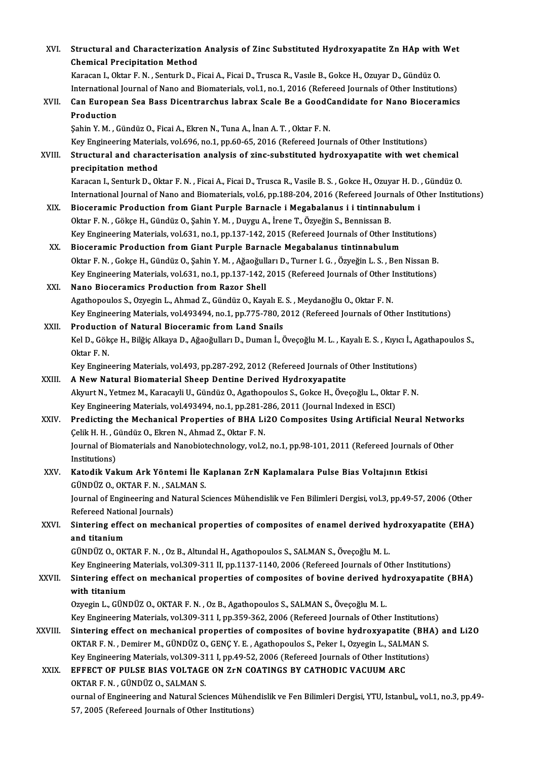| XVI.    | Structural and Characterization Analysis of Zinc Substituted Hydroxyapatite Zn HAp with Wet                               |
|---------|---------------------------------------------------------------------------------------------------------------------------|
|         | <b>Chemical Precipitation Method</b>                                                                                      |
|         | Karacan I., Oktar F. N., Senturk D., Ficai A., Ficai D., Trusca R., Vasıle B., Gokce H., Ozuyar D., Gündüz O.             |
|         | International Journal of Nano and Biomaterials, vol.1, no.1, 2016 (Refereed Journals of Other Institutions)               |
| XVII.   | Can European Sea Bass Dicentrarchus labrax Scale Be a GoodCandidate for Nano Bioceramics                                  |
|         | Production                                                                                                                |
|         | Şahin Y. M., Gündüz O., Ficai A., Ekren N., Tuna A., İnan A. T., Oktar F. N.                                              |
|         | Key Engineering Materials, vol.696, no.1, pp.60-65, 2016 (Refereed Journals of Other Institutions)                        |
| XVIII.  | Structural and characterisation analysis of zinc-substituted hydroxyapatite with wet chemical                             |
|         | precipitation method                                                                                                      |
|         | Karacan I., Senturk D., Oktar F. N., Ficai A., Ficai D., Trusca R., Vasile B. S., Gokce H., Ozuyar H. D., Gündüz O.       |
|         | International Journal of Nano and Biomaterials, vol.6, pp.188-204, 2016 (Refereed Journals of Other Institutions)         |
| XIX.    | Bioceramic Production from Giant Purple Barnacle i Megabalanus i i tintinnabulum i                                        |
|         | Oktar F. N., Gökçe H., Gündüz O., Şahin Y. M., Duygu A., İrene T., Özyeğin S., Bennissan B.                               |
|         | Key Engineering Materials, vol.631, no.1, pp.137-142, 2015 (Refereed Journals of Other Institutions)                      |
| XX.     | Bioceramic Production from Giant Purple Barnacle Megabalanus tintinnabulum                                                |
|         | Oktar F. N., Gokçe H., Gündüz O., Şahin Y. M., Ağaoğulları D., Turner I. G., Özyeğin L. S., Ben Nissan B.                 |
|         | Key Engineering Materials, vol.631, no.1, pp.137-142, 2015 (Refereed Journals of Other Institutions)                      |
| XXI.    | Nano Bioceramics Production from Razor Shell                                                                              |
|         | Agathopoulos S., Ozyegin L., Ahmad Z., Gündüz O., Kayalı E. S., Meydanoğlu O., Oktar F. N.                                |
|         | Key Engineering Materials, vol.493494, no.1, pp.775-780, 2012 (Refereed Journals of Other Institutions)                   |
| XXII.   | Production of Natural Bioceramic from Land Snails                                                                         |
|         | Kel D., Gökçe H., Bilğiç Alkaya D., Ağaoğulları D., Duman İ., Öveçoğlu M. L. , Kayalı E. S. , Kıyıcı İ., Agathapoulos S., |
|         | Oktar F N                                                                                                                 |
|         | Key Engineering Materials, vol.493, pp.287-292, 2012 (Refereed Journals of Other Institutions)                            |
| XXIII.  | A New Natural Biomaterial Sheep Dentine Derived Hydroxyapatite                                                            |
|         | Akyurt N., Yetmez M., Karacayli U., Gündüz O., Agathopoulos S., Gokce H., Öveçoğlu L., Oktar F. N.                        |
|         | Key Engineering Materials, vol.493494, no.1, pp.281-286, 2011 (Journal Indexed in ESCI)                                   |
| XXIV.   | Predicting the Mechanical Properties of BHA Li2O Composites Using Artificial Neural Networks                              |
|         | Çelik H. H., Gündüz O., Ekren N., Ahmad Z., Oktar F. N.                                                                   |
|         | Journal of Biomaterials and Nanobiotechnology, vol.2, no.1, pp.98-101, 2011 (Refereed Journals of Other                   |
|         | Institutions)                                                                                                             |
| XXV.    | Katodik Vakum Ark Yöntemi İle Kaplanan ZrN Kaplamalara Pulse Bias Voltajının Etkisi                                       |
|         | GÜNDÜZ O., OKTAR F. N., SALMAN S.                                                                                         |
|         | Journal of Engineering and Natural Sciences Mühendislik ve Fen Bilimleri Dergisi, vol.3, pp.49-57, 2006 (Other            |
|         | Refereed National Journals)                                                                                               |
| XXVI.   | Sintering effect on mechanical properties of composites of enamel derived hydroxyapatite (EHA)                            |
|         | and titanium                                                                                                              |
|         | GÜNDÜZ O., OKTAR F. N., Oz B., Altundal H., Agathopoulos S., SALMAN S., Öveçoğlu M. L.                                    |
|         | Key Engineering Materials, vol.309-311 II, pp.1137-1140, 2006 (Refereed Journals of Other Institutions)                   |
| XXVII.  | Sintering effect on mechanical properties of composites of bovine derived hydroxyapatite (BHA)                            |
|         | with titanium                                                                                                             |
|         | Ozyegin L., GÜNDÜZ O., OKTAR F. N., Oz B., Agathopoulos S., SALMAN S., Öveçoğlu M. L.                                     |
|         | Key Engineering Materials, vol.309-311 I, pp.359-362, 2006 (Refereed Journals of Other Institutions)                      |
| XXVIII. | Sintering effect on mechanical properties of composites of bovine hydroxyapatite (BHA) and Li2O                           |
|         | OKTAR F. N., Demirer M., GÜNDÜZ O., GENÇ Y. E., Agathopoulos S., Peker I., Ozyegin L., SALMAN S.                          |
|         | Key Engineering Materials, vol.309-311 I, pp.49-52, 2006 (Refereed Journals of Other Institutions)                        |
| XXIX.   | EFFECT OF PULSE BIAS VOLTAGE ON ZrN COATINGS BY CATHODIC VACUUM ARC                                                       |
|         | OKTAR F. N., GÜNDÜZ O., SALMAN S.                                                                                         |
|         | ournal of Engineering and Natural Sciences Mühendislik ve Fen Bilimleri Dergisi, YTU, Istanbul,, vol.1, no.3, pp.49-      |
|         | 57, 2005 (Refereed Journals of Other Institutions)                                                                        |
|         |                                                                                                                           |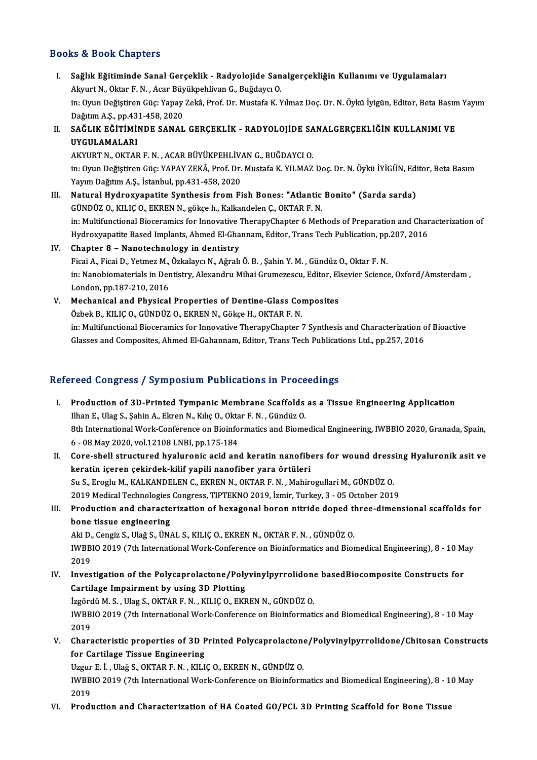### Books&Book Chapters

ooks & Book Chapters<br>I. Sağlık Eğitiminde Sanal Gerçeklik - Radyolojide Sanalgerçekliğin Kullanımı ve Uygulamaları<br>Algunt N. Oktar E.N. Asar Büyülmebliyen C. Buğdaya O 19 & Doon Gnapeers<br>Sağlık Eğitiminde Sanal Gerçeklik - Radyolojide San<br>Akyurt N., Oktar F. N. , Acar Büyükpehlivan G., Buğdaycı O.<br>in: Orun Doğistiren Güs: Yanay Zaltâ, Pref. Dr. Mustafa K. V Sağlık Eğitiminde Sanal Gerçeklik - Radyolojide Sanalgerçekliğin Kullanımı ve Uygulamaları<br>Akyurt N., Oktar F. N. , Acar Büyükpehlivan G., Buğdaycı O.<br>in: Oyun Değiştiren Güç: Yapay Zekâ, Prof. Dr. Mustafa K. Yılmaz Doç. D Akyurt N., Oktar F. N. , Acar Büy<br>in: Oyun Değiştiren Güç: Yapay<br>Dağıtım A.Ş., pp.431-458, 2020<br>SAĞLIK FĞİTİMİNDE SANAL in: Oyun Değiştiren Güç: Yapay Zekâ, Prof. Dr. Mustafa K. Yılmaz Doç. Dr. N. Öykü İyigün, Editor, Beta Basın<br>Dağıtım A.Ş., pp.431-458, 2020<br>II. SAĞLIK EĞİTİMİNDE SANAL GERÇEKLİK - RADYOLOJİDE SANALGERÇEKLİĞİN KULLANIMI VE<br> Dağıtım A.Ş., pp.43<br>SAĞLIK EĞİTİMİ!<br>UYGULAMALARI<br>AKVUPT N. OKTAR

SAĞLIK EĞİTİMİNDE SANAL GERÇEKLİK - RADYOLOJİDE SA<br>UYGULAMALARI<br>AKYURT N., OKTAR F. N. , ACAR BÜYÜKPEHLİVAN G., BUĞDAYCI O.<br>in: Orun Değistiren Güc: YAPAY ZEKÂ, Pref. Dr. Mustafa K. YU MAZ UYGULAMALARI<br>AKYURT N., OKTAR F. N. , ACAR BÜYÜKPEHLİVAN G., BUĞDAYCI O.<br>in: Oyun Değiştiren Güç: YAPAY ZEKÂ, Prof. Dr. Mustafa K. YILMAZ Doç. Dr. N. Öykü İYİGÜN, Editor, Beta Basım Yayım Dağıtım A.Ş., İstanbul, pp.431-458, 2020

- III. Natural Hydroxyapatite Synthesis from Fish Bones: "Atlantic Bonito" (Sarda sarda) GÜNDÜZ O., KILIÇ O., EKREN N., gökçe h., Kalkandelen Ç., OKTAR F. N. Natural Hydroxyapatite Synthesis from Fish Bones: "Atlantic Bonito" (Sarda sarda)<br>GÜNDÜZ O., KILIÇ O., EKREN N., gökçe h., Kalkandelen Ç., OKTAR F. N.<br>in: Multifunctional Bioceramics for Innovative TherapyChapter 6 Methods GÜNDÜZ O., KILIÇ O., EKREN N., gökçe h., Kalkandelen Ç., OKTAR F. N.<br>in: Multifunctional Bioceramics for Innovative TherapyChapter 6 Methods of Preparation and Char<br>Hydroxyapatite Based Implants, Ahmed El-Ghannam, Editor, in: Multifunctional Bioceramics for Innovative<br>Hydroxyapatite Based Implants, Ahmed El-Gha<br>IV. Chapter 8 – Nanotechnology in dentistry<br>Eisei A. Fisei D. Yetmer M. Örkelaver N. Ağralı
- Hydroxyapatite Based Implants, Ahmed El-Ghannam, Editor, Trans Tech Publication, pp<br>Chapter 8 Nanotechnology in dentistry<br>Ficai A., Ficai D., Yetmez M., Özkalaycı N., Ağralı Ö. B. , Şahin Y. M. , Gündüz O., Oktar F. N.<br>i IV. Chapter 8 – Nanotechnology in dentistry<br>Ficai A., Ficai D., Yetmez M., Özkalaycı N., Ağralı Ö. B., Şahin Y. M., Gündüz O., Oktar F. N.<br>in: Nanobiomaterials in Dentistry, Alexandru Mihai Grumezescu, Editor, Elsevier Sci Ficai A., Ficai D., Yetmez M.,<br>in: Nanobiomaterials in Der<br>London, pp.187-210, 2016<br>Mechanical and Physical in: Nanobiomaterials in Dentistry, Alexandru Mihai Grumezescu, Editor, El<br>London, pp.187-210, 2016<br>V. Mechanical and Physical Properties of Dentine-Glass Composites<br>Cribal: P. KU ICO, CUNDUZ O. EKREN N. Calco H. OKTAR E. N
- London, pp.187-210, 2016<br>Mechanical and Physical Properties of Dentine-Glass Col<br>Özbek B., KILIÇ O., GÜNDÜZ O., EKREN N., Gökçe H., OKTAR F. N.<br>in: Multifunctional Bioceramics for Innovative TherenyChanter Özbek B., KILIÇ O., GÜNDÜZ O., EKREN N., Gökçe H., OKTAR F. N.<br>in: Multifunctional Bioceramics for Innovative TherapyChapter 7 Synthesis and Characterization of Bioactive Glasses and Composites, Ahmed El-Gahannam, Editor, Trans Tech Publications Ltd., pp.257, 2016

### Refereed Congress / Symposium Publications in Proceedings

- efereed Congress / Symposium Publications in Proceedings<br>I. Production of 3D-Printed Tympanic Membrane Scaffolds as a Tissue Engineering Application<br>Than E. Was Sobin A. Flyson N. Kiko O. Oktor E. N. Gündüz O. Ilhan E., Ulag S., Şahin A., Ekren N., Kılıç O., Oktar F. N., Gündüz O.<br>Ilhan E., Ulag S., Şahin A., Ekren N., Kılıç O., Oktar F. N., Gündüz O.<br>9th International Werk Conference on Bioinfermatics and Biomo Production of 3D-Printed Tympanic Membrane Scaffolds as a Tissue Engineering Application<br>Ilhan E., Ulag S., Şahin A., Ekren N., Kılıç O., Oktar F. N. , Gündüz O.<br>8th International Work-Conference on Bioinformatics and Biom Ilhan E., Ulag S., Şahin A., Ekren N., Kılıç O., Okta<br>8th International Work-Conference on Bioinfo<br>6 - 08 May 2020, vol.12108 LNBI, pp.175-184<br>Care shall structured byelynenia asid and 8th International Work-Conference on Bioinformatics and Biomedical Engineering, IWBBIO 2020, Granada, Spain,<br>6 - 08 May 2020, vol.12108 LNBI, pp.175-184<br>II. Core-shell structured hyaluronic acid and keratin nanofibers for
- 6 08 May 2020, vol.12108 LNBI, pp.175-184<br>II. Core-shell structured hyaluronic acid and keratin nanofibers for wound dressing Hyaluronik asit ve<br>keratin içeren çekirdek-kilif yapili nanofiber yara örtüleri Core-shell structured hyaluronic acid and keratin nanofibers for wound dress<br>keratin içeren çekirdek-kilif yapili nanofiber yara örtüleri<br>Su S., Eroglu M., KALKANDELEN C., EKREN N., OKTAR F. N. , Mahirogullari M., GÜNDÜZ O keratin içeren çekirdek-kilif yapili nanofiber yara örtüleri<br>Su S., Eroglu M., KALKANDELEN C., EKREN N., OKTAR F. N. , Mahirogullari M., GÜNDÜZ O.<br>2019 Medical Technologies Congress, TIPTEKNO 2019, İzmir, Turkey, 3 - 05 Oc Su S., Eroglu M., KALKANDELEN C., EKREN N., OKTAR F. N. , Mahirogullari M., GÜNDÜZ O.<br>2019 Medical Technologies Congress, TIPTEKNO 2019, İzmir, Turkey, 3 - 05 October 2019<br>III. Production and characterization of hexagonal
- 2019 Medical Technologies<br>Production and characte<br>bone tissue engineering<br>Ali D. Congin S. Uloğ S. ÜNA Production and characterization of hexagonal boron nitride doped th<br>bone tissue engineering<br>Aki D., Cengiz S., Ulağ S., ÜNAL S., KILIÇ O., EKREN N., OKTAR F. N. , GÜNDÜZ O.<br>IWPPIO 2019 (7th International Wark Conference on

bone tissue engineering<br>Aki D., Cengiz S., Ulağ S., ÜNAL S., KILIÇ O., EKREN N., OKTAR F. N. , GÜNDÜZ O.<br>IWBBIO 2019 (7th International Work-Conference on Bioinformatics and Biomedical Engineering), 8 - 10 May<br>2019 Aki D<br>IWBB<br>2019<br>Invec IWBBIO 2019 (7th International Work-Conference on Bioinformatics and Biomedical Engineering), 8 - 10 M.<br>2019<br>IV. Investigation of the Polycaprolactone/Polyvinylpyrrolidone basedBiocomposite Constructs for<br>Contileze Impoinm

2019<br>Investigation of the Polycaprolactone/Poly<br>Cartilage Impairment by using 3D Plotting IV. Investigation of the Polycaprolactone/Polyvinylpyrrolidone basedBiocomposite Constructs for

IWBBIO 2019 (7th International Work-Conference on Bioinformatics and Biomedical Engineering), 8 - 10 May<br>2019 İzgördü M. S., Ulag S., OKTAR F. N., KILIÇ O., EKREN N., GÜNDÜZ O. IWBBIO 2019 (7th International Work-Conference on Bioinformatics and Biomedical Engineering), 8 - 10 May<br>2019<br>V. Characteristic properties of 3D Printed Polycaprolactone/Polyvinylpyrrolidone/Chitosan Constructs<br>for Contile

2019<br>Characteristic properties of 3D P<br>for Cartilage Tissue Engineering<br>Uggur E.J. Ulağ S. OKTAB E.N., KU L

for Cartilage Tissue Engineering<br>Uzgur E. İ. , Ulağ S., OKTAR F. N. , KILIÇ O., EKREN N., GÜNDÜZ O.

for Cartilage Tissue Engineering<br>Uzgur E. İ. , Ulağ S., OKTAR F. N. , KILIÇ O., EKREN N., GÜNDÜZ O.<br>IWBBIO 2019 (7th International Work-Conference on Bioinformatics and Biomedical Engineering), 8 - 10 May<br>2019 Uzgur<br>IWBB<br>2019<br>Pred: IWBBIO 2019 (7th International Work-Conference on Bioinformatics and Biomedical Engineering), 8 - 1<br>2019<br>VI. Production and Characterization of HA Coated GO/PCL 3D Printing Scaffold for Bone Tissue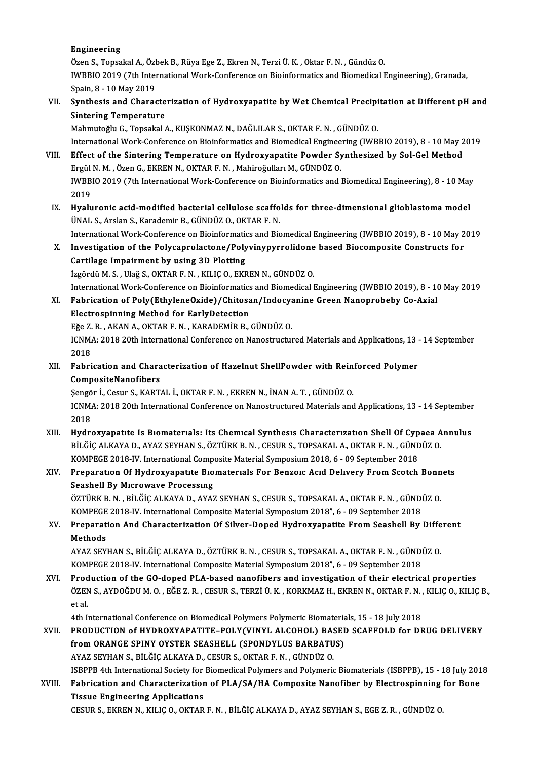#### Engineering

E<mark>ngineering</mark><br>Özen S., Topsakal A., Özbek B., Rüya Ege Z., Ekren N., Terzi Ü. K. , Oktar F. N. , Gündüz O.<br>WRRHO 2019 (7th International Work Conference on Pieinformatics and Piemodical I IWBBIO 2019 (7th International Work-Conference on Bioinformatics and Biomedical Engineering), Granada,<br>Spain. 8 - 10 Mav 2019 Özen S., Topsakal A., Özl<br>IWBBIO 2019 (7th Inter<br>Spain, 8 - 10 May 2019<br>Synthosis and Chanas IWBBIO 2019 (7th International Work-Conference on Bioinformatics and Biomedical Engineering), Granada,<br>Spain, 8 - 10 May 2019<br>VII. Synthesis and Characterization of Hydroxyapatite by Wet Chemical Precipitation at Different

# Spain, 8 - 10 May 2019<br>Synthesis and Characte<br>Sintering Temperature<br>Mahmutoğlu C. Tensakal Synthesis and Characterization of Hydroxyapatite by Wet Chemical Precipi<br>Sintering Temperature<br>Mahmutoğlu G., Topsakal A., KUŞKONMAZ N., DAĞLILAR S., OKTAR F. N. , GÜNDÜZ O.<br>International Werk Conference en Bioinfermatics

Sintering Temperature<br>Mahmutoğlu G., Topsakal A., KUŞKONMAZ N., DAĞLILAR S., OKTAR F. N. , GÜNDÜZ O.<br>International Work-Conference on Bioinformatics and Biomedical Engineering (IWBBIO 2019), 8 - 10 May 2019 Mahmutoğlu G., Topsakal A., KUŞKONMAZ N., DAĞLILAR S., OKTAR F. N. , GÜNDÜZ O.<br>International Work-Conference on Bioinformatics and Biomedical Engineering (IWBBIO 2019), 8 - 10 May 2<br>VIII. Effect of the Sintering Temperatur

International Work-Conference on Bioinformatics and Biomedical Enginee<br>Effect of the Sintering Temperature on Hydroxyapatite Powder Sy<br>Ergül N. M., Özen G., EKREN N., OKTAR F. N., Mahiroğulları M., GÜNDÜZ O.<br>WPPLO 2019 (7t Effect of the Sintering Temperature on Hydroxyapatite Powder Synthesized by Sol-Gel Method<br>Ergül N. M. , Özen G., EKREN N., OKTAR F. N. , Mahiroğulları M., GÜNDÜZ O.<br>IWBBIO 2019 (7th International Work-Conference on Bioinf Ergül N. M. , Özen G., EKREN N., OKTAR F. N. , Mahiroğulları M., GÜNDÜZ O.<br>IWBBIO 2019 (7th International Work-Conference on Bioinformatics and Biomedical Engineering), 8 - 10 May<br>2019 IWBBIO 2019 (7th International Work-Conference on Bioinformatics and Biomedical Engineering), 8 - 10 May<br>2019<br>IX. Hyaluronic acid-modified bacterial cellulose scaffolds for three-dimensional glioblastoma model<br><sup>TIMAL S</sup>. A

2019<br><mark>Hyaluronic acid-modified bacterial cellulose scaffo</mark><br>ÜNAL S., Arslan S., Karademir B., GÜNDÜZ O., OKTAR F. N.<br>International Work Conference on Bioinfermatics and Bio Hyaluronic acid-modified bacterial cellulose scaffolds for three-dimensional glioblastoma model<br>ÜNAL S., Arslan S., Karademir B., GÜNDÜZ O., OKTAR F. N.<br>International Work-Conference on Bioinformatics and Biomedical Engine

UNAL S., Arslan S., Karademir B., GUNDUZ O., OKTAR F. N.<br>International Work-Conference on Bioinformatics and Biomedical Engineering (IWBBIO 2019), 8 - 10 May 2<br>X. Investigation of the Polycaprolactone/Polyvinypyrrolidone b International Work-Conference on Bioinformation<br>Investigation of the Polycaprolactone/Poly<br>Cartilage Impairment by using 3D Plotting<br>Issaed: M.S. Hež S. OKTARE N. KULCO, EKE X. Investigation of the Polycaprolactone/Polyvinypyrrolidone based Biocomposite Constructs for<br>Cartilage Impairment by using 3D Plotting<br>İzgördü M.S., Ulağ S., OKTAR F.N., KILIÇ O., EKREN N., GÜNDÜZ O.

Cartilage Impairment by using 3D Plotting<br>İzgördü M. S. , Ulağ S., OKTAR F. N. , KILIÇ O., EKREN N., GÜNDÜZ O.<br>International Work-Conference on Bioinformatics and Biomedical Engineering (IWBBIO 2019), 8 - 10 May 2019<br>Eshni İzgördü M. S. , Ulağ S., OKTAR F. N. , KILIÇ O., EKREN N., GÜNDÜZ O.<br>International Work-Conference on Bioinformatics and Biomedical Engineering (IWBBIO 2019), 8 - 10<br>XI. Fabrication of Poly(EthyleneOxide)/Chitosan/Indocyan

### International Work-Conference on Bioinformatics<br>Fabrication of Poly(EthyleneOxide)/Chitosa<br>Electrospinning Method for EarlyDetection<br>Fĕe 7 P - AKAN A OKTAR E N - KARADEMIR R Fabrication of Poly(EthyleneOxide)/Chitosan/Indocy<br>Electrospinning Method for EarlyDetection<br>Eğe Z.R., AKAN A., OKTAR F.N., KARADEMİR B., GÜNDÜZ O.<br>ICNMA: 2019 20th International Conference on Nanostructu Electrospinning Method for EarlyDetection<br>Eğe Z. R. , AKAN A., OKTAR F. N. , KARADEMİR B., GÜNDÜZ O.<br>ICNMA: 2018 20th International Conference on Nanostructured Materials and Applications, 13 - 14 September<br>2018 Eğe Z. R., AKAN A., OKTAR F. N., KARADEMIR B., GÜNDÜZ O.

ICNMA: 2018 20th International Conference on Nanostructured Materials and Applications, 13 .<br>2018<br>XII. Fabrication and Characterization of Hazelnut ShellPowder with Reinforced Polymer<br>CompositeNanofibars 2018<br>Fabrication and Chara<br>CompositeNanofibers<br>Sengër <sup>I</sup>. Cesur S. KAPT Fabrication and Characterization of Hazelnut ShellPowder with Rein<br>CompositeNanofibers<br>Şengör İ., Cesur S., KARTAL İ., OKTAR F. N. , EKREN N., İNAN A. T. , GÜNDÜZ O.<br>ICNMA: 2019 20th International Conference on Nanostrustu

CompositeNanofibers<br>Şengör İ., Cesur S., KARTAL İ., OKTAR F. N. , EKREN N., İNAN A. T. , GÜNDÜZ O.<br>ICNMA: 2018 20th International Conference on Nanostructured Materials and Applications, 13 - 14 September<br>2018 Sengör I., Cesur S., KARTAL I., OKTAR F. N., EKREN N., İNAN A. T., GÜNDÜZ O. ICNMA: 2018 20th International Conference on Nanostructured Materials and Applications, 13 - 14 September<br>2018<br>XIII. Hydroxyapatıte Is Biomaterials: Its Chemical Synthesis Characterization Shell Of Cypaea Annulus<br>PUCALKANA

2018<br>Hydroxyapatıte Is Bıomaterials: Its Chemical Synthesis Characterization Shell Of Cypaea A<br>BİLĞİÇ ALKAYA D., AYAZ SEYHAN S., ÖZTÜRK B. N. , CESUR S., TOPSAKAL A., OKTAR F. N. , GÜNDÜZ O.<br>KOMBECE 2018 IV. International Hydroxyapatıte Is Bıomaterials: Its Chemical Synthesis Characterization Shell Of Cyp<br>BİLĞİÇ ALKAYA D., AYAZ SEYHAN S., ÖZTÜRK B. N. , CESUR S., TOPSAKAL A., OKTAR F. N. , GÜND<br>KOMPEGE 2018-IV. International Composite Mater

### BİLĞİÇ ALKAYA D., AYAZ SEYHAN S., ÖZTÜRK B. N. , CESUR S., TOPSAKAL A., OKTAR F. N. , GÜNDÜZ O.<br>KOMPEGE 2018-IV. International Composite Material Symposium 2018, 6 - 09 September 2018<br>XIV. Preparation Of Hydroxyapatite Bio KOMPEGE 2018-IV. International Compendent<br>Preparation Of Hydroxyapatite Bio<br>Seashell By Microwave Processing<br>ÖZTÜPK B. N. - BİLÖLCALKAYA D. AYAZ Preparation Of Hydroxyapatite Biomaterials For Benzoic Acid Delivery From Scotch Bonn<br>Seashell By Microwave Processing<br>ÖZTÜRK B.N., BİLĞİÇ ALKAYA D., AYAZ SEYHAN S., CESUR S., TOPSAKAL A., OKTAR F.N. , GÜNDÜZ O.<br>KOMBECE 20

Seashell By Microwave Processing<br>ÖZTÜRK B. N. , BİLĞİÇ ALKAYA D., AYAZ SEYHAN S., CESUR S., TOPSAKAL A., OKTAR F. N. , GÜNDI<br>KOMPEGE 2018-IV. International Composite Material Symposium 2018", 6 - 09 September 2018<br>Preperat ÖZTÜRK B. N. , BİLĞİÇ ALKAYA D., AYAZ SEYHAN S., CESUR S., TOPSAKAL A., OKTAR F. N. , GÜNDÜZ O.<br>KOMPEGE 2018-IV. International Composite Material Symposium 2018", 6 - 09 September 2018<br>XV. Preparation And Characterizat

KOMPEGE 2018-IV. International Composite Material Symposium 2018", 6 - 09 September 2018<br>Preparation And Characterization Of Silver-Doped Hydroxyapatite From Seashell By<br>Methods Preparation And Characterization Of Silver-Doped Hydroxyapatite From Seashell By Diffe<br>Methods<br>AYAZ SEYHAN S., BİLĞİÇ ALKAYA D., ÖZTÜRK B. N. , CESUR S., TOPSAKAL A., OKTAR F. N. , GÜNDÜZ O.<br>KOMBECE 2019 IV. International

AYAZ SEYHAN S., BİLĞİÇ ALKAYA D., ÖZTÜRK B. N. , CESUR S., TOPSAKAL A., OKTAR F. N. , GÜNDÜZ O.<br>KOMPEGE 2018-IV. International Composite Material Symposium 2018", 6 - 09 September 2018 AYAZ SEYHAN S., BİLĞİÇ ALKAYA D., ÖZTÜRK B. N. , CESUR S., TOPSAKAL A., OKTAR F. N. , GÜNDÜZ O.<br>KOMPEGE 2018-IV. International Composite Material Symposium 2018", 6 - 09 September 2018<br>XVI. Production of the GO-doped PLA-b

KOMPEGE 2018-IV. International Composite Material Symposium 2018", 6 - 09 September 2018<br>Production of the GO-doped PLA-based nanofibers and investigation of their electrical properties<br>ÖZEN S., AYDOĞDU M. O. , EĞE Z. R. , Prod<br>ÖZEN<br>et al.<br>4th L ÖZEN S., AYDOĞDU M. O. , EĞE Z. R. , CESUR S., TERZİ Ü. K. , KORKMAZ H., EKREN N., OKTAR F. N. , KILIÇ O., KILIÇ B.,<br>et al.<br>4th International Conference on Biomedical Polymers Polymeric Biomaterials, 15 - 18 July 2018

XVII. PRODUCTION of HYDROXYAPATITE-POLY(VINYL ALCOHOL) BASED SCAFFOLD for DRUG DELIVERY fromORANGE SPINY OYSTER SEASHELL (SPONDYLUS BARBATUS) AYAZ SEYHANS.,BİLĞİÇALKAYAD.,CESURS.,OKTARF.N. ,GÜNDÜZO. ISBPPB 4th International Society for Biomedical Polymers and Polymeric Biomaterials (ISBPPB), 15 - 18 July 2018 AYAZ SEYHAN S., BİLĞİÇ ALKAYA D., CESUR S., OKTAR F. N. , GÜNDÜZ O.<br>ISBPPB 4th International Society for Biomedical Polymers and Polymeric Biomaterials (ISBPPB), 15 - 18 July 201<br>XVIII. Fabrication and Characterization of

**ISBPPB 4th International Society for<br>Fabrication and Characterization<br>Tissue Engineering Applications** Fabrication and Characterization of PLA/SA/HA Composite Nanofiber by Electrospinning<br>Tissue Engineering Applications<br>CESUR S., EKREN N., KILIÇ O., OKTAR F. N. , BİLĞİÇ ALKAYA D., AYAZ SEYHAN S., EGE Z. R. , GÜNDÜZ O.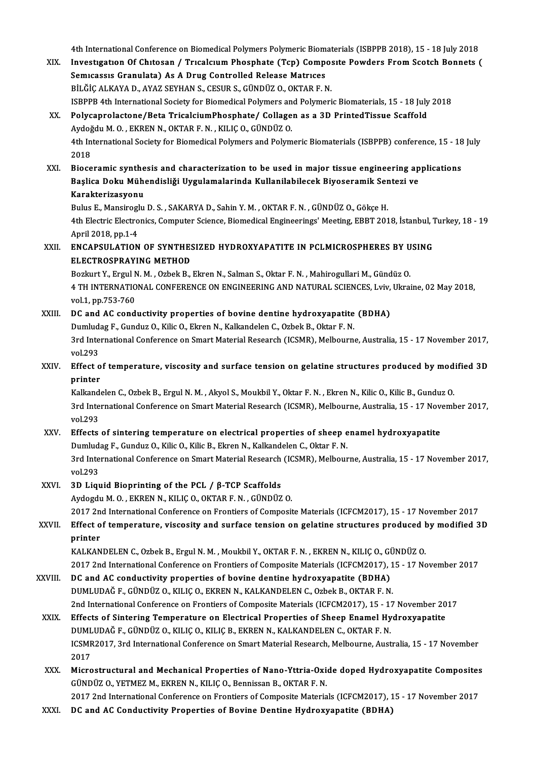4th International Conference on Biomedical Polymers Polymeric Biomaterials (ISBPPB 2018), 15 - 18 July 2018<br>Investigation Of Chitagan / Trusalgum Phoephate (Tan) Composite Bourdare From Seatch Bonnets (

- 4th International Conference on Biomedical Polymers Polymeric Biomaterials (ISBPPB 2018), 15 18 July 2018<br>XIX. Investigation Of Chitosan / Tricalcium Phosphate (Tcp) Composite Powders From Scotch Bonnets ( 4th International Conference on Biomedical Polymers Polymeric Biom<br>Investigation Of Chitosan / Tricalcium Phosphate (Tcp) Competion<br>Semicassis Granulata) As A Drug Controlled Release Matrices<br>PU ČIC ALKANA D. AVAZ SEVHAN S Investigation Of Chitosan / Tricalcium Phosphate (Tcp) Composite Powders From Scotch Bonnets (<br>Semicassis Granulata) As A Drug Controlled Release Matrices<br>BİLĞİÇ ALKAYA D., AYAZ SEYHAN S., CESUR S., GÜNDÜZ O., OKTAR F. N. ISBPPB 4th International Society for Biomedical Polymers and Polymeric Biomaterials, 15 - 18 July 2018 XX. Polycaprolactone/Beta TricalciumPhosphate/ Collagen as a 3D PrintedTissue Scaffold ISBPPB 4th International Society for Biomedical Polymers an<br>Polycaprolactone/Beta TricalciumPhosphate/ Collage<br>Aydoğdu M. O. , EKREN N., OKTAR F. N. , KILIÇ O., GÜNDÜZ O.<br>4th International Society for Biomedical Polymers a 4th International Society for Biomedical Polymers and Polymeric Biomaterials (ISBPPB) conference, 15 - 18 July<br>2018 Aydoğ<br>4th In<br>2018<br>Bioso XXI. Bioceramic synthesis and characterization to be used inmajor tissue engineering applications 2018<br>Bioceramic synthesis and characterization to be used in major tissue engineering ap<br>Başlica Doku Mühendisliği Uygulamalarinda Kullanilabilecek Biyoseramik Sentezi ve<br>Karakterizesyeny Bioceramic synthe<br>Başlica Doku Müh<br>Karakterizasyonu<br><sup>Buluc E</sup> Mangirozlu Başlica Doku Mühendisliği Uygulamalarinda Kullanilabilecek Biyoseramik Ser<br>Karakterizasyonu<br>Bulus E., Mansiroglu D. S. , SAKARYA D., Sahin Y. M. , OKTAR F. N. , GÜNDÜZ O., Gökçe H.<br>4th Electric Electronics Computer Science Karakterizasyonu<br>Bulus E., Mansiroglu D. S. , SAKARYA D., Sahin Y. M. , OKTAR F. N. , GÜNDÜZ O., Gökçe H.<br>4th Electric Electronics, Computer Science, Biomedical Engineerings' Meeting, EBBT 2018, İstanbul, Turkey, 18 - 19 **Bulus E., Mansirogl<br>4th Electric Electro<br>April 2018, pp.1-4<br>ENCA BSUL ATION** 4th Electric Electronics, Computer Science, Biomedical Engineerings' Meeting, EBBT 2018, İstanbul, 1<br>April 2018, pp.1-4<br>XXII. ENCAPSULATION OF SYNTHESIZED HYDROXYAPATITE IN PCLMICROSPHERES BY USING April 2018, pp.1-4<br>ENCAPSULATION OF SYNTHES<br>ELECTROSPRAYING METHOD<br>Borluut V. Ergul N. M., Orbol: B. ENCAPSULATION OF SYNTHESIZED HYDROXYAPATITE IN PCLMICROSPHERES BY U<br>ELECTROSPRAYING METHOD<br>Bozkurt Y., Ergul N. M. , Ozbek B., Ekren N., Salman S., Oktar F. N. , Mahirogullari M., Gündüz O.<br>4 TH INTERNATIONAL CONEERENCE ON ELECTROSPRAYING METHOD<br>Bozkurt Y., Ergul N. M. , Ozbek B., Ekren N., Salman S., Oktar F. N. , Mahirogullari M., Gündüz O.<br>4 TH INTERNATIONAL CONFERENCE ON ENGINEERING AND NATURAL SCIENCES, Lviv, Ukraine, 02 May 2018,<br>vol.1 Bozkurt Y., Ergul N. M. , Ozbek B., Ekren N., Salman S., Oktar F. N. , Mahirogullari M., Gündüz O.<br>4 TH INTERNATIONAL CONFERENCE ON ENGINEERING AND NATURAL SCIENCES, Lviv, Ukrai<br>vol.1, pp.753-760<br>DC and AC conductivity pro 4 TH INTERNATIONAL CONFERENCE ON ENGINEERING AND NATURAL SCIENCES, Lviv,<br>vol.1, pp.753-760<br>XXIII. DC and AC conductivity properties of bovine dentine hydroxyapatite (BDHA)<br>Dumludag E. Cunduz O. Kilis O. Eltrep N. Kalkandel Dumludag F., Gunduz O., Kilic O., Ekren N., Kalkandelen C., Ozbek B., Oktar F. N. DC and AC conductivity properties of bovine dentine hydroxyapatite (BDHA)<br>Dumludag F., Gunduz O., Kilic O., Ekren N., Kalkandelen C., Ozbek B., Oktar F. N.<br>3rd International Conference on Smart Material Research (ICSMR), M Dumlud<br>3rd Inte<br>vol.293<br>Effect c 3rd International Conference on Smart Material Research (ICSMR), Melbourne, Australia, 15 - 17 November 2017,<br>xXIV. Effect of temperature, viscosity and surface tension on gelatine structures produced by modified 3D<br>nrinto vol.293<br><mark>Effect o</mark><br>printer<br><sup>Kolkand</sup> Effect of temperature, viscosity and surface tension on gelatine structures produced by mod<br>printer<br>Kalkandelen C., Ozbek B., Ergul N. M. , Akyol S., Moukbil Y., Oktar F. N. , Ekren N., Kilic O., Kilic B., Gunduz O.<br>2rd In **printer**<br>Kalkandelen C., Ozbek B., Ergul N. M. , Akyol S., Moukbil Y., Oktar F. N. , Ekren N., Kilic O., Kilic B., Gunduz O.<br>3rd International Conference on Smart Material Research (ICSMR), Melbourne, Australia, 15 - 17 N Kalkandelen C., Ozbek B., Ergul N. M. , Akyol S., Moukbil Y., Oktar F. N. , Ekren N., Kilic O., Kilic B., Gunduz O.<br>3rd International Conference on Smart Material Research (ICSMR), Melbourne, Australia, 15 - 17 Novemb<br>vol. 3rd International Conference on Smart Material Research (ICSMR), Melbourne, Australia, 15 - 17 Nov<br>vol.293<br>XXV. Effects of sintering temperature on electrical properties of sheep enamel hydroxyapatite<br>Dumbides E. Gundus Q. Effects of sintering temperature on electrical properties of sheep enamel hydroxyapatite<br>Dumludag F., Gunduz O., Kilic O., Kilic B., Ekren N., Kalkandelen C., Oktar F. N. Effects of sintering temperature on electrical properties of sheep enamel hydroxyapatite<br>Dumludag F., Gunduz O., Kilic O., Kilic B., Ekren N., Kalkandelen C., Oktar F. N.<br>3rd International Conference on Smart Material Rese Dumlud<br>3rd Inte<br>vol.293<br>2D List 3rd International Conference on Smart Material Research<br>vol.293<br>XXVI. 3D Liquid Bioprinting of the PCL / β-TCP Scaffolds<br>Avdesdu M.O. EVPEN N. KU ICO OVTAR E.N. CÜNDÜZ vol.293<br>3D Liquid Bioprinting of the PCL / β-TCP Scaffolds<br>Aydogdu M. O. , EKREN N., KILIÇ O., OKTAR F. N. , GÜNDÜZ O. 3D Liquid Bioprinting of the PCL / β-TCP Scaffolds<br>Aydogdu M. O. , EKREN N., KILIÇ O., OKTAR F. N. , GÜNDÜZ O.<br>2017 2nd International Conference on Frontiers of Composite Materials (ICFCM2017), 15 - 17 November 2017<br>Effec Aydogdu M. O. , EKREN N., KILIÇ O., OKTAR F. N. , GÜNDÜZ O.<br>2017 2nd International Conference on Frontiers of Composite Materials (ICFCM2017), 15 - 17 November 2017<br>XXVII. Effect of temperature, viscosity and surface tensi 2017 2n<br><mark>Effect o</mark><br>printer<br><sup>KAI KAN</sub></sup> Effect of temperature, viscosity and surface tension on gelatine structures produced **b**<br>printer<br>KALKANDELEN C., Ozbek B., Ergul N. M. , Moukbil Y., OKTAR F. N. , EKREN N., KILIÇ O., GÜNDÜZ O.<br>2017 2nd International Confer printer<br>2017 2nd International Conference on Frontiers of Composite Materials (ICFCM2017), 15 - 17 November 2017<br>2017 2nd International Conference on Frontiers of Composite Materials (ICFCM2017), 15 - 17 November 2017 KALKANDELEN C., Ozbek B., Ergul N. M., Moukbil Y., OKTAR F. N., EKREN N., KILIÇ O., Gİ<br>2017 2nd International Conference on Frontiers of Composite Materials (ICFCM2017), :<br>XXVIII. DC and AC conductivity properties of bovin 2017 2nd International Conference on Frontiers of Composite Materials (ICFCM2017), 1<br>DC and AC conductivity properties of bovine dentine hydroxyapatite (BDHA)<br>DUMLUDAĞ F., GÜNDÜZ O., KILIÇ O., EKREN N., KALKANDELEN C., Ozb DC and AC conductivity properties of bovine dentine hydroxyapatite (BDHA)<br>DUMLUDAĞ F., GÜNDÜZ O., KILIÇ O., EKREN N., KALKANDELEN C., Ozbek B., OKTAR F. N.<br>2nd International Conference on Frontiers of Composite Materials ( DUMLUDAĞ F., GÜNDÜZ O., KILIÇ O., EKREN N., KALKANDELEN C., Ozbek B., OKTAR F. N.<br>2nd International Conference on Frontiers of Composite Materials (ICFCM2017), 15 - 17 November 20<br>XXIX. Effects of Sintering Temperature on 2nd International Conference on Frontiers of Composite Materials (ICFCM2017), 15 - 1?<br>Effects of Sintering Temperature on Electrical Properties of Sheep Enamel Hy<br>DUMLUDAĞ F., GÜNDÜZ O., KILIÇ O., KILIÇ B., EKREN N., KALKA Effects of Sintering Temperature on Electrical Properties of Sheep Enamel Hydroxyapatite<br>DUMLUDAĞ F., GÜNDÜZ O., KILIÇ O., KILIÇ B., EKREN N., KALKANDELEN C., OKTAR F. N.<br>ICSMR2017, 3rd International Conference on Smart Ma DUMLUDAĞ F., GÜNDÜZ O., KILIÇ O., KILIÇ B., EKREN N., KALKANDELEN C., OKTAR F. N. ICSMR2017, 3rd International Conference on Smart Material Research, Melbourne, Australia, 15 - 17 November<br>2017<br>XXX. Microstructural and Mechanical Properties of Nano-Yttria-Oxide doped Hydroxyapatite Composites<br>CUNDUZ O V 2017<br>Microstructural and Mechanical Properties of Nano-Yttria-Oxi<br>GÜNDÜZ O., YETMEZ M., EKREN N., KILIÇ O., Bennissan B., OKTAR F. N.<br>2017 2nd International Conference on Enentions of Composite Meteria Microstructural and Mechanical Properties of Nano-Yttria-Oxide doped Hydroxyapatite Composites<br>GÜNDÜZ O., YETMEZ M., EKREN N., KILIÇ O., Bennissan B., OKTAR F. N.<br>2017 2nd International Conference on Frontiers of Composite GÜNDÜZ O., YETMEZ M., EKREN N., KILIÇ O., Bennissan B., OKTAR F. N.<br>2017 2nd International Conference on Frontiers of Composite Materials (ICFCM2017), 15 - 17 November 2017<br>XXXI. DC and AC Conductivity Properties of Bovine
	-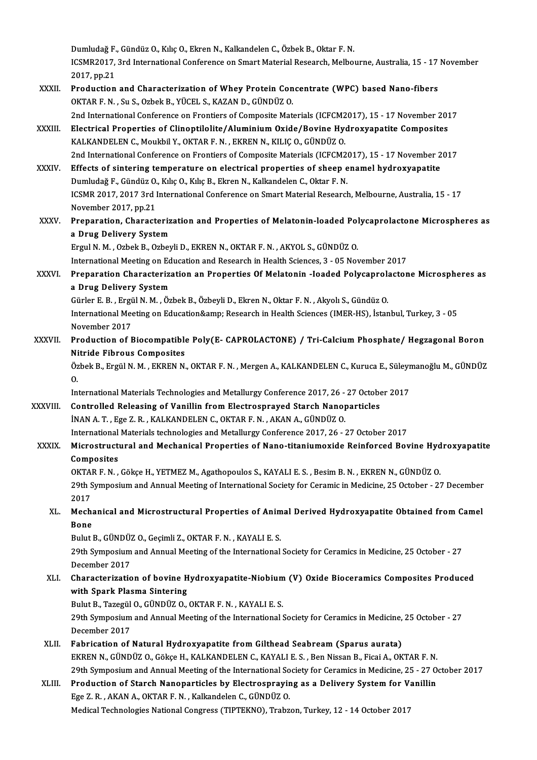Dumludağ F., Gündüz O., Kılıç O., Ekren N., Kalkandelen C., Özbek B., Oktar F. N.<br>ICSMR2017, 2nd International Conference on Smart Material Bessensh, Melber ICSMR2017, 3rd International Conference on Smart Material Research, Melbourne, Australia, 15 - 17 November 2017, pp.21 Dumludağ F.<br>ICSMR2017,<br>2017, pp.21 ICSMR2017, 3rd International Conference on Smart Material Research, Melbourne, Australia, 15 - 17<br>2017, pp.21<br>XXXII. Production and Characterization of Whey Protein Concentrate (WPC) based Nano-fibers<br>QVTAR E.N. Su.S. Orbe

- 2017, pp.21<br>Production and Characterization of Whey Protein Con<br>OKTAR F. N. , Su S., Ozbek B., YÜCEL S., KAZAN D., GÜNDÜZ O.<br>2nd International Conference on Frantiers of Composite Mat 0KTAR F. N. , Su S., Ozbek B., YÜCEL S., KAZAN D., GÜNDÜZ O.<br>2nd International Conference on Frontiers of Composite Materials (ICFCM2017), 15 - 17 November 2017 OKTAR F. N. , Su S., Ozbek B., YÜCEL S., KAZAN D., GÜNDÜZ O.<br>2nd International Conference on Frontiers of Composite Materials (ICFCM2017), 15 - 17 November 201<br>XXXIII. Electrical Properties of Clinoptilolite/Aluminium Oxid
- 2nd International Conference on Frontiers of Composite Materials (ICFCM2)<br>Electrical Properties of Clinoptilolite/Aluminium Oxide/Bovine Hyd<br>KALKANDELEN C., Moukbil Y., OKTAR F. N. , EKREN N., KILIÇ O., GÜNDÜZ O.<br>2nd Inter KALKANDELEN C., Moukbil Y., OKTAR F. N. , EKREN N., KILIÇ O., GÜNDÜZ O.<br>2nd International Conference on Frontiers of Composite Materials (ICFCM2017), 15 - 17 November 2017 KALKANDELEN C., Moukbil Y., OKTAR F. N., EKREN N., KILIÇ O., GÜNDÜZ O.<br>2nd International Conference on Frontiers of Composite Materials (ICFCM2017), 15 - 17 November 2<br>XXXIV. Effects of sintering temperature on electrical
- 2nd International Conference on Frontiers of Composite Materials (ICFCM2)<br>Effects of sintering temperature on electrical properties of sheep e<br>Dumludağ F., Gündüz O., Kılıç O., Kılıç B., Ekren N., Kalkandelen C., Oktar F. Effects of sintering temperature on electrical properties of sheep enamel hydroxyapatite<br>Dumludağ F., Gündüz O., Kılıç O., Kılıç B., Ekren N., Kalkandelen C., Oktar F. N.<br>ICSMR 2017, 2017 3rd International Conference on Sm Dumludağ F., Gündüz O., Kılıç O., Kılıç B., Ekren N., Kalkandelen C., Oktar F. N.<br>ICSMR 2017, 2017 3rd International Conference on Smart Material Research, Melbourne, Australia, 15 - 17<br>November 2017, pp.21 ICSMR 2017, 2017 3rd International Conference on Smart Material Research, Melbourne, Australia, 15 - 17<br>November 2017, pp.21<br>XXXV. Preparation, Characterization and Properties of Melatonin-loaded Polycaprolactone Microsphe
- November 2017, pp.21<br>Preparation, Characteriz<br>a Drug Delivery System<br>Ergyl N. M., Oghel: B. Ogher Preparation, Characterization and Properties of Melatonin-loaded Pol<br>a Drug Delivery System<br>Ergul N. M. , Ozbek B., Ozbeyli D., EKREN N., OKTAR F. N. , AKYOL S., GÜNDÜZ O.<br>International Meeting on Education and Bessensh in

a Drug Delivery System<br>Ergul N. M. , Ozbek B., Ozbeyli D., EKREN N., OKTAR F. N. , AKYOL S., GÜNDÜZ O.<br>International Meeting on Education and Research in Health Sciences, 3 - 05 November 2017<br>Preperation Characterization a

Ergul N. M. , Ozbek B., Ozbeyli D., EKREN N., OKTAR F. N. , AKYOL S., GÜNDÜZ O.<br>International Meeting on Education and Research in Health Sciences, 3 - 05 November 2017<br>XXXVI. Preparation Characterization an Properties Of International Meeting on Ed<br>Preparation Characteriza<br>a Drug Delivery System<br>Cürler E.B., Fraül N.M., Öz Preparation Characterization an Properties Of Melatonin -Ioaded Polycaprol:<br>a Drug Delivery System<br>Gürler E. B. , Ergül N. M. , Özbek B., Özbeyli D., Ekren N., Oktar F. N. , Akyolı S., Gündüz O.<br>International Meeting on Ed

International Meeting on Education& Research in Health Sciences (IMER-HS), İstanbul, Turkey, 3 - 05<br>November 2017 Gürler E. B. , Ergü<br>International Mee<br>November 2017<br>Production of E International Meeting on Education& Research in Health Sciences (IMER-HS), İstanbul, Turkey, 3 - 05<br>November 2017<br>XXXVII. Production of Biocompatible Poly(E- CAPROLACTONE) / Tri-Calcium Phosphate/ Hegzagonal Boron<br>Nitr

# November 2017<br>Production of Biocompatible<br>Nitride Fibrous Composites<br>Örbek B. Fraül N. M. EKREN N Production of Biocompatible Poly(E- CAPROLACTONE) / Tri-Calcium Phosphate/ Hegzagonal Boron<br>Nitride Fibrous Composites<br>Özbek B., Ergül N. M. , EKREN N., OKTAR F. N. , Mergen A., KALKANDELEN C., Kuruca E., Süleymanoğlu M.,

Ni<br>Öz<br>In: Özbek B., Ergül N. M. , EKREN N., OKTAR F. N. , Mergen A., KALKANDELEN C., Kuruca E., Süleymanoğlu M., GÜNDÜZ<br>O.<br>International Materials Technologies and Metallurgy Conference 2017, 26 - 27 October 2017

XXXVIII. Controlled Releasing of Vanillin from Electrosprayed Starch Nanoparticles İNANA.T. ,Ege Z.R. ,KALKANDELENC.,OKTARF.N. ,AKANA.,GÜNDÜZO. Controlled Releasing of Vanillin from Electrosprayed Starch Nanoparticles<br>INAN A. T. , Ege Z. R. , KALKANDELEN C., OKTAR F. N. , AKAN A., GÜNDÜZ O.<br>International Materials technologies and Metallurgy Conference 2017, 26 -

XXXIX. Microstructural and Mechanical Properties of Nano-titaniumoxide Reinforced Bovine Hydroxyapatite International<br>Microstructi<br>Composites<br>OVTAD E N

OKTAR F.N., Gökçe H., YETMEZ M., Agathopoulos S., KAYALI E. S., Besim B.N., EKREN N., GÜNDÜZ O. Composites<br>OKTAR F. N. , Gökçe H., YETMEZ M., Agathopoulos S., KAYALI E. S. , Besim B. N. , EKREN N., GÜNDÜZ O.<br>29th Symposium and Annual Meeting of International Society for Ceramic in Medicine, 25 October - 27 December<br>2 OKTA<br>29th S<br>2017<br>Mash 29th Symposium and Annual Meeting of International Society for Ceramic in Medicine, 25 October - 27 December<br>2017<br>R. Mechanical and Microstructural Properties of Animal Derived Hydroxyapatite Obtained from Camel<br>Pene

## 2017<br>Mechanical and Microstructural Properties of Animal Derived Hydroxyapatite Obtained from Camel<br>Bone Mechanical and Microstructural Properties of Anim<br>Bone<br>Bulut B., GÜNDÜZ O., Geçimli Z., OKTAR F. N. , KAYALI E. S.<br>20th Sympesium and Annual Meeting of the International

29th Symposium and Annual Meeting of the International Society for Ceramics in Medicine, 25 October - 27<br>December 2017 Bulut B., GÜNDÜZ<br>29th Symposium<br>December 2017<br>Characterizatio 29th Symposium and Annual Meeting of the International Society for Ceramics in Medicine, 25 October - 27<br>December 2017<br>XLI. Characterization of bovine Hydroxyapatite-Niobium (V) Oxide Bioceramics Composites Produced<br>with S

# December 2017<br>Characterization of bovine H<br>with Spark Plasma Sintering<br>Pulut B. Taregül O. CÜNDÜZ O Characterization of bovine Hydroxyapatite-Niobium<br>with Spark Plasma Sintering<br>Bulut B., Tazegül O., GÜNDÜZ O., OKTAR F. N. , KAYALI E. S.<br>20th Sympesium and Annual Mesting of the International S

Bulut B., Tazegül O., GÜNDÜZ O., OKTAR F. N., KAYALI E. S.

with Spark Plasma Sintering<br>29th Symposium and Annual Meeting of the International Society for Ceramics in Medicine, 25 October - 27<br>29th Symposium and Annual Meeting of the International Society for Ceramics in Medicine,

XLII. Fabrication of Natural Hydroxyapatite from Gilthead Seabream (Sparus aurata) EKRENN.,GÜNDÜZO.,GökçeH.,KALKANDELENC.,KAYALIE.S. ,BenNissanB.,FicaiA.,OKTARF.N. Fabrication of Natural Hydroxyapatite from Gilthead Seabream (Sparus aurata)<br>EKREN N., GÜNDÜZ O., Gökçe H., KALKANDELEN C., KAYALI E. S. , Ben Nissan B., Ficai A., OKTAR F. N.<br>29th Symposium and Annual Meeting of the Inter EKREN N., GÜNDÜZ O., Gökçe H., KALKANDELEN C., KAYALI E. S. , Ben Nissan B., Ficai A., OKTAR F. N.<br>29th Symposium and Annual Meeting of the International Society for Ceramics in Medicine, 25 - 27 O.<br>XLIII. Production of St

## 29th Symposium and Annual Meeting of the International So<br>Production of Starch Nanoparticles by Electrosprayin<br>Ege Z.R., AKAN A., OKTAR F.N., Kalkandelen C., GÜNDÜZ O.<br>Medisal Technologies National Congress (TIDTEVNO), Tre Production of Starch Nanoparticles by Electrospraying as a Delivery System for Vanillin<br>Ege Z. R. , AKAN A., OKTAR F. N. , Kalkandelen C., GÜNDÜZ O.<br>Medical Technologies National Congress (TIPTEKNO), Trabzon, Turkey, 12 -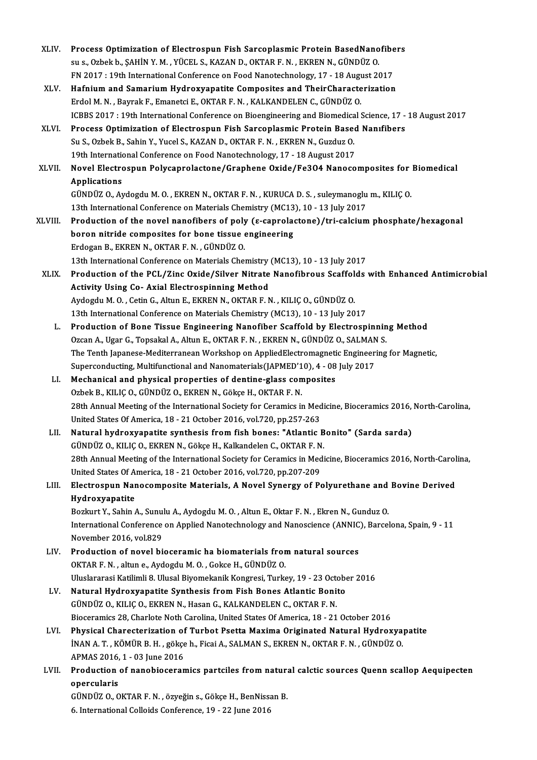- XLIV. Process Optimization of Electrospun Fish Sarcoplasmic Protein BasedNanofibers<br>Sang Orbekh SAHIN V.M. VÜCELS KAZAN D. OKTAR E.N. EKREN N. CÜNDÜZ O Process Optimization of Electrospun Fish Sarcoplasmic Protein BasedNano<br>su s., Ozbek b., ŞAHİN Y. M. , YÜCEL S., KAZAN D., OKTAR F. N. , EKREN N., GÜNDÜZ O.<br>EN 2017 : 19th International Conference en Food Nanotashnalegy 17 Process Optimization of Electrospun Fish Sarcoplasmic Protein BasedNanofibe<br>su s., Ozbek b., ŞAHİN Y. M. , YÜCEL S., KAZAN D., OKTAR F. N. , EKREN N., GÜNDÜZ O.<br>FN 2017 : 19th International Conference on Food Nanotechnolog su s., Ozbek b., ŞAHİN Y. M. , YÜCEL S., KAZAN D., OKTAR F. N. , EKREN N., GÜNDÜZ O.<br>FN 2017 : 19th International Conference on Food Nanotechnology, 17 - 18 August 2017<br>XLV. Hafnium and Samarium Hydroxyapatite Composites a FN 2017 : 19th International Conference on Food Nanotechnology, 17 - 18 August 2017
- ICBBS 2017 : 19th International Conference on Bioengineering and Biomedical Science, 17 18 August 2017 Erdol M. N. , Bayrak F., Emanetci E., OKTAR F. N. , KALKANDELEN C., GÜNDÜZ O.<br>ICBBS 2017 : 19th International Conference on Bioengineering and Biomedical Science, 17 -<br>XLVI. Process Optimization of Electrospun Fish Sarcopl
- ICBBS 2017 : 19th International Conference on Bioengineering and Biomedica<br>Process Optimization of Electrospun Fish Sarcoplasmic Protein Base<br>Su S., Ozbek B., Sahin Y., Yucel S., KAZAN D., OKTAR F. N., EKREN N., Guzduz O.<br> Process Optimization of Electrospun Fish Sarcoplasmic Protein Based<br>Su S., Ozbek B., Sahin Y., Yucel S., KAZAN D., OKTAR F. N. , EKREN N., Guzduz O.<br>19th International Conference on Food Nanotechnology, 17 - 18 August 2017 Su S., Ozbek B., Sahin Y., Yucel S., KAZAN D., OKTAR F. N. , EKREN N., Guzduz O.<br>19th International Conference on Food Nanotechnology, 17 - 18 August 2017<br>XLVII. Novel Electrospun Polycaprolactone/Graphene Oxide/Fe3O4 Nano
- 19th Internation<br>Novel Electro<br>Applications<br>Cinniiz O. A Novel Electrospun Polycaprolactone/Graphene Oxide/Fe3O4 Nanocomposites for<br>Applications<br>GÜNDÜZ O., Aydogdu M. O. , EKREN N., OKTAR F. N. , KURUCA D. S. , suleymanoglu m., KILIÇ O.<br>12th International Conference on Materials Applications<br>GÜNDÜZ O., Aydogdu M. O. , EKREN N., OKTAR F. N. , KURUCA D. S. , suleymanoglu m., KILIÇ O.<br>13th International Conference on Materials Chemistry (MC13), 10 - 13 July 2017

- GÜNDÜZ O., Aydogdu M. O. , EKREN N., OKTAR F. N. , KURUCA D. S. , suleymanoglu m., KILIÇ O.<br>13th International Conference on Materials Chemistry (MC13), 10 13 July 2017<br>XLVIII. Production of the novel nanofibers of poly 13th International Conference on Materials Chemistry (MC13<br>Production of the novel nanofibers of poly (e-caprolation nitride composites for bone tissue engineering<br>Endosan B, EVREN N, OVTAR E N, CÜNDÜZ O Production of the novel nanofibers of poly<br>boron nitride composites for bone tissue<br>Erdogan B., EKREN N., OKTAR F. N. , GÜNDÜZ O.<br>12th International Conference on Materials Ches boron nitride composites for bone tissue engineering<br>Erdogan B., EKREN N., OKTAR F. N. , GÜNDÜZ O.<br>13th International Conference on Materials Chemistry (MC13), 10 - 13 July 2017<br>Production of the PCL (Zinc Oride (Silver Ni
- Erdogan B., EKREN N., OKTAR F. N. , GÜNDÜZ O.<br>13th International Conference on Materials Chemistry (MC13), 10 13 July 2017<br>XLIX. Production of the PCL/Zinc Oxide/Silver Nitrate Nanofibrous Scaffolds with Enhanced Antimic 13th International Conference on Materials Chemistry<br>Production of the PCL/Zinc Oxide/Silver Nitrate<br>Activity Using Co- Axial Electrospinning Method<br>Aydegdy M.O. Cetin C. Altun E. EVDEN N. OVTAR E.N Production of the PCL/Zinc Oxide/Silver Nitrate Nanofibrous Scaffol<br>Activity Using Co- Axial Electrospinning Method<br>Aydogdu M. O. , Cetin G., Altun E., EKREN N., OKTAR F. N. , KILIÇ O., GÜNDÜZ O.<br>12th International Confere Activity Using Co- Axial Electrospinning Method<br>Aydogdu M. O. , Cetin G., Altun E., EKREN N., OKTAR F. N. , KILIÇ O., GÜNDÜZ O.<br>13th International Conference on Materials Chemistry (MC13), 10 - 13 July 2017<br>Production of B
	- 13th International Conference on Materials Chemistry (MC13), 10 13 July 2017<br>L. Production of Bone Tissue Engineering Nanofiber Scaffold by Electrospinning Method 13th International Conference on Materials Chemistry (MC13), 10 - 13 July 2017<br>Production of Bone Tissue Engineering Nanofiber Scaffold by Electrospinnin<br>Ozcan A., Ugar G., Topsakal A., Altun E., OKTAR F. N. , EKREN N., GÜ The Tenth Japanese-Mediterranean Workshop on AppliedElectromagnetic Engineering for Magnetic,<br>Superconducting, Multifunctional and Nanomaterials(JAPMED'10), 4 - 08 July 2017 Ozcan A., Ugar G., Topsakal A., Altun E., OKTAR F. N. , EKREN N., GÜNDÜZ O., SALMAN<br>The Tenth Japanese-Mediterranean Workshop on AppliedElectromagnetic Engineer:<br>Superconducting, Multifunctional and Nanomaterials(JAPMED'10 The Tenth Japanese-Mediterranean Workshop on AppliedElectromagnetical Superconducting, Multifunctional and Nanomaterials (JAPMED'10), 4 - 08<br>LI. Mechanical and physical properties of dentine-glass composites<br>Orbel: P. KU I
	- Superconducting, Multifunctional and Nanomaterials(JAPMED'1<br>Mechanical and physical properties of dentine-glass con<br>Ozbek B., KILIÇ O., GÜNDÜZ O., EKREN N., Gökçe H., OKTAR F. N.<br>28th Annual Mesting of the International Se 0zbek B., KILIÇ O., GÜNDÜZ O., EKREN N., Gökçe H., OKTAR F. N.<br>28th Annual Meeting of the International Society for Ceramics in Medicine, Bioceramics 2016, North-Carolina, Ozbek B., KILIÇ O., GÜNDÜZ O., EKREN N., Gökçe H., OKTAR F. N.<br>28th Annual Meeting of the International Society for Ceramics in Med<br>United States Of America, 18 - 21 October 2016, vol.720, pp.257-263<br>Natural bydrovyanatite
	- LII. Natural hydroxyapatite synthesis from fish bones: "Atlantic Bonito" (Sarda sarda)<br>GÜNDÜZ O., KILIC O., EKREN N., Gökce H., Kalkandelen C., OKTAR F. N. United States Of America, 18 - 21 October 2016, vol.720, pp.257-263<br>Natural hydroxyapatite synthesis from fish bones: "Atlantic B<br>GÜNDÜZ O., KILIÇ O., EKREN N., Gökçe H., Kalkandelen C., OKTAR F. N.<br>28th Annual Meeting of Natural hydroxyapatite synthesis from fish bones: "Atlantic Bonito" (Sarda sarda)<br>GÜNDÜZ O., KILIÇ O., EKREN N., Gökçe H., Kalkandelen C., OKTAR F. N.<br>28th Annual Meeting of the International Society for Ceramics in Medici GÜNDÜZ O., KILIÇ O., EKREN N., Gökçe H., Kalkandelen C., OKTAR F. N<br>28th Annual Meeting of the International Society for Ceramics in Med<br>United States Of America, 18 - 21 October 2016, vol.720, pp.207-209<br>Electrocauur Nono 28th Annual Meeting of the International Society for Ceramics in Medicine, Bioceramics 2016, North-Carol<br>United States Of America, 18 - 21 October 2016, vol.720, pp.207-209<br>LIII. Electrospun Nanocomposite Materials, A Nove
- United States Of A<br>Electrospun Nar<br>Hydroxyapatite<br>Borlnut V. Sobin ( Electrospun Nanocomposite Materials, A Novel Synergy of Polyurethane and<br>Hydroxyapatite<br>Bozkurt Y., Sahin A., Sunulu A., Aydogdu M. O. , Altun E., Oktar F. N. , Ekren N., Gunduz O.<br>International Conference on Applied Nanot

Hydroxyapatite<br>Bozkurt Y., Sahin A., Sunulu A., Aydogdu M. O. , Altun E., Oktar F. N. , Ekren N., Gunduz O.<br>International Conference on Applied Nanotechnology and Nanoscience (ANNIC), Barcelona, Spain, 9 - 11<br>Navember 2016 Bozkurt Y., Sahin A., Sunulu A., Aydogdu M. O. , Altun E., Oktar F. N. , Ekren N., Gunduz O.<br>International Conference on Applied Nanotechnology and Nanoscience (ANNIC), Barcel<br>November 2016, vol.829 International Conference on Applied Nanotechnology and Nanoscience (ANNIC<br>November 2016, vol.829<br>LIV. Production of novel bioceramic ha biomaterials from natural sources<br>OVTAB E.N. altune Avdesdu M.O. Celse H. CÜNDÜZ O

- Production of novel bioceramic ha biomaterials from natural sources<br>OKTAR F. N. , altune., Aydogdu M. O. , Gokce H., GÜNDÜZ O. Production of novel bioceramic ha biomaterials from natural sources<br>OKTAR F. N. , altun e., Aydogdu M. O. , Gokce H., GÜNDÜZ O.<br>Uluslararasi Katilimli 8. Ulusal Biyomekanik Kongresi, Turkey, 19 - 23 October 2016<br>Natural Hy OKTAR F. N. , altun e., Aydogdu M. O. , Gokce H., GÜNDÜZ O.<br>Uluslararasi Katilimli 8. Ulusal Biyomekanik Kongresi, Turkey, 19 - 23 Octobe<br>LV. Natural Hydroxyapatite Synthesis from Fish Bones Atlantic Bonito<br>CÜNDÜZ O. K
- Uluslararasi Katilimli 8. Ulusal Biyomekanik Kongresi, Turkey, 19 23 Octo<br>Natural Hydroxyapatite Synthesis from Fish Bones Atlantic Boni<br>GÜNDÜZ O., KILIÇ O., EKREN N., Hasan G., KALKANDELEN C., OKTAR F. N.<br>Biocoromics 28 Natural Hydroxyapatite Synthesis from Fish Bones Atlantic Bonito<br>GÜNDÜZ O., KILIÇ O., EKREN N., Hasan G., KALKANDELEN C., OKTAR F. N.<br>Bioceramics 28, Charlote Noth Carolina, United States Of America, 18 - 21 October 2016 GÜNDÜZ O., KILIÇ O., EKREN N., Hasan G., KALKANDELEN C., OKTAR F. N.<br>Bioceramics 28, Charlote Noth Carolina, United States Of America, 18 - 21 October 2016<br>LVI. Physical Charecterization of Turbot Psetta Maxima Originated
- Bioceramics 28, Charlote Noth Carolina, United States Of America, 18 21 October 2016<br>Physical Charecterization of Turbot Psetta Maxima Originated Natural Hydroxya<br>İNAN A. T. , KÖMÜR B. H. , gökçe h., Ficai A., SALMAN S., Physical Charecterization of<br>INAN A.T., KÖMÜR B.H., gökçe<br>APMAS 2016, 1 - 03 June 2016<br>Production of nanobioseran INAN A. T. , KÖMÜR B. H. , gökçe h., Ficai A., SALMAN S., EKREN N., OKTAR F. N. , GÜNDÜZ O.<br>APMAS 2016, 1 - 03 June 2016<br>LVII. Production of nanobioceramics partciles from natural calctic sources Quenn scallop Aequipecten<br>
- APMAS 2016,<br><mark>Production</mark><br>opercularis<br>C<sup>inneiz</sup> 0.0 Production of nanobioceramics partciles from natura<br>opercularis<br>GÜNDÜZ O., OKTAR F. N. , özyeğin s., Gökçe H., BenNissan B.<br>6. International Colloids Conference 19, 22 June 2016

opercularis<br>GÜNDÜZ O., OKTAR F. N. , özyeğin s., Gökçe H., BenNissan B.<br>6. International Colloids Conference, 19 - 22 June 2016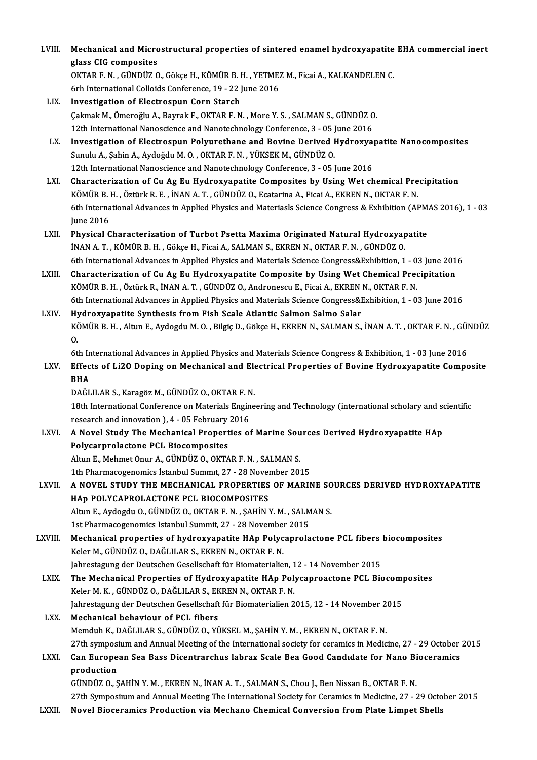| LVIII.  | Mechanical and Microstructural properties of sintered enamel hydroxyapatite EHA commercial inert                                                                                              |
|---------|-----------------------------------------------------------------------------------------------------------------------------------------------------------------------------------------------|
|         | glass CIG composites                                                                                                                                                                          |
|         | OKTAR F. N., GÜNDÜZ O., Gökçe H., KÖMÜR B. H., YETMEZ M., Ficai A., KALKANDELEN C.                                                                                                            |
|         | 6rh International Colloids Conference, 19 - 22 June 2016                                                                                                                                      |
| LIX.    | Investigation of Electrospun Corn Starch                                                                                                                                                      |
|         | Çakmak M., Ömeroğlu A., Bayrak F., OKTAR F. N., More Y. S., SALMAN S., GÜNDÜZ O.                                                                                                              |
|         | 12th International Nanoscience and Nanotechnology Conference, 3 - 05 June 2016                                                                                                                |
| LX.     | Investigation of Electrospun Polyurethane and Bovine Derived Hydroxyapatite Nanocomposites                                                                                                    |
|         | Sunulu A., Şahin A., Aydoğdu M. O., OKTAR F. N., YÜKSEK M., GÜNDÜZ O.                                                                                                                         |
|         | 12th International Nanoscience and Nanotechnology Conference, 3 - 05 June 2016                                                                                                                |
| LXI.    | Characterization of Cu Ag Eu Hydroxyapatite Composites by Using Wet chemical Precipitation<br>KÖMÜR B. H., Öztürk R. E., İNAN A. T., GÜNDÜZ O., Ecatarina A., Ficai A., EKREN N., OKTAR F. N. |
|         |                                                                                                                                                                                               |
|         | 6th International Advances in Applied Physics and Materiasls Science Congress & Exhibition (APMAS 2016), 1 - 03<br><b>June 2016</b>                                                           |
| LXII.   | Physical Characterization of Turbot Psetta Maxima Originated Natural Hydroxyapatite                                                                                                           |
|         | INAN A. T., KÖMÜR B. H., Gökçe H., Ficai A., SALMAN S., EKREN N., OKTAR F. N., GÜNDÜZ O.                                                                                                      |
|         | 6th International Advances in Applied Physics and Materials Science Congress&Exhibition, 1 - 03 June 2016                                                                                     |
| LXIII.  | Characterization of Cu Ag Eu Hydroxyapatite Composite by Using Wet Chemical Precipitation                                                                                                     |
|         | KÖMÜR B.H., Öztürk R., İNAN A.T., GÜNDÜZ O., Andronescu E., Ficai A., EKREN N., OKTAR F.N.                                                                                                    |
|         | 6th International Advances in Applied Physics and Materials Science Congress&Exhibition, 1 - 03 June 2016                                                                                     |
| LXIV.   | Hydroxyapatite Synthesis from Fish Scale Atlantic Salmon Salmo Salar                                                                                                                          |
|         | KÖMÜR B.H., Altun E., Aydogdu M.O., Bilgiç D., Gökçe H., EKREN N., SALMAN S., İNAN A.T., OKTAR F.N., GÜNDÜZ                                                                                   |
|         | 0.                                                                                                                                                                                            |
|         | 6th International Advances in Applied Physics and Materials Science Congress & Exhibition, 1 - 03 June 2016                                                                                   |
| LXV.    | Effects of Li2O Doping on Mechanical and Electrical Properties of Bovine Hydroxyapatite Composite                                                                                             |
|         | <b>BHA</b>                                                                                                                                                                                    |
|         | DAĞLILAR S., Karagöz M., GÜNDÜZ O., OKTAR F. N.                                                                                                                                               |
|         | 18th International Conference on Materials Engineering and Technology (international scholary and scientific                                                                                  |
|         | research and innovation ), 4 - 05 February 2016                                                                                                                                               |
| LXVI.   | A Novel Study The Mechanical Properties of Marine Sources Derived Hydroxyapatite HAp                                                                                                          |
|         | Polycarprolactone PCL Biocomposites                                                                                                                                                           |
|         | Altun E., Mehmet Onur A., GÜNDÜZ O., OKTAR F. N., SALMAN S.                                                                                                                                   |
|         | 1th Pharmacogenomics İstanbul Summit, 27 - 28 November 2015                                                                                                                                   |
| LXVII.  | A NOVEL STUDY THE MECHANICAL PROPERTIES OF MARINE SOURCES DERIVED HYDROXYAPATITE                                                                                                              |
|         | HAP POLYCAPROLACTONE PCL BIOCOMPOSITES                                                                                                                                                        |
|         | Altun E., Aydogdu O., GÜNDÜZ O., OKTAR F. N., ŞAHİN Y. M., SALMAN S.                                                                                                                          |
|         | 1st Pharmacogenomics Istanbul Summit, 27 - 28 November 2015                                                                                                                                   |
| LXVIII. | Mechanical properties of hydroxyapatite HAp Polycaprolactone PCL fibers biocomposites                                                                                                         |
|         | Keler M., GÜNDÜZ O., DAĞLILAR S., EKREN N., OKTAR F. N.                                                                                                                                       |
|         | Jahrestagung der Deutschen Gesellschaft für Biomaterialien, 12 - 14 November 2015                                                                                                             |
| LXIX.   | The Mechanical Properties of Hydroxyapatite HAp Polycaproactone PCL Biocomposites                                                                                                             |
|         | Keler M. K., GÜNDÜZ O., DAĞLILAR S., EKREN N., OKTAR F. N.                                                                                                                                    |
|         | Jahrestagung der Deutschen Gesellschaft für Biomaterialien 2015, 12 - 14 November 2015                                                                                                        |
| LXX.    | Mechanical behaviour of PCL fibers                                                                                                                                                            |
|         | Memduh K., DAĞLILAR S., GÜNDÜZ O., YÜKSEL M., ŞAHİN Y. M., EKREN N., OKTAR F. N.                                                                                                              |
|         | 27th symposium and Annual Meeting of the International society for ceramics in Medicine, 27 - 29 October 2015                                                                                 |
| LXXI.   | Can European Sea Bass Dicentrarchus labrax Scale Bea Good Candidate for Nano Bioceramics                                                                                                      |
|         | production                                                                                                                                                                                    |
|         | GÜNDÜZ O., ŞAHİN Y. M., EKREN N., İNAN A. T., SALMAN S., Chou J., Ben Nissan B., OKTAR F. N.                                                                                                  |
|         | 27th Symposiium and Annual Meeting The International Society for Ceramics in Medicine, 27 - 29 October 2015                                                                                   |
| LXXII.  | Novel Bioceramics Production via Mechano Chemical Conversion from Plate Limpet Shells                                                                                                         |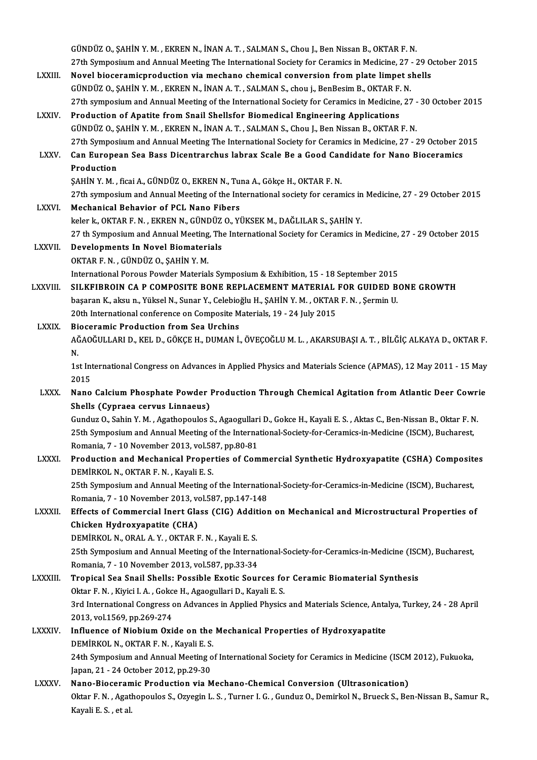GÜNDÜZ O., ŞAHİN Y. M. , EKREN N., İNAN A. T. , SALMAN S., Chou J., Ben Nissan B., OKTAR F. N.<br>27th Symposium and Annual Meeting The International Seciety for Ceremics in Medicine, 27 27th Symposium and Annual Meeting The International Society for Ceramics in Medicine, 27 - 29 October 2015<br>Novel bioceramicproduction via mechano chemical conversion from plate limpet shells GÜNDÜZ O., ŞAHİN Y. M., EKREN N., İNAN A. T., SALMAN S., Chou J., Ben Nissan B., OKTAR F. N.<br>27th Symposium and Annual Meeting The International Society for Ceramics in Medicine, 27 - 29 0<br>LXXIII. Novel bioceramicproductio GÜNDÜZO.,ŞAHİNY.M. ,EKRENN., İNANA.T. ,SALMANS., chou j.,BenBesimB.,OKTARF.N. 27th symposium and Annual Meeting of the International Society for Ceramics in Medicine, 27 - 30 October 2015 LXXIV. Production of Apatite from Snail Shellsfor Biomedical Engineering Applications GÜNDÜZ O., ŞAHİN Y. M., EKREN N., İNAN A. T., SALMAN S., Chou J., Ben Nissan B., OKTAR F. N. 27th Symposiuum and Annual Meeting The International Society for Ceramics in Medicine, 27 - 29 October 2015 GÜNDÜZ O., ŞAHİN Y. M. , EKREN N., İNAN A. T. , SALMAN S., Chou J., Ben Nissan B., OKTAR F. N.<br>27th Symposium and Annual Meeting The International Society for Ceramics in Medicine, 27 - 29 October 2<br>2. LXXV. Can European S 27th Sympos<br>Can Europe<br>Production<br>SAHIN V M Can European Sea Bass Dicentrarchus labrax Scale Be a Good Can<br>Production<br>ŞAHİN Y. M. , ficai A., GÜNDÜZ O., EKREN N., Tuna A., Gökçe H., OKTAR F. N.<br>27th sumposium and Annual Meeting of the International society for seron Production<br>27th symposium and Annual Meeting of the International society for ceramics in Medicine, 27 - 29 October 2015<br>27th symposium and Annual Meeting of the International society for ceramics in Medicine, 27 - 29 Octo SAHIN Y. M. , ficai A., GÜNDÜZ O., EKREN N., Tuna A., Gökçe H., OKTAR F. N.<br>27th symposium and Annual Meeting of the International society for ceran<br>LXXVI. Mechanical Behavior of PCL Nano Fibers 27th symposium and Annual Meeting of the International society for ceramics in<br>Mechanical Behavior of PCL Nano Fibers<br>keler k., OKTAR F. N. , EKREN N., GÜNDÜZ O., YÜKSEK M., DAĞLILAR S., ŞAHİN Y.<br>27 th Symposium and Annual Mechanical Behavior of PCL Nano Fibers<br>keler k., OKTAR F. N. , EKREN N., GÜNDÜZ O., YÜKSEK M., DAĞLILAR S., ŞAHİN Y.<br>27 th Symposium and Annual Meeting, The International Society for Ceramics in Medicine, 27 - 29 October 2 keler k., OKTAR F. N. , EKREN N., GÜNDÜZ<br>27 th Symposium and Annual Meeting, The<br>LXXVII. Developments In Novel Biomaterials 27 th Symposium and Annual Meeting<br>Developments In Novel Biomateri<br>OKTAR F. N. , GÜNDÜZ O., ŞAHİN Y. M.<br>International Bereus Beurder Material Developments In Novel Biomaterials<br>OKTAR F. N. , GÜNDÜZ O., ŞAHİN Y. M.<br>International Porous Powder Materials Symposium & Exhibition, 15 - 18 September 2015 LXXVIII. SILKFIBROIN CA P COMPOSITE BONE REPLACEMENT MATERIAL FOR GUIDED BONE GROWTH International Porous Powder Materials Symposium & Exhibition, 15 - 18 September 2015<br>SILKFIBROIN CA P COMPOSITE BONE REPLACEMENT MATERIAL FOR GUIDED B<br>başaran K., aksu n., Yüksel N., Sunar Y., Celebioğlu H., ŞAHİN Y. M. , SILKFIBROIN CA P COMPOSITE BONE REPLACEMENT MATERIAL<br>başaran K., aksu n., Yüksel N., Sunar Y., Celebioğlu H., ŞAHİN Y. M. , OKTAR<br>20th International conference on Composite Materials, 19 - 24 July 2015<br>Bioseramis Brodustio başaran K., aksu n., Yüksel N., Sunar Y., Celebio;<br>20th International conference on Composite M<br>LXXIX. Bioceramic Production from Sea Urchins 20th International conference on Composite Materials, 19 - 24 July 2015<br>Bioceramic Production from Sea Urchins<br>AĞAOĞULLARI D., KEL D., GÖKÇE H., DUMAN İ., ÖVEÇOĞLU M. L. , AKARSUBAŞI A. T. , BİLĞİÇ ALKAYA D., OKTAR F.<br>N **Bi**<br>AČ<br>N. AĞAOĞULLARI D., KEL D., GÖKÇE H., DUMAN İ., ÖVEÇOĞLU M. L. , AKARSUBAŞI A. T. , BİLĞİÇ ALKAYA D., OKTAR F.<br>N.<br>1st International Congress on Advances in Applied Physics and Materials Science (APMAS), 12 May 2011 - 15 May<br>20 N.<br>1st International Congress on Advances in Applied Physics and Materials Science (APMAS), 12 May 2011 - 15 May<br>2015 1st International Congress on Advances in Applied Physics and Materials Science (APMAS), 12 May 2011 - 15 May<br>2015<br>LXXX. Nano Calcium Phosphate Powder Production Through Chemical Agitation from Atlantic Deer Cowrie<br>Shalls 2015<br>Nano Calcium Phosphate Powder |<br>Shells (Cypraea cervus Linnaeus)<br>Cunduz Q. Sebin V. M., Agathonoules ( Nano Calcium Phosphate Powder Production Through Chemical Agitation from Atlantic Deer Cowr<br>Shells (Cypraea cervus Linnaeus)<br>Gunduz O., Sahin Y. M. , Agathopoulos S., Agaogullari D., Gokce H., Kayali E. S. , Aktas C., Ben-Shells (Cypraea cervus Linnaeus)<br>Gunduz O., Sahin Y. M. , Agathopoulos S., Agaogullari D., Gokce H., Kayali E. S. , Aktas C., Ben-Nissan B., Oktar F. N<br>25th Symposium and Annual Meeting of the International-Society-for-Cer Gunduz O., Sahin Y. M. , Agathopoulos S., Agaogullari<br>25th Symposium and Annual Meeting of the Interna<br>Romania, 7 - 10 November 2013, vol.587, pp.80-81<br>Production and Mechanical Properties of Com 25th Symposium and Annual Meeting of the International-Society-for-Ceramics-in-Medicine (ISCM), Bucharest,<br>Romania, 7 - 10 November 2013, vol.587, pp.80-81<br>LXXXI. Production and Mechanical Properties of Commercial Syntheti Romania, 7 - 10 November 2013, vol.58<br>Production and Mechanical Proper<br>DEMİRKOL N., OKTAR F. N. , Kayali E. S.<br>25th Sumnesium and Annual Mesting e Production and Mechanical Properties of Commercial Synthetic Hydroxyapatite (CSHA) Composite<br>DEMİRKOL N., OKTAR F. N. , Kayali E. S.<br>25th Symposium and Annual Meeting of the International-Society-for-Ceramics-in-Medicine ( DEMİRKOL N., OKTAR F. N. , Kayali E. S.<br>25th Symposium and Annual Meeting of the Internatio<br>Romania, 7 - 10 November 2013, vol.587, pp.147-148<br>Effects of Commonsial Inort Class (CIC), Addition 25th Symposium and Annual Meeting of the International-Society-for-Ceramics-in-Medicine (ISCM), Bucharest,<br>Romania, 7 - 10 November 2013, vol.587, pp.147-148<br>LXXXII. Effects of Commercial Inert Glass (CIG) Addition on Mech Romania, 7 - 10 November 2013, ve<br>Effects of Commercial Inert Gla<br>Chicken Hydroxyapatite (CHA)<br>DEMIRVOL N. ORAL A Y. OKTAR I Effects of Commercial Inert Glass (CIG) Addit<br>Chicken Hydroxyapatite (CHA)<br>DEMİRKOL N., ORAL A. Y. , OKTAR F. N. , Kayali E. S.<br>25th Symposium and Annual Meeting of the Interne 25th Symposium and Annual Meeting of the International-Society-for-Ceramics-in-Medicine (ISCM), Bucharest,<br>Romania, 7 - 10 November 2013, vol.587, pp.33-34 DEMİRKOL N., ORAL A. Y. , OKTAR F. N. , Kayali E. S.<br>25th Symposium and Annual Meeting of the Interna<br>Romania, 7 - 10 November 2013, vol.587, pp.33-34<br>Tronical See Spail Shalla: Bossible Exotic Sour LXXXIII. Tropical Sea Snail Shells: Possible Exotic Sources for Ceramic Biomaterial Synthesis Romania, 7 - 10 November 2013, vol.587, pp.33-34<br>Tropical Sea Snail Shells: Possible Exotic Sources fo<br>Oktar F. N. , Kiyici I. A. , Gokce H., Agaogullari D., Kayali E. S.<br>2rd International Congress on Advances in Applied P 3rd International Congress on Advances in Applied Physics and Materials Science, Antalya, Turkey, 24 - 28 April<br>2013, vol.1569, pp.269-274 Oktar F. N. , Kiyici I. A. , Gokc<br>3rd International Congress<br>2013, vol.1569, pp.269-274<br>Influence of Niebium Ovi 3rd International Congress on Advances in Applied Physics and Materials Science, Anta<br>2013, vol.1569, pp.269-274<br>LXXXIV. Influence of Niobium Oxide on the Mechanical Properties of Hydroxyapatite<br>DEMIRVOL N. OVTAR E.N. Vava 2013, vol.1569, pp.269-274<br>Influence of Niobium Oxide on the<br>DEMİRKOL N., OKTAR F. N. , Kayali E. S.<br>24th Sumnosium and Annual Meeting e Influence of Niobium Oxide on the Mechanical Properties of Hydroxyapatite<br>DEMİRKOL N., OKTAR F. N. , Kayali E. S.<br>24th Symposium and Annual Meeting of International Society for Ceramics in Medicine (ISCM 2012), Fukuoka,<br>Ja DEMİRKOL N., OKTAR F. N. , Kayali E. S.<br>24th Symposium and Annual Meeting of International Society for Ceramics in Medicine (ISCM<br>Japan, 21 - 24 October 2012, pp.29-30<br>Nano-Bioceramic Production via Mechano-Chemical Conver 24th Symposium and Annual Meeting of International Society for Ceramics in Medicine (ISCM<br>Japan, 21 - 24 October 2012, pp.29-30<br>LXXXV. Nano-Bioceramic Production via Mechano-Chemical Conversion (Ultrasonication)<br>Oltan E.N. Japan, 21 - 24 October 2012, pp.29-30<br>Nano-Bioceramic Production via Mechano-Chemical Conversion (Ultrasonication)<br>Oktar F. N. , Agathopoulos S., Ozyegin L. S. , Turner I. G. , Gunduz O., Demirkol N., Brueck S., Ben-Nissan <mark>Nano-Bioceram</mark><br>Oktar F. N. , Agatl<br>Kayali E. S. , et al.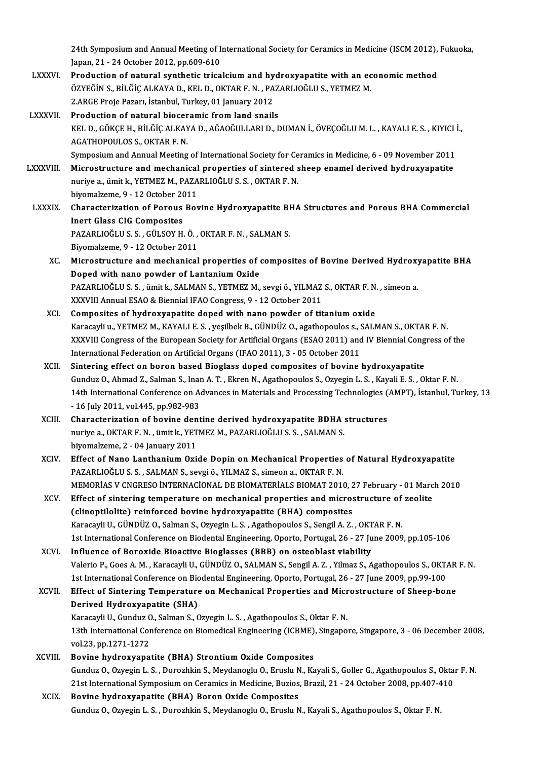24th Symposium and Annual Meeting of International Society for Ceramics in Medicine (ISCM 2012), Fukuoka,<br>Japan. 21, .24 October 2012, np.600,610 24th Symposium and Annual Meeting of I<br>Japan, 21 - 24 October 2012, pp.609-610<br>Production of natural synthotic trice 24th Symposium and Annual Meeting of International Society for Ceramics in Medicine (ISCM 2012),<br>Japan, 21 - 24 October 2012, pp.609-610<br>LXXXVI. Production of natural synthetic tricalcium and hydroxyapatite with an economi

- Japan, 21 24 October 2012, pp.609-610<br>Production of natural synthetic tricalcium and hydroxyapatite with an ec<br>ÖZYEĞİN S., BİLĞİÇ ALKAYA D., KEL D., OKTAR F. N. , PAZARLIOĞLU S., YETMEZ M.<br>2 ARGE Proja Pazarı, İstanbul T Production of natural synthetic tricalcium and hy<br>ÖZYEĞİN S., BİLĞİÇ ALKAYA D., KEL D., OKTAR F. N. , PA<br>2.ARGE Proje Pazarı, İstanbul, Turkey, 01 January 2012<br>Production of natural biosoromis from land spail ÖZYEĞİN S., BİLĞİÇ ALKAYA D., KEL D., OKTAR F. N. , PAZARLIOĞLU S., YETMEZ M.<br>2.ARGE Proje Pazarı, İstanbul, Turkey, 01 January 2012<br>LXXXVII. Production of natural bioceramic from land snails
- 2.ARGE Proje Pazarı, İstanbul, Turkey, 01 January 2012<br>Production of natural bioceramic from land snails<br>KEL D., GÖKÇE H., BİLĞİÇ ALKAYA D., AĞAOĞULLARI D., DUMAN İ., ÖVEÇOĞLU M. L. , KAYALI E. S. , KIYICI İ.,<br>ACATHOPOULOS Production of natural biocer<br>KEL D., GÖKÇE H., BİLĞİÇ ALKAY<br>AGATHOPOULOS S., OKTAR F. N.<br>Sumnasium and Annual Masting KEL D., GÖKÇE H., BİLĞİÇ ALKAYA D., AĞAOĞULLARI D., DUMAN İ., ÖVEÇOĞLU M. L. , KAYALI E. S. , KIYICI İ<br>AGATHOPOULOS S., OKTAR F. N.<br>Symposium and Annual Meeting of International Society for Ceramics in Medicine, 6 - 09 Nov

AGATHOPOULOS S., OKTAR F. N.<br>Symposium and Annual Meeting of International Society for Ceramics in Medicine, 6 - 09 November 2011<br>LXXXVIII. Microstructure and mechanical properties of sintered sheep enamel derived hydroxya Symposium and Annual Meeting of International Society for Ce<br>Microstructure and mechanical properties of sintered s<br>nuriye a., ümit k., YETMEZ M., PAZARLIOĞLU S. S. , OKTAR F. N.<br>bivemalzeme 0, .12 Osteber 2011 Microstructure and mechanical<br>nuriye a., ümit k., YETMEZ M., PAZA<br>biyomalzeme, 9 - 12 October 2011<br>Characterization of Barous Box nuriye a., ümit k., YETMEZ M., PAZARLIOĞLU S. S. , OKTAR F. N.<br>biyomalzeme, 9 - 12 October 2011<br>LXXXIX. Characterization of Porous Bovine Hydroxyapatite BHA Structures and Porous BHA Commercial

Inert Glass CIG Composites Characterization of Porous Bovine Hydroxyapatite Bl<br>Inert Glass CIG Composites<br>PAZARLIOĞLU S. S. , GÜLSOY H. Ö. , OKTAR F. N. , SALMAN S.<br>Biyomakama 0. . 12 Ostabar 2011 Inert Glass CIG Composites<br>PAZARLIOĞLU S. S. , GÜLSOY H. Ö. ,<br>Biyomalzeme, 9 - 12 October 2011<br>Mianostuusture and mosbonisel

- PAZARLIOĞLU S. S. , GÜLSOY H. Ö. , OKTAR F. N. , SALMAN S.<br>Biyomalzeme, 9 12 October 2011<br>XC. Microstructure and mechanical properties of composites of Bovine Derived Hydroxyapatite BHA<br>Dened with nane nowder of Lantaniu Biyomalzeme, 9 - 12 October 2011<br>Microstructure and mechanical properties of (<br>Doped with nano powder of Lantanium Oxide<br>PAZAPLIOČLUS S. Smith, SALMANS, VETMEZ M Microstructure and mechanical properties of composites of Bovine Derived Hydroxy<br>Doped with nano powder of Lantanium Oxide<br>PAZARLIOĞLU S. S. , ümit k., SALMAN S., YETMEZ M., sevgi ö., YILMAZ S., OKTAR F. N. , simeon a.<br>YYY Doped with nano powder of Lantanium Oxide<br>PAZARLIOĞLU S. S. , ümit k., SALMAN S., YETMEZ M., sevgi ö., YILMAZ<br>XXXVIII Annual ESAO & Biennial IFAO Congress, 9 - 12 October 2011<br>Compositos of bydnowranetite doned with none p PAZARLIOĞLU S. S. , ümit k., SALMAN S., YETMEZ M., sevgi ö., YILMAZ S., OKTAR F. N.<br>XXXVIII Annual ESAO & Biennial IFAO Congress, 9 - 12 October 2011<br>XCI. Composites of hydroxyapatite doped with nano powder of titanium oxi
- XXXVIII Annual ESAO & Biennial IFAO Congress, 9 12 October 2011<br>XCI. Composites of hydroxyapatite doped with nano powder of titanium oxide<br>Karacayli u., YETMEZ M., KAYALI E. S. , yeşilbek B., GÜNDÜZ O., agathopoulos s., Composites of hydroxyapatite doped with nano powder of titanium oxide<br>Karacayli u., YETMEZ M., KAYALI E. S. , yeşilbek B., GÜNDÜZ O., agathopoulos s., SALMAN S., OKTAR F. N.<br>XXXVIII Congress of the European Society for Art Karacayli u., YETMEZ M., KAYALI E. S. , yeşilbek B., GÜNDÜZ O., agathopoulos s., S<br>XXXVIII Congress of the European Society for Artificial Organs (ESAO 2011) and<br>International Federation on Artificial Organs (IFAO 2011), 3 XXXVIII Congress of the European Society for Artificial Organs (ESAO 2011) and IV Biennial Cong<br>International Federation on Artificial Organs (IFAO 2011), 3 - 05 October 2011<br>XCII. Sintering effect on boron based Bioglass
- International Federation on Artificial Organs (IFAO 2011), 3 05 October 2011<br>Sintering effect on boron based Bioglass doped composites of bovine hydroxyapatite<br>Gunduz O., Ahmad Z., Salman S., Inan A. T. , Ekren N., Agath Sintering effect on boron based Bioglass doped composites of bovine hydroxyapatite<br>Gunduz O., Ahmad Z., Salman S., Inan A. T., Ekren N., Agathopoulos S., Ozyegin L. S., Kayali E. S., Oktar F. N.<br>14th International Conferen Gunduz O., Ahmad Z., Salman S., Inan<br>14th International Conference on A<br>- 16 July 2011, vol.445, pp.982-983 14th International Conference on Advances in Materials and Processing Technologies (<br>16 July 2011, vol.445, pp.982-983<br>XCIII. Characterization of bovine dentine derived hydroxyapatite BDHA structures<br>nurive a OVTAB E N sim
- 16 July 2011, vol.445, pp.982-983<br>Characterization of bovine dentine derived hydroxyapatite BDHA :<br>nuriye a., OKTAR F. N. , ümit k., YETMEZ M., PAZARLIOĞLU S. S. , SALMAN S.<br>biyomalzama 2 04 January 2011 Characterization of bovine den<br>nuriye a., OKTAR F. N. , ümit k., YET<br>biyomalzeme, 2 - 04 January 2011<br>Fffest of Nane Lanthanium Ovi nuriye a., OKTAR F. N. , ümit k., YETMEZ M., PAZARLIOĞLU S. S. , SALMAN S.<br>biyomalzeme, 2 - 04 January 2011<br>XCIV. Effect of Nano Lanthanium Oxide Dopin on Mechanical Properties of Natural Hydroxyapatite<br>RAZARLIOĞLU S. S. S
- biyomalzeme, 2 04 January 2011<br>Effect of Nano Lanthanium Oxide Dopin on Mechanical Properties<br>PAZARLIOĞLU S. S. , SALMAN S., sevgi ö., YILMAZ S., simeon a., OKTAR F. N.<br>MEMORIAS V. CNCRESO İNTERNACIONAL DE RIOMATERIALS R Effect of Nano Lanthanium Oxide Dopin on Mechanical Properties of Natural Hydroxyapatite<br>PAZARLIOĞLU S. S. , SALMAN S., sevgi ö., YILMAZ S., simeon a., OKTAR F. N.<br>MEMORIAS V CNGRESO İNTERNACİONAL DE BİOMATERİALS BIOMAT 20 PAZARLIOĞLU S. S. , SALMAN S., sevgi ö., YILMAZ S., simeon a., OKTAR F. N.<br>MEMORIAS V CNGRESO INTERNACIONAL DE BIOMATERIALS BIOMAT 2010, 27 February - 01 Marc<br>XCV. Effect of sintering temperature on mechanical properties a
- MEMORIAS V CNGRESO INTERNACIONAL DE BIOMATERIALS BIOMAT 2010, 27 February 01 March 2010<br>Effect of sintering temperature on mechanical properties and microstructure of zeolite<br>(clinoptilolite) reinforced bovine hydroxyapa Effect of sintering temperature on mechanical properties and microstructure of<br>(clinoptilolite) reinforced bovine hydroxyapatite (BHA) composites<br>Karacayli U., GÜNDÜZ O., Salman S., Ozyegin L. S. , Agathopoulos S., Sengil (clinoptilolite) reinforced bovine hydroxyapatite (BHA) composites<br>Karacayli U., GÜNDÜZ O., Salman S., Ozyegin L. S. , Agathopoulos S., Sengil A. Z. , OKTAR F. N.<br>1st International Conference on Biodental Engineering, Opor
- XCVI. Influence of Boroxide Bioactive Bioglasses (BBB) on osteoblast viability<br>Valerio P., Goes A. M., Karacayli U., GÜNDÜZ O., SALMAN S., Sengil A. Z., Yilmaz S., Agathopoulos S., OKTAR F. N 1st International Conference on Biodental Engineering, Oporto, Portugal, 26 - 27 June 2009, pp.105-106<br>Influence of Boroxide Bioactive Bioglasses (BBB) on osteoblast viability<br>Valerio P., Goes A. M. , Karacayli U., GÜNDÜZ Influence of Boroxide Bioactive Bioglasses (BBB) on osteoblast viability<br>Valerio P., Goes A. M. , Karacayli U., GÜNDÜZ O., SALMAN S., Sengil A. Z. , Yilmaz S., Agathopoulos S., OKT.<br>1st International Conference on Biodenta Valerio P., Goes A. M. , Karacayli U., GÜNDÜZ O., SALMAN S., Sengil A. Z. , Yilmaz S., Agathopoulos S., OKTAR<br>1st International Conference on Biodental Engineering, Oporto, Portugal, 26 - 27 June 2009, pp.99-100<br>XCVII. Eff
- 1st International Conference on Bion<br>Effect of Sintering Temperature<br>Derived Hydroxyapatite (SHA) Effect of Sintering Temperature on Mechanical Properties and Micr<br>Derived Hydroxyapatite (SHA)<br>Karacayli U., Gunduz O., Salman S., Ozyegin L. S. , Agathopoulos S., Oktar F. N.<br>12th International Conference on Biomodical En
	- Derived Hydroxyapatite (SHA)<br>Karacayli U., Gunduz O., Salman S., Ozyegin L. S. , Agathopoulos S., Oktar F. N.<br>13th International Conference on Biomedical Engineering (ICBME), Singapore, Singapore, 3 06 December 2008,<br>vol Karacayli U., Gunduz O., Salman S., Ozyegin L. S., Agathopoulos S., Oktar F. N.
- XCVIII. Bovine hydroxyapatite (BHA) Strontium Oxide Composites vol.23, pp.1271-1272<br><mark>Bovine hydroxyapatite (BHA) Strontium Oxide Composites</mark><br>Gunduz O., Ozyegin L. S. , Dorozhkin S., Meydanoglu O., Eruslu N., Kayali S., Goller G., Agathopoulos S., Oktar F. N<br>21st International Symposiu Bovine hydroxyapatite (BHA) Strontium Oxide Composites<br>Gunduz O., Ozyegin L. S. , Dorozhkin S., Meydanoglu O., Eruslu N., Kayali S., Goller G., Agathopoulos S., Okta<br>21st International Symposium on Ceramics in Medicine, Bu 21st International Symposium on Ceramics in Medicine, Buzios, Brazil, 21 - 24 October 2008, pp.407-410<br>XCIX. Bovine hydroxyapatite (BHA) Boron Oxide Composites
	- Gunduz O., Ozyegin L. S., Dorozhkin S., Meydanoglu O., Eruslu N., Kayali S., Agathopoulos S., Oktar F. N.